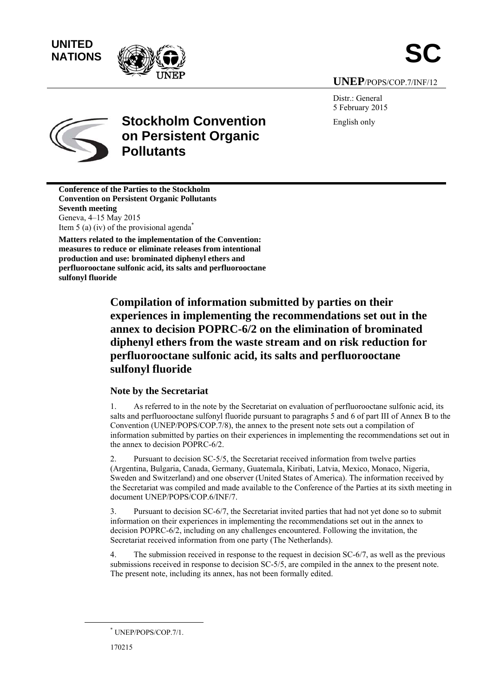**UNITED** 



**UNEP**/POPS/COP.7/INF/12

Distr.: General 5 February 2015 English only



# **Stockholm Convention on Persistent Organic Pollutants**

**Conference of the Parties to the Stockholm Convention on Persistent Organic Pollutants Seventh meeting**  Geneva, 4–15 May 2015 Item 5 (a) (iv) of the provisional agenda<sup> $*$ </sup>

**Matters related to the implementation of the Convention: measures to reduce or eliminate releases from intentional production and use: brominated diphenyl ethers and perfluorooctane sulfonic acid, its salts and perfluorooctane sulfonyl fluoride**

> **Compilation of information submitted by parties on their experiences in implementing the recommendations set out in the annex to decision POPRC-6/2 on the elimination of brominated diphenyl ethers from the waste stream and on risk reduction for perfluorooctane sulfonic acid, its salts and perfluorooctane sulfonyl fluoride**

### **Note by the Secretariat**

1. As referred to in the note by the Secretariat on evaluation of perfluorooctane sulfonic acid, its salts and perfluorooctane sulfonyl fluoride pursuant to paragraphs 5 and 6 of part III of Annex B to the Convention (UNEP/POPS/COP.7/8), the annex to the present note sets out a compilation of information submitted by parties on their experiences in implementing the recommendations set out in the annex to decision POPRC-6/2.

2. Pursuant to decision SC-5/5, the Secretariat received information from twelve parties (Argentina, Bulgaria, Canada, Germany, Guatemala, Kiribati, Latvia, Mexico, Monaco, Nigeria, Sweden and Switzerland) and one observer (United States of America). The information received by the Secretariat was compiled and made available to the Conference of the Parties at its sixth meeting in document UNEP/POPS/COP.6/INF/7.

3. Pursuant to decision SC-6/7, the Secretariat invited parties that had not yet done so to submit information on their experiences in implementing the recommendations set out in the annex to decision POPRC-6/2, including on any challenges encountered. Following the invitation, the Secretariat received information from one party (The Netherlands).

4. The submission received in response to the request in decision SC-6/7, as well as the previous submissions received in response to decision SC-5/5, are compiled in the annex to the present note. The present note, including its annex, has not been formally edited.

 <sup>\*</sup> UNEP/POPS/COP.7/1.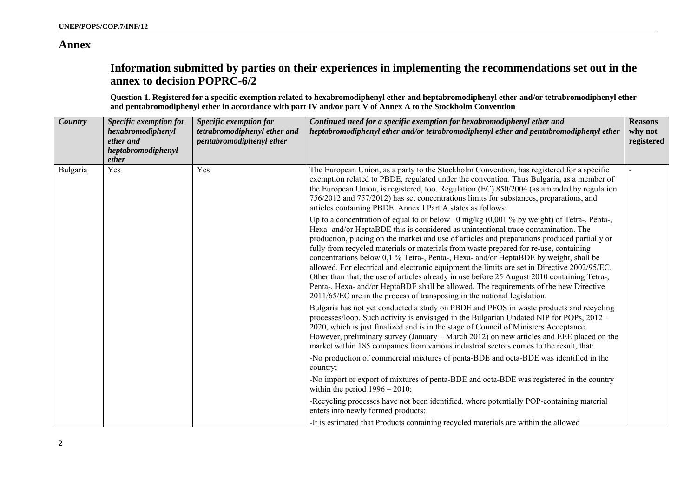### **Annex**

## **Information submitted by parties on their experiences in implementing the recommendations set out in the annex to decision POPRC-6/2**

**Question 1. Registered for a specific exemption related to hexabromodiphenyl ether and heptabromodiphenyl ether and/or tetrabromodiphenyl ether and pentabromodiphenyl ether in accordance with part IV and/or part V of Annex A to the Stockholm Convention** 

| <b>Country</b> | Specific exemption for<br>hexabromodiphenyl<br>ether and<br>heptabromodiphenyl<br>ether | Specific exemption for<br>tetrabromodiphenyl ether and<br>pentabromodiphenyl ether | Continued need for a specific exemption for hexabromodiphenyl ether and<br>heptabromodiphenyl ether and/or tetrabromodiphenyl ether and pentabromodiphenyl ether                                                                                                                                                                                                                                                                                                                                                                                                                                                                                                                                                                                                                                                                        | <b>Reasons</b><br>why not<br>registered |
|----------------|-----------------------------------------------------------------------------------------|------------------------------------------------------------------------------------|-----------------------------------------------------------------------------------------------------------------------------------------------------------------------------------------------------------------------------------------------------------------------------------------------------------------------------------------------------------------------------------------------------------------------------------------------------------------------------------------------------------------------------------------------------------------------------------------------------------------------------------------------------------------------------------------------------------------------------------------------------------------------------------------------------------------------------------------|-----------------------------------------|
| Bulgaria       | Yes                                                                                     | Yes                                                                                | The European Union, as a party to the Stockholm Convention, has registered for a specific<br>exemption related to PBDE, regulated under the convention. Thus Bulgaria, as a member of<br>the European Union, is registered, too. Regulation (EC) 850/2004 (as amended by regulation<br>756/2012 and 757/2012) has set concentrations limits for substances, preparations, and<br>articles containing PBDE. Annex I Part A states as follows:                                                                                                                                                                                                                                                                                                                                                                                            |                                         |
|                |                                                                                         |                                                                                    | Up to a concentration of equal to or below 10 mg/kg (0,001 % by weight) of Tetra-, Penta-,<br>Hexa- and/or HeptaBDE this is considered as unintentional trace contamination. The<br>production, placing on the market and use of articles and preparations produced partially or<br>fully from recycled materials or materials from waste prepared for re-use, containing<br>concentrations below 0,1 % Tetra-, Penta-, Hexa- and/or HeptaBDE by weight, shall be<br>allowed. For electrical and electronic equipment the limits are set in Directive 2002/95/EC.<br>Other than that, the use of articles already in use before 25 August 2010 containing Tetra-,<br>Penta-, Hexa- and/or HeptaBDE shall be allowed. The requirements of the new Directive<br>2011/65/EC are in the process of transposing in the national legislation. |                                         |
|                |                                                                                         |                                                                                    | Bulgaria has not yet conducted a study on PBDE and PFOS in waste products and recycling<br>processes/loop. Such activity is envisaged in the Bulgarian Updated NIP for POPs, 2012 –<br>2020, which is just finalized and is in the stage of Council of Ministers Acceptance.<br>However, preliminary survey (January – March 2012) on new articles and EEE placed on the<br>market within 185 companies from various industrial sectors comes to the result, that:                                                                                                                                                                                                                                                                                                                                                                      |                                         |
|                |                                                                                         |                                                                                    | -No production of commercial mixtures of penta-BDE and octa-BDE was identified in the<br>country;                                                                                                                                                                                                                                                                                                                                                                                                                                                                                                                                                                                                                                                                                                                                       |                                         |
|                |                                                                                         |                                                                                    | -No import or export of mixtures of penta-BDE and octa-BDE was registered in the country<br>within the period $1996 - 2010$ ;                                                                                                                                                                                                                                                                                                                                                                                                                                                                                                                                                                                                                                                                                                           |                                         |
|                |                                                                                         |                                                                                    | -Recycling processes have not been identified, where potentially POP-containing material<br>enters into newly formed products;                                                                                                                                                                                                                                                                                                                                                                                                                                                                                                                                                                                                                                                                                                          |                                         |
|                |                                                                                         |                                                                                    | -It is estimated that Products containing recycled materials are within the allowed                                                                                                                                                                                                                                                                                                                                                                                                                                                                                                                                                                                                                                                                                                                                                     |                                         |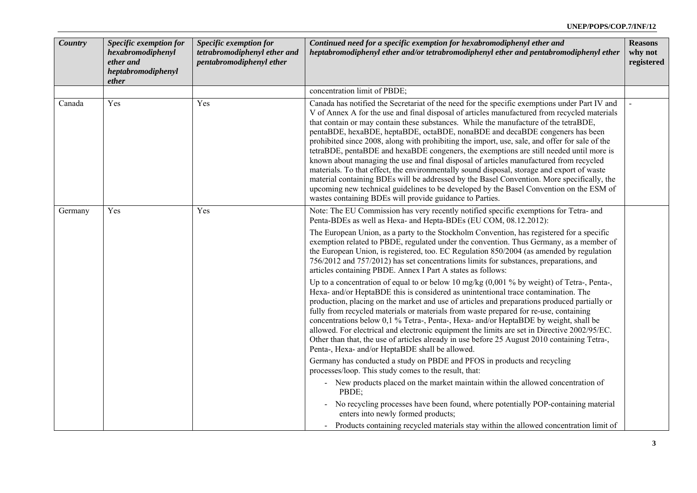| <b>Country</b> | Specific exemption for<br>hexabromodiphenyl<br>ether and<br>heptabromodiphenyl<br>ether | Specific exemption for<br>tetrabromodiphenyl ether and<br>pentabromodiphenyl ether | Continued need for a specific exemption for hexabromodiphenyl ether and<br>heptabromodiphenyl ether and/or tetrabromodiphenyl ether and pentabromodiphenyl ether                                                                                                                                                                                                                                                                                                                                                                                                                                                                                                                                                                                                                                                                                                                                                                                                                                                | <b>Reasons</b><br>why not<br>registered |
|----------------|-----------------------------------------------------------------------------------------|------------------------------------------------------------------------------------|-----------------------------------------------------------------------------------------------------------------------------------------------------------------------------------------------------------------------------------------------------------------------------------------------------------------------------------------------------------------------------------------------------------------------------------------------------------------------------------------------------------------------------------------------------------------------------------------------------------------------------------------------------------------------------------------------------------------------------------------------------------------------------------------------------------------------------------------------------------------------------------------------------------------------------------------------------------------------------------------------------------------|-----------------------------------------|
|                |                                                                                         |                                                                                    | concentration limit of PBDE;                                                                                                                                                                                                                                                                                                                                                                                                                                                                                                                                                                                                                                                                                                                                                                                                                                                                                                                                                                                    |                                         |
| Canada         | Yes                                                                                     | Yes                                                                                | Canada has notified the Secretariat of the need for the specific exemptions under Part IV and<br>V of Annex A for the use and final disposal of articles manufactured from recycled materials<br>that contain or may contain these substances. While the manufacture of the tetraBDE,<br>pentaBDE, hexaBDE, heptaBDE, octaBDE, nonaBDE and decaBDE congeners has been<br>prohibited since 2008, along with prohibiting the import, use, sale, and offer for sale of the<br>tetraBDE, pentaBDE and hexaBDE congeners, the exemptions are still needed until more is<br>known about managing the use and final disposal of articles manufactured from recycled<br>materials. To that effect, the environmentally sound disposal, storage and export of waste<br>material containing BDEs will be addressed by the Basel Convention. More specifically, the<br>upcoming new technical guidelines to be developed by the Basel Convention on the ESM of<br>wastes containing BDEs will provide guidance to Parties. |                                         |
| Germany        | Yes                                                                                     | Yes                                                                                | Note: The EU Commission has very recently notified specific exemptions for Tetra- and<br>Penta-BDEs as well as Hexa- and Hepta-BDEs (EU COM, 08.12.2012):                                                                                                                                                                                                                                                                                                                                                                                                                                                                                                                                                                                                                                                                                                                                                                                                                                                       |                                         |
|                |                                                                                         |                                                                                    | The European Union, as a party to the Stockholm Convention, has registered for a specific<br>exemption related to PBDE, regulated under the convention. Thus Germany, as a member of<br>the European Union, is registered, too. EC Regulation 850/2004 (as amended by regulation<br>756/2012 and 757/2012) has set concentrations limits for substances, preparations, and<br>articles containing PBDE. Annex I Part A states as follows:                                                                                                                                                                                                                                                                                                                                                                                                                                                                                                                                                                       |                                         |
|                |                                                                                         |                                                                                    | Up to a concentration of equal to or below 10 mg/kg $(0.001\%$ by weight) of Tetra-, Penta-,<br>Hexa- and/or HeptaBDE this is considered as unintentional trace contamination. The<br>production, placing on the market and use of articles and preparations produced partially or<br>fully from recycled materials or materials from waste prepared for re-use, containing<br>concentrations below 0,1 % Tetra-, Penta-, Hexa- and/or HeptaBDE by weight, shall be<br>allowed. For electrical and electronic equipment the limits are set in Directive 2002/95/EC.<br>Other than that, the use of articles already in use before 25 August 2010 containing Tetra-,<br>Penta-, Hexa- and/or HeptaBDE shall be allowed.                                                                                                                                                                                                                                                                                          |                                         |
|                |                                                                                         |                                                                                    | Germany has conducted a study on PBDE and PFOS in products and recycling<br>processes/loop. This study comes to the result, that:                                                                                                                                                                                                                                                                                                                                                                                                                                                                                                                                                                                                                                                                                                                                                                                                                                                                               |                                         |
|                |                                                                                         |                                                                                    | - New products placed on the market maintain within the allowed concentration of<br>PBDE;                                                                                                                                                                                                                                                                                                                                                                                                                                                                                                                                                                                                                                                                                                                                                                                                                                                                                                                       |                                         |
|                |                                                                                         |                                                                                    | - No recycling processes have been found, where potentially POP-containing material<br>enters into newly formed products;                                                                                                                                                                                                                                                                                                                                                                                                                                                                                                                                                                                                                                                                                                                                                                                                                                                                                       |                                         |
|                |                                                                                         |                                                                                    | - Products containing recycled materials stay within the allowed concentration limit of                                                                                                                                                                                                                                                                                                                                                                                                                                                                                                                                                                                                                                                                                                                                                                                                                                                                                                                         |                                         |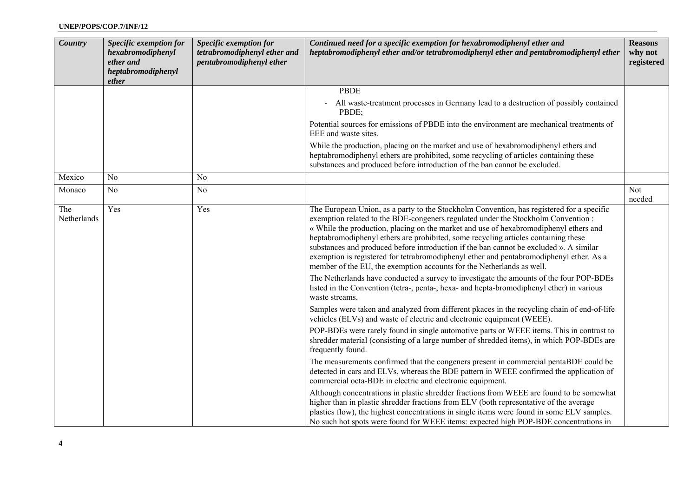| Country            | Specific exemption for<br>hexabromodiphenyl<br>ether and<br>heptabromodiphenyl<br>ether | Specific exemption for<br>tetrabromodiphenyl ether and<br>pentabromodiphenyl ether | Continued need for a specific exemption for hexabromodiphenyl ether and<br>heptabromodiphenyl ether and/or tetrabromodiphenyl ether and pentabromodiphenyl ether                                                                                                                                                                                                                                                                                                                                                                                                                                                           | <b>Reasons</b><br>why not<br>registered |
|--------------------|-----------------------------------------------------------------------------------------|------------------------------------------------------------------------------------|----------------------------------------------------------------------------------------------------------------------------------------------------------------------------------------------------------------------------------------------------------------------------------------------------------------------------------------------------------------------------------------------------------------------------------------------------------------------------------------------------------------------------------------------------------------------------------------------------------------------------|-----------------------------------------|
|                    |                                                                                         |                                                                                    | <b>PBDE</b>                                                                                                                                                                                                                                                                                                                                                                                                                                                                                                                                                                                                                |                                         |
|                    |                                                                                         |                                                                                    | All waste-treatment processes in Germany lead to a destruction of possibly contained<br>PBDE;                                                                                                                                                                                                                                                                                                                                                                                                                                                                                                                              |                                         |
|                    |                                                                                         |                                                                                    | Potential sources for emissions of PBDE into the environment are mechanical treatments of<br>EEE and waste sites.                                                                                                                                                                                                                                                                                                                                                                                                                                                                                                          |                                         |
|                    |                                                                                         |                                                                                    | While the production, placing on the market and use of hexabromodiphenyl ethers and<br>heptabromodiphenyl ethers are prohibited, some recycling of articles containing these<br>substances and produced before introduction of the ban cannot be excluded.                                                                                                                                                                                                                                                                                                                                                                 |                                         |
| Mexico             | No                                                                                      | N <sub>o</sub>                                                                     |                                                                                                                                                                                                                                                                                                                                                                                                                                                                                                                                                                                                                            |                                         |
| Monaco             | N <sub>o</sub>                                                                          | N <sub>o</sub>                                                                     |                                                                                                                                                                                                                                                                                                                                                                                                                                                                                                                                                                                                                            | Not<br>needed                           |
| The<br>Netherlands | Yes                                                                                     | Yes                                                                                | The European Union, as a party to the Stockholm Convention, has registered for a specific<br>exemption related to the BDE-congeners regulated under the Stockholm Convention:<br>« While the production, placing on the market and use of hexabromodiphenyl ethers and<br>heptabromodiphenyl ethers are prohibited, some recycling articles containing these<br>substances and produced before introduction if the ban cannot be excluded ». A similar<br>exemption is registered for tetrabromodiphenyl ether and pentabromodiphenyl ether. As a<br>member of the EU, the exemption accounts for the Netherlands as well. |                                         |
|                    |                                                                                         |                                                                                    | The Netherlands have conducted a survey to investigate the amounts of the four POP-BDEs<br>listed in the Convention (tetra-, penta-, hexa- and hepta-bromodiphenyl ether) in various<br>waste streams.                                                                                                                                                                                                                                                                                                                                                                                                                     |                                         |
|                    |                                                                                         |                                                                                    | Samples were taken and analyzed from different pkaces in the recycling chain of end-of-life<br>vehicles (ELVs) and waste of electric and electronic equipment (WEEE).                                                                                                                                                                                                                                                                                                                                                                                                                                                      |                                         |
|                    |                                                                                         |                                                                                    | POP-BDEs were rarely found in single automotive parts or WEEE items. This in contrast to<br>shredder material (consisting of a large number of shredded items), in which POP-BDEs are<br>frequently found.                                                                                                                                                                                                                                                                                                                                                                                                                 |                                         |
|                    |                                                                                         |                                                                                    | The measurements confirmed that the congeners present in commercial pentaBDE could be<br>detected in cars and ELVs, whereas the BDE pattern in WEEE confirmed the application of<br>commercial octa-BDE in electric and electronic equipment.                                                                                                                                                                                                                                                                                                                                                                              |                                         |
|                    |                                                                                         |                                                                                    | Although concentrations in plastic shredder fractions from WEEE are found to be somewhat<br>higher than in plastic shredder fractions from ELV (both representative of the average<br>plastics flow), the highest concentrations in single items were found in some ELV samples.<br>No such hot spots were found for WEEE items: expected high POP-BDE concentrations in                                                                                                                                                                                                                                                   |                                         |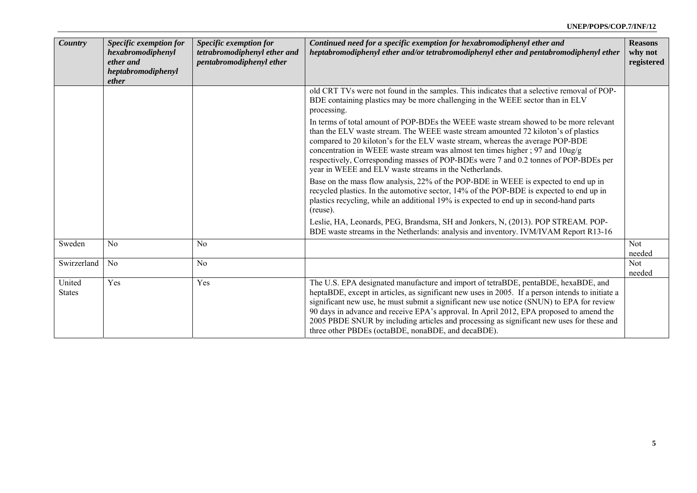| <b>Country</b>          | Specific exemption for<br>hexabromodiphenyl<br>ether and<br>heptabromodiphenyl<br>ether | Specific exemption for<br>tetrabromodiphenyl ether and<br>pentabromodiphenyl ether | Continued need for a specific exemption for hexabromodiphenyl ether and<br>heptabromodiphenyl ether and/or tetrabromodiphenyl ether and pentabromodiphenyl ether                                                                                                                                                                                                                                                                                                                                                                  | <b>Reasons</b><br>why not<br>registered |
|-------------------------|-----------------------------------------------------------------------------------------|------------------------------------------------------------------------------------|-----------------------------------------------------------------------------------------------------------------------------------------------------------------------------------------------------------------------------------------------------------------------------------------------------------------------------------------------------------------------------------------------------------------------------------------------------------------------------------------------------------------------------------|-----------------------------------------|
|                         |                                                                                         |                                                                                    | old CRT TVs were not found in the samples. This indicates that a selective removal of POP-<br>BDE containing plastics may be more challenging in the WEEE sector than in ELV<br>processing.                                                                                                                                                                                                                                                                                                                                       |                                         |
|                         |                                                                                         |                                                                                    | In terms of total amount of POP-BDEs the WEEE waste stream showed to be more relevant<br>than the ELV waste stream. The WEEE waste stream amounted 72 kiloton's of plastics<br>compared to 20 kiloton's for the ELV waste stream, whereas the average POP-BDE<br>concentration in WEEE waste stream was almost ten times higher; 97 and 10ug/g<br>respectively, Corresponding masses of POP-BDEs were 7 and 0.2 tonnes of POP-BDEs per<br>year in WEEE and ELV waste streams in the Netherlands.                                  |                                         |
|                         |                                                                                         |                                                                                    | Base on the mass flow analysis, 22% of the POP-BDE in WEEE is expected to end up in<br>recycled plastics. In the automotive sector, 14% of the POP-BDE is expected to end up in<br>plastics recycling, while an additional 19% is expected to end up in second-hand parts<br>(reuse).                                                                                                                                                                                                                                             |                                         |
|                         |                                                                                         |                                                                                    | Leslie, HA, Leonards, PEG, Brandsma, SH and Jonkers, N, (2013). POP STREAM. POP-<br>BDE waste streams in the Netherlands: analysis and inventory. IVM/IVAM Report R13-16                                                                                                                                                                                                                                                                                                                                                          |                                         |
| Sweden                  | N <sub>0</sub>                                                                          | N <sub>0</sub>                                                                     |                                                                                                                                                                                                                                                                                                                                                                                                                                                                                                                                   | Not<br>needed                           |
| Swirzerland             | N <sub>0</sub>                                                                          | N <sub>0</sub>                                                                     |                                                                                                                                                                                                                                                                                                                                                                                                                                                                                                                                   | <b>Not</b><br>needed                    |
| United<br><b>States</b> | Yes                                                                                     | Yes                                                                                | The U.S. EPA designated manufacture and import of tetraBDE, pentaBDE, hexaBDE, and<br>heptaBDE, except in articles, as significant new uses in 2005. If a person intends to initiate a<br>significant new use, he must submit a significant new use notice (SNUN) to EPA for review<br>90 days in advance and receive EPA's approval. In April 2012, EPA proposed to amend the<br>2005 PBDE SNUR by including articles and processing as significant new uses for these and<br>three other PBDEs (octaBDE, nonaBDE, and decaBDE). |                                         |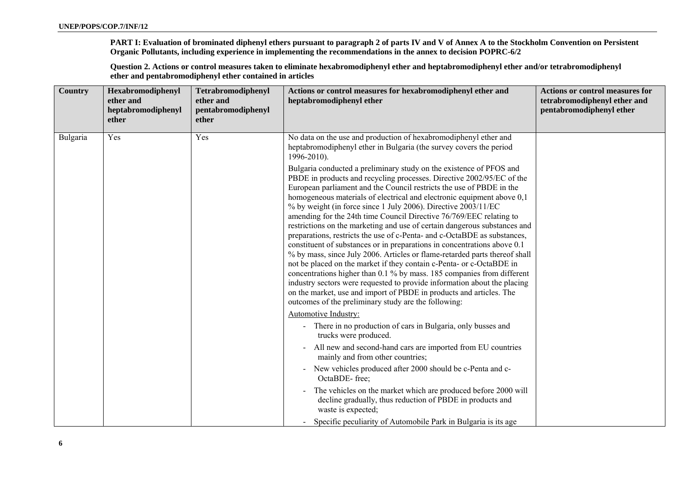**PART I: Evaluation of brominated diphenyl ethers pursuant to paragraph 2 of parts IV and V of Annex A to the Stockholm Convention on Persistent Organic Pollutants, including experience in implementing the recommendations in the annex to decision POPRC-6/2** 

**Question 2. Actions or control measures taken to eliminate hexabromodiphenyl ether and heptabromodiphenyl ether and/or tetrabromodiphenyl ether and pentabromodiphenyl ether contained in articles** 

| Country  | Hexabromodiphenyl<br>ether and<br>heptabromodiphenyl<br>ether | Tetrabromodiphenyl<br>ether and<br>pentabromodiphenyl<br>ether | Actions or control measures for hexabromodiphenyl ether and<br>heptabromodiphenyl ether                                                                                                                                                                                                                                                                                                                                                                                                                                                                                                                                                                                                                                                                                                                                                                                                                                                                                                                                                                                                                                 | <b>Actions or control measures for</b><br>tetrabromodiphenyl ether and<br>pentabromodiphenyl ether |
|----------|---------------------------------------------------------------|----------------------------------------------------------------|-------------------------------------------------------------------------------------------------------------------------------------------------------------------------------------------------------------------------------------------------------------------------------------------------------------------------------------------------------------------------------------------------------------------------------------------------------------------------------------------------------------------------------------------------------------------------------------------------------------------------------------------------------------------------------------------------------------------------------------------------------------------------------------------------------------------------------------------------------------------------------------------------------------------------------------------------------------------------------------------------------------------------------------------------------------------------------------------------------------------------|----------------------------------------------------------------------------------------------------|
| Bulgaria | Yes                                                           | Yes                                                            | No data on the use and production of hexabromodiphenyl ether and<br>heptabromodiphenyl ether in Bulgaria (the survey covers the period<br>$1996 - 2010$ ).                                                                                                                                                                                                                                                                                                                                                                                                                                                                                                                                                                                                                                                                                                                                                                                                                                                                                                                                                              |                                                                                                    |
|          |                                                               |                                                                | Bulgaria conducted a preliminary study on the existence of PFOS and<br>PBDE in products and recycling processes. Directive 2002/95/EC of the<br>European parliament and the Council restricts the use of PBDE in the<br>homogeneous materials of electrical and electronic equipment above 0,1<br>% by weight (in force since 1 July 2006). Directive 2003/11/EC<br>amending for the 24th time Council Directive 76/769/EEC relating to<br>restrictions on the marketing and use of certain dangerous substances and<br>preparations, restricts the use of c-Penta- and c-OctaBDE as substances,<br>constituent of substances or in preparations in concentrations above 0.1<br>% by mass, since July 2006. Articles or flame-retarded parts thereof shall<br>not be placed on the market if they contain c-Penta- or c-OctaBDE in<br>concentrations higher than 0.1 % by mass. 185 companies from different<br>industry sectors were requested to provide information about the placing<br>on the market, use and import of PBDE in products and articles. The<br>outcomes of the preliminary study are the following: |                                                                                                    |
|          |                                                               |                                                                | Automotive Industry:<br>- There in no production of cars in Bulgaria, only busses and<br>trucks were produced.                                                                                                                                                                                                                                                                                                                                                                                                                                                                                                                                                                                                                                                                                                                                                                                                                                                                                                                                                                                                          |                                                                                                    |
|          |                                                               |                                                                | All new and second-hand cars are imported from EU countries<br>mainly and from other countries;                                                                                                                                                                                                                                                                                                                                                                                                                                                                                                                                                                                                                                                                                                                                                                                                                                                                                                                                                                                                                         |                                                                                                    |
|          |                                                               |                                                                | New vehicles produced after 2000 should be c-Penta and c-<br>$\sim$<br>OctaBDE-free:                                                                                                                                                                                                                                                                                                                                                                                                                                                                                                                                                                                                                                                                                                                                                                                                                                                                                                                                                                                                                                    |                                                                                                    |
|          |                                                               |                                                                | The vehicles on the market which are produced before 2000 will<br>decline gradually, thus reduction of PBDE in products and<br>waste is expected;                                                                                                                                                                                                                                                                                                                                                                                                                                                                                                                                                                                                                                                                                                                                                                                                                                                                                                                                                                       |                                                                                                    |
|          |                                                               |                                                                | - Specific peculiarity of Automobile Park in Bulgaria is its age                                                                                                                                                                                                                                                                                                                                                                                                                                                                                                                                                                                                                                                                                                                                                                                                                                                                                                                                                                                                                                                        |                                                                                                    |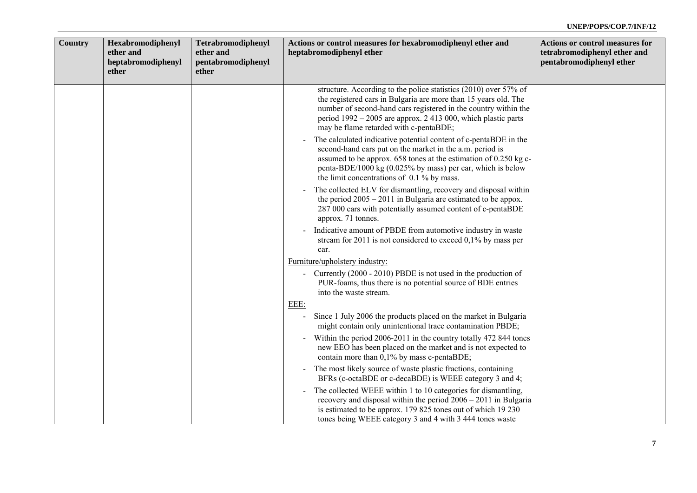| Country | Hexabromodiphenyl<br>ether and<br>heptabromodiphenyl<br>ether | Tetrabromodiphenyl<br>ether and<br>pentabromodiphenyl<br>ether | Actions or control measures for hexabromodiphenyl ether and<br>heptabromodiphenyl ether                                                                                                                                                                                                                                                    | <b>Actions or control measures for</b><br>tetrabromodiphenyl ether and<br>pentabromodiphenyl ether |
|---------|---------------------------------------------------------------|----------------------------------------------------------------|--------------------------------------------------------------------------------------------------------------------------------------------------------------------------------------------------------------------------------------------------------------------------------------------------------------------------------------------|----------------------------------------------------------------------------------------------------|
|         |                                                               |                                                                | structure. According to the police statistics (2010) over 57% of<br>the registered cars in Bulgaria are more than 15 years old. The<br>number of second-hand cars registered in the country within the<br>period $1992 - 2005$ are approx. 2 413 000, which plastic parts<br>may be flame retarded with c-pentaBDE;                        |                                                                                                    |
|         |                                                               |                                                                | The calculated indicative potential content of c-pentaBDE in the<br>$\overline{\phantom{a}}$<br>second-hand cars put on the market in the a.m. period is<br>assumed to be approx. 658 tones at the estimation of 0.250 kg c-<br>penta-BDE/1000 kg (0.025% by mass) per car, which is below<br>the limit concentrations of $0.1\%$ by mass. |                                                                                                    |
|         |                                                               |                                                                | The collected ELV for dismantling, recovery and disposal within<br>$\blacksquare$<br>the period $2005 - 2011$ in Bulgaria are estimated to be appox.<br>287 000 cars with potentially assumed content of c-pentaBDE<br>approx. 71 tonnes.                                                                                                  |                                                                                                    |
|         |                                                               |                                                                | Indicative amount of PBDE from automotive industry in waste<br>stream for 2011 is not considered to exceed 0,1% by mass per<br>car.                                                                                                                                                                                                        |                                                                                                    |
|         |                                                               |                                                                | Furniture/upholstery industry:                                                                                                                                                                                                                                                                                                             |                                                                                                    |
|         |                                                               |                                                                | - Currently (2000 - 2010) PBDE is not used in the production of<br>PUR-foams, thus there is no potential source of BDE entries<br>into the waste stream.                                                                                                                                                                                   |                                                                                                    |
|         |                                                               |                                                                | EEE:                                                                                                                                                                                                                                                                                                                                       |                                                                                                    |
|         |                                                               |                                                                | Since 1 July 2006 the products placed on the market in Bulgaria<br>might contain only unintentional trace contamination PBDE;                                                                                                                                                                                                              |                                                                                                    |
|         |                                                               |                                                                | Within the period 2006-2011 in the country totally 472 844 tones<br>new EEO has been placed on the market and is not expected to<br>contain more than 0,1% by mass c-pentaBDE;                                                                                                                                                             |                                                                                                    |
|         |                                                               |                                                                | The most likely source of waste plastic fractions, containing<br>$\blacksquare$<br>BFRs (c-octaBDE or c-decaBDE) is WEEE category 3 and 4;                                                                                                                                                                                                 |                                                                                                    |
|         |                                                               |                                                                | The collected WEEE within 1 to 10 categories for dismantling.<br>$\blacksquare$<br>recovery and disposal within the period $2006 - 2011$ in Bulgaria<br>is estimated to be approx. 179 825 tones out of which 19 230<br>tones being WEEE category 3 and 4 with 3 444 tones waste                                                           |                                                                                                    |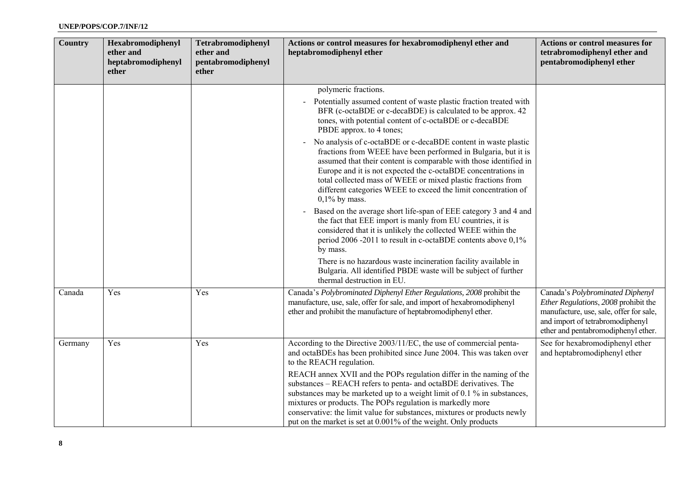| <b>Country</b> | Hexabromodiphenyl<br>ether and<br>heptabromodiphenyl<br>ether | Tetrabromodiphenyl<br>ether and<br>pentabromodiphenyl<br>ether | Actions or control measures for hexabromodiphenyl ether and<br>heptabromodiphenyl ether                                                                                                                                                                                                                                                                                                                                                                                                                                                                                                                      | <b>Actions or control measures for</b><br>tetrabromodiphenyl ether and<br>pentabromodiphenyl ether                                                                                             |
|----------------|---------------------------------------------------------------|----------------------------------------------------------------|--------------------------------------------------------------------------------------------------------------------------------------------------------------------------------------------------------------------------------------------------------------------------------------------------------------------------------------------------------------------------------------------------------------------------------------------------------------------------------------------------------------------------------------------------------------------------------------------------------------|------------------------------------------------------------------------------------------------------------------------------------------------------------------------------------------------|
|                |                                                               |                                                                | polymeric fractions.<br>Potentially assumed content of waste plastic fraction treated with<br>BFR (c-octaBDE or c-decaBDE) is calculated to be approx. 42<br>tones, with potential content of c-octaBDE or c-decaBDE<br>PBDE approx. to 4 tones;                                                                                                                                                                                                                                                                                                                                                             |                                                                                                                                                                                                |
|                |                                                               |                                                                | No analysis of c-octaBDE or c-decaBDE content in waste plastic<br>$\blacksquare$<br>fractions from WEEE have been performed in Bulgaria, but it is<br>assumed that their content is comparable with those identified in<br>Europe and it is not expected the c-octaBDE concentrations in<br>total collected mass of WEEE or mixed plastic fractions from<br>different categories WEEE to exceed the limit concentration of<br>$0,1\%$ by mass.                                                                                                                                                               |                                                                                                                                                                                                |
|                |                                                               |                                                                | Based on the average short life-span of EEE category 3 and 4 and<br>$\overline{a}$<br>the fact that EEE import is manly from EU countries, it is<br>considered that it is unlikely the collected WEEE within the<br>period 2006 -2011 to result in c-octaBDE contents above 0,1%<br>by mass.                                                                                                                                                                                                                                                                                                                 |                                                                                                                                                                                                |
|                |                                                               |                                                                | There is no hazardous waste incineration facility available in<br>Bulgaria. All identified PBDE waste will be subject of further<br>thermal destruction in EU.                                                                                                                                                                                                                                                                                                                                                                                                                                               |                                                                                                                                                                                                |
| Canada         | Yes                                                           | Yes                                                            | Canada's Polybrominated Diphenyl Ether Regulations, 2008 prohibit the<br>manufacture, use, sale, offer for sale, and import of hexabromodiphenyl<br>ether and prohibit the manufacture of heptabromodiphenyl ether.                                                                                                                                                                                                                                                                                                                                                                                          | Canada's Polybrominated Diphenyl<br>Ether Regulations, 2008 prohibit the<br>manufacture, use, sale, offer for sale,<br>and import of tetrabromodiphenyl<br>ether and pentabromodiphenyl ether. |
| Germany        | Yes                                                           | Yes                                                            | According to the Directive 2003/11/EC, the use of commercial penta-<br>and octaBDEs has been prohibited since June 2004. This was taken over<br>to the REACH regulation.<br>REACH annex XVII and the POPs regulation differ in the naming of the<br>substances – REACH refers to penta- and octaBDE derivatives. The<br>substances may be marketed up to a weight limit of 0.1 % in substances,<br>mixtures or products. The POPs regulation is markedly more<br>conservative: the limit value for substances, mixtures or products newly<br>put on the market is set at 0.001% of the weight. Only products | See for hexabromodiphenyl ether<br>and heptabromodiphenyl ether                                                                                                                                |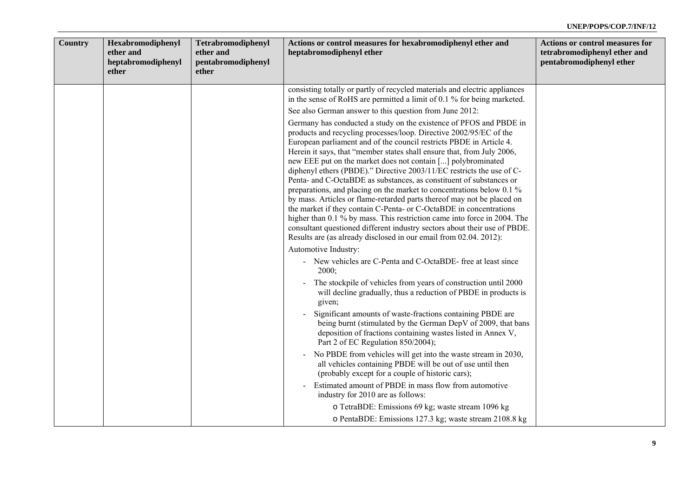| Country | Hexabromodiphenyl<br>ether and<br>heptabromodiphenyl<br>ether | Tetrabromodiphenyl<br>ether and<br>pentabromodiphenyl<br>ether | Actions or control measures for hexabromodiphenyl ether and<br>heptabromodiphenyl ether                                                                                                                                                                                                                                                                                                                                                                                                                                                                                                                                                                                                                                                                                                                                                                                                                                                                          | <b>Actions or control measures for</b><br>tetrabromodiphenyl ether and<br>pentabromodiphenyl ether |
|---------|---------------------------------------------------------------|----------------------------------------------------------------|------------------------------------------------------------------------------------------------------------------------------------------------------------------------------------------------------------------------------------------------------------------------------------------------------------------------------------------------------------------------------------------------------------------------------------------------------------------------------------------------------------------------------------------------------------------------------------------------------------------------------------------------------------------------------------------------------------------------------------------------------------------------------------------------------------------------------------------------------------------------------------------------------------------------------------------------------------------|----------------------------------------------------------------------------------------------------|
|         |                                                               |                                                                | consisting totally or partly of recycled materials and electric appliances<br>in the sense of RoHS are permitted a limit of 0.1 % for being marketed.                                                                                                                                                                                                                                                                                                                                                                                                                                                                                                                                                                                                                                                                                                                                                                                                            |                                                                                                    |
|         |                                                               |                                                                | See also German answer to this question from June 2012:                                                                                                                                                                                                                                                                                                                                                                                                                                                                                                                                                                                                                                                                                                                                                                                                                                                                                                          |                                                                                                    |
|         |                                                               |                                                                | Germany has conducted a study on the existence of PFOS and PBDE in<br>products and recycling processes/loop. Directive 2002/95/EC of the<br>European parliament and of the council restricts PBDE in Article 4.<br>Herein it says, that "member states shall ensure that, from July 2006,<br>new EEE put on the market does not contain [] polybrominated<br>diphenyl ethers (PBDE)." Directive 2003/11/EC restricts the use of C-<br>Penta- and C-OctaBDE as substances, as constituent of substances or<br>preparations, and placing on the market to concentrations below 0.1 %<br>by mass. Articles or flame-retarded parts thereof may not be placed on<br>the market if they contain C-Penta- or C-OctaBDE in concentrations<br>higher than 0.1 % by mass. This restriction came into force in 2004. The<br>consultant questioned different industry sectors about their use of PBDE.<br>Results are (as already disclosed in our email from 02.04. 2012): |                                                                                                    |
|         |                                                               |                                                                | Automotive Industry:                                                                                                                                                                                                                                                                                                                                                                                                                                                                                                                                                                                                                                                                                                                                                                                                                                                                                                                                             |                                                                                                    |
|         |                                                               |                                                                | - New vehicles are C-Penta and C-OctaBDE- free at least since<br>2000;                                                                                                                                                                                                                                                                                                                                                                                                                                                                                                                                                                                                                                                                                                                                                                                                                                                                                           |                                                                                                    |
|         |                                                               |                                                                | The stockpile of vehicles from years of construction until 2000<br>will decline gradually, thus a reduction of PBDE in products is<br>given;                                                                                                                                                                                                                                                                                                                                                                                                                                                                                                                                                                                                                                                                                                                                                                                                                     |                                                                                                    |
|         |                                                               |                                                                | Significant amounts of waste-fractions containing PBDE are<br>being burnt (stimulated by the German DepV of 2009, that bans<br>deposition of fractions containing wastes listed in Annex V,<br>Part 2 of EC Regulation 850/2004);                                                                                                                                                                                                                                                                                                                                                                                                                                                                                                                                                                                                                                                                                                                                |                                                                                                    |
|         |                                                               |                                                                | No PBDE from vehicles will get into the waste stream in 2030,<br>$\qquad \qquad$<br>all vehicles containing PBDE will be out of use until then<br>(probably except for a couple of historic cars);                                                                                                                                                                                                                                                                                                                                                                                                                                                                                                                                                                                                                                                                                                                                                               |                                                                                                    |
|         |                                                               |                                                                | Estimated amount of PBDE in mass flow from automotive<br>industry for 2010 are as follows:                                                                                                                                                                                                                                                                                                                                                                                                                                                                                                                                                                                                                                                                                                                                                                                                                                                                       |                                                                                                    |
|         |                                                               |                                                                | o TetraBDE: Emissions 69 kg; waste stream 1096 kg<br>o PentaBDE: Emissions 127.3 kg; waste stream 2108.8 kg                                                                                                                                                                                                                                                                                                                                                                                                                                                                                                                                                                                                                                                                                                                                                                                                                                                      |                                                                                                    |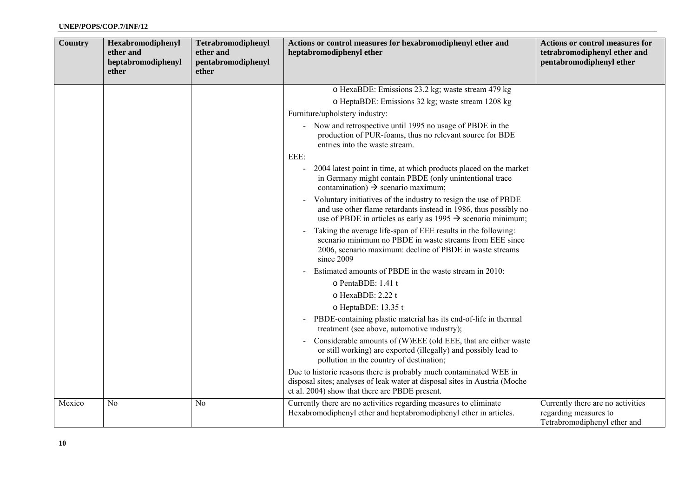| <b>Country</b> | Hexabromodiphenyl<br>ether and<br>heptabromodiphenyl<br>ether | Tetrabromodiphenyl<br>ether and<br>pentabromodiphenyl<br>ether | Actions or control measures for hexabromodiphenyl ether and<br>heptabromodiphenyl ether                                                                                                                                           | <b>Actions or control measures for</b><br>tetrabromodiphenyl ether and<br>pentabromodiphenyl ether |
|----------------|---------------------------------------------------------------|----------------------------------------------------------------|-----------------------------------------------------------------------------------------------------------------------------------------------------------------------------------------------------------------------------------|----------------------------------------------------------------------------------------------------|
|                |                                                               |                                                                | o HexaBDE: Emissions 23.2 kg; waste stream 479 kg                                                                                                                                                                                 |                                                                                                    |
|                |                                                               |                                                                | o HeptaBDE: Emissions 32 kg; waste stream 1208 kg                                                                                                                                                                                 |                                                                                                    |
|                |                                                               |                                                                | Furniture/upholstery industry:                                                                                                                                                                                                    |                                                                                                    |
|                |                                                               |                                                                | - Now and retrospective until 1995 no usage of PBDE in the<br>production of PUR-foams, thus no relevant source for BDE<br>entries into the waste stream.                                                                          |                                                                                                    |
|                |                                                               |                                                                | EEE:                                                                                                                                                                                                                              |                                                                                                    |
|                |                                                               |                                                                | 2004 latest point in time, at which products placed on the market<br>in Germany might contain PBDE (only unintentional trace<br>contamination) $\rightarrow$ scenario maximum;                                                    |                                                                                                    |
|                |                                                               |                                                                | Voluntary initiatives of the industry to resign the use of PBDE<br>$\blacksquare$<br>and use other flame retardants instead in 1986, thus possibly no<br>use of PBDE in articles as early as $1995 \rightarrow$ scenario minimum; |                                                                                                    |
|                |                                                               |                                                                | Taking the average life-span of EEE results in the following:<br>$\blacksquare$<br>scenario minimum no PBDE in waste streams from EEE since<br>2006, scenario maximum: decline of PBDE in waste streams<br>since 2009             |                                                                                                    |
|                |                                                               |                                                                | Estimated amounts of PBDE in the waste stream in 2010:                                                                                                                                                                            |                                                                                                    |
|                |                                                               |                                                                | o PentaBDE: 1.41 t                                                                                                                                                                                                                |                                                                                                    |
|                |                                                               |                                                                | o HexaBDE: 2.22 t                                                                                                                                                                                                                 |                                                                                                    |
|                |                                                               |                                                                | o HeptaBDE: 13.35 t                                                                                                                                                                                                               |                                                                                                    |
|                |                                                               |                                                                | PBDE-containing plastic material has its end-of-life in thermal<br>$\blacksquare$<br>treatment (see above, automotive industry);                                                                                                  |                                                                                                    |
|                |                                                               |                                                                | Considerable amounts of (W)EEE (old EEE, that are either waste<br>$\blacksquare$<br>or still working) are exported (illegally) and possibly lead to<br>pollution in the country of destination;                                   |                                                                                                    |
|                |                                                               |                                                                | Due to historic reasons there is probably much contaminated WEE in<br>disposal sites; analyses of leak water at disposal sites in Austria (Moche<br>et al. 2004) show that there are PBDE present.                                |                                                                                                    |
| Mexico         | N <sub>0</sub>                                                | N <sub>0</sub>                                                 | Currently there are no activities regarding measures to eliminate<br>Hexabromodiphenyl ether and heptabromodiphenyl ether in articles.                                                                                            | Currently there are no activities<br>regarding measures to<br>Tetrabromodiphenyl ether and         |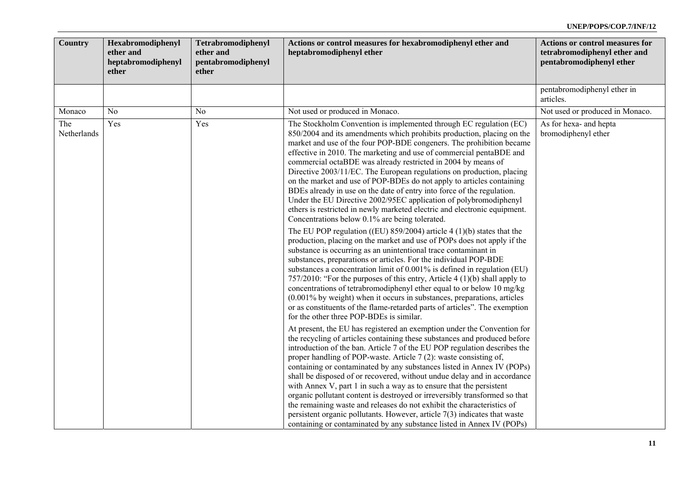| <b>Country</b><br>Hexabromodiphenyl<br>ether and<br>heptabromodiphenyl<br>ether | Tetrabromodiphenyl<br>ether and<br>pentabromodiphenyl<br>ether | Actions or control measures for hexabromodiphenyl ether and<br>heptabromodiphenyl ether                                                                                                                                                                                                                                                                                                                                                                                                                                                                                                                                                                                                                                                                                                                                                                                                                                                                                                                                                                                                                                                                                                                                                                                                                                                                                                                                                                                                                                                                                                                                                                                                                                                                                                                                                                                                                                                                                                                                                                                                                                                                                                                                                                                                                                                                                                    | <b>Actions or control measures for</b><br>tetrabromodiphenyl ether and<br>pentabromodiphenyl ether |
|---------------------------------------------------------------------------------|----------------------------------------------------------------|--------------------------------------------------------------------------------------------------------------------------------------------------------------------------------------------------------------------------------------------------------------------------------------------------------------------------------------------------------------------------------------------------------------------------------------------------------------------------------------------------------------------------------------------------------------------------------------------------------------------------------------------------------------------------------------------------------------------------------------------------------------------------------------------------------------------------------------------------------------------------------------------------------------------------------------------------------------------------------------------------------------------------------------------------------------------------------------------------------------------------------------------------------------------------------------------------------------------------------------------------------------------------------------------------------------------------------------------------------------------------------------------------------------------------------------------------------------------------------------------------------------------------------------------------------------------------------------------------------------------------------------------------------------------------------------------------------------------------------------------------------------------------------------------------------------------------------------------------------------------------------------------------------------------------------------------------------------------------------------------------------------------------------------------------------------------------------------------------------------------------------------------------------------------------------------------------------------------------------------------------------------------------------------------------------------------------------------------------------------------------------------------|----------------------------------------------------------------------------------------------------|
|                                                                                 |                                                                |                                                                                                                                                                                                                                                                                                                                                                                                                                                                                                                                                                                                                                                                                                                                                                                                                                                                                                                                                                                                                                                                                                                                                                                                                                                                                                                                                                                                                                                                                                                                                                                                                                                                                                                                                                                                                                                                                                                                                                                                                                                                                                                                                                                                                                                                                                                                                                                            | pentabromodiphenyl ether in<br>articles.                                                           |
| Monaco<br>N <sub>0</sub>                                                        | No                                                             | Not used or produced in Monaco.                                                                                                                                                                                                                                                                                                                                                                                                                                                                                                                                                                                                                                                                                                                                                                                                                                                                                                                                                                                                                                                                                                                                                                                                                                                                                                                                                                                                                                                                                                                                                                                                                                                                                                                                                                                                                                                                                                                                                                                                                                                                                                                                                                                                                                                                                                                                                            | Not used or produced in Monaco.                                                                    |
| The<br>Yes<br>Netherlands                                                       | Yes                                                            | The Stockholm Convention is implemented through EC regulation (EC)<br>850/2004 and its amendments which prohibits production, placing on the<br>market and use of the four POP-BDE congeners. The prohibition became<br>effective in 2010. The marketing and use of commercial pentaBDE and<br>commercial octaBDE was already restricted in 2004 by means of<br>Directive 2003/11/EC. The European regulations on production, placing<br>on the market and use of POP-BDEs do not apply to articles containing<br>BDEs already in use on the date of entry into force of the regulation.<br>Under the EU Directive 2002/95EC application of polybromodiphenyl<br>ethers is restricted in newly marketed electric and electronic equipment.<br>Concentrations below 0.1% are being tolerated.<br>The EU POP regulation ((EU) $859/2004$ ) article 4 (1)(b) states that the<br>production, placing on the market and use of POPs does not apply if the<br>substance is occurring as an unintentional trace contaminant in<br>substances, preparations or articles. For the individual POP-BDE<br>substances a concentration limit of 0.001% is defined in regulation (EU)<br>757/2010: "For the purposes of this entry, Article 4 (1)(b) shall apply to<br>concentrations of tetrabromodiphenyl ether equal to or below 10 mg/kg<br>(0.001% by weight) when it occurs in substances, preparations, articles<br>or as constituents of the flame-retarded parts of articles". The exemption<br>for the other three POP-BDEs is similar.<br>At present, the EU has registered an exemption under the Convention for<br>the recycling of articles containing these substances and produced before<br>introduction of the ban. Article 7 of the EU POP regulation describes the<br>proper handling of POP-waste. Article 7 (2): waste consisting of,<br>containing or contaminated by any substances listed in Annex IV (POPs)<br>shall be disposed of or recovered, without undue delay and in accordance<br>with Annex V, part 1 in such a way as to ensure that the persistent<br>organic pollutant content is destroyed or irreversibly transformed so that<br>the remaining waste and releases do not exhibit the characteristics of<br>persistent organic pollutants. However, article $7(3)$ indicates that waste<br>containing or contaminated by any substance listed in Annex IV (POPs) | As for hexa- and hepta<br>bromodiphenyl ether                                                      |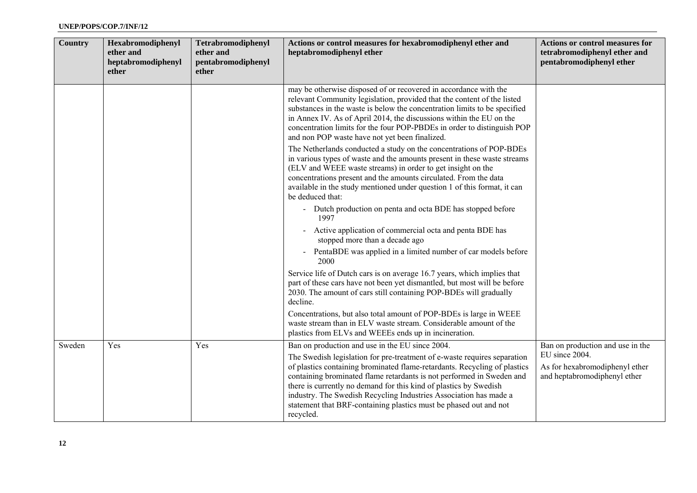| Country | Hexabromodiphenyl<br>ether and<br>heptabromodiphenyl<br>ether | Tetrabromodiphenyl<br>ether and<br>pentabromodiphenyl<br>ether | Actions or control measures for hexabromodiphenyl ether and<br>heptabromodiphenyl ether                                                                                                                                                                                                                                                                                                                                                                                                                       | <b>Actions or control measures for</b><br>tetrabromodiphenyl ether and<br>pentabromodiphenyl ether                   |
|---------|---------------------------------------------------------------|----------------------------------------------------------------|---------------------------------------------------------------------------------------------------------------------------------------------------------------------------------------------------------------------------------------------------------------------------------------------------------------------------------------------------------------------------------------------------------------------------------------------------------------------------------------------------------------|----------------------------------------------------------------------------------------------------------------------|
|         |                                                               |                                                                | may be otherwise disposed of or recovered in accordance with the<br>relevant Community legislation, provided that the content of the listed<br>substances in the waste is below the concentration limits to be specified<br>in Annex IV. As of April 2014, the discussions within the EU on the<br>concentration limits for the four POP-PBDEs in order to distinguish POP<br>and non POP waste have not yet been finalized.                                                                                  |                                                                                                                      |
|         |                                                               |                                                                | The Netherlands conducted a study on the concentrations of POP-BDEs<br>in various types of waste and the amounts present in these waste streams<br>(ELV and WEEE waste streams) in order to get insight on the<br>concentrations present and the amounts circulated. From the data<br>available in the study mentioned under question 1 of this format, it can<br>be deduced that:                                                                                                                            |                                                                                                                      |
|         |                                                               |                                                                | - Dutch production on penta and octa BDE has stopped before<br>1997                                                                                                                                                                                                                                                                                                                                                                                                                                           |                                                                                                                      |
|         |                                                               |                                                                | Active application of commercial octa and penta BDE has<br>stopped more than a decade ago                                                                                                                                                                                                                                                                                                                                                                                                                     |                                                                                                                      |
|         |                                                               |                                                                | PentaBDE was applied in a limited number of car models before<br>2000                                                                                                                                                                                                                                                                                                                                                                                                                                         |                                                                                                                      |
|         |                                                               |                                                                | Service life of Dutch cars is on average 16.7 years, which implies that<br>part of these cars have not been yet dismantled, but most will be before<br>2030. The amount of cars still containing POP-BDEs will gradually<br>decline.                                                                                                                                                                                                                                                                          |                                                                                                                      |
|         |                                                               |                                                                | Concentrations, but also total amount of POP-BDEs is large in WEEE<br>waste stream than in ELV waste stream. Considerable amount of the<br>plastics from ELVs and WEEEs ends up in incineration.                                                                                                                                                                                                                                                                                                              |                                                                                                                      |
| Sweden  | Yes                                                           | Yes                                                            | Ban on production and use in the EU since 2004.<br>The Swedish legislation for pre-treatment of e-waste requires separation<br>of plastics containing brominated flame-retardants. Recycling of plastics<br>containing brominated flame retardants is not performed in Sweden and<br>there is currently no demand for this kind of plastics by Swedish<br>industry. The Swedish Recycling Industries Association has made a<br>statement that BRF-containing plastics must be phased out and not<br>recycled. | Ban on production and use in the<br>EU since 2004.<br>As for hexabromodiphenyl ether<br>and heptabromodiphenyl ether |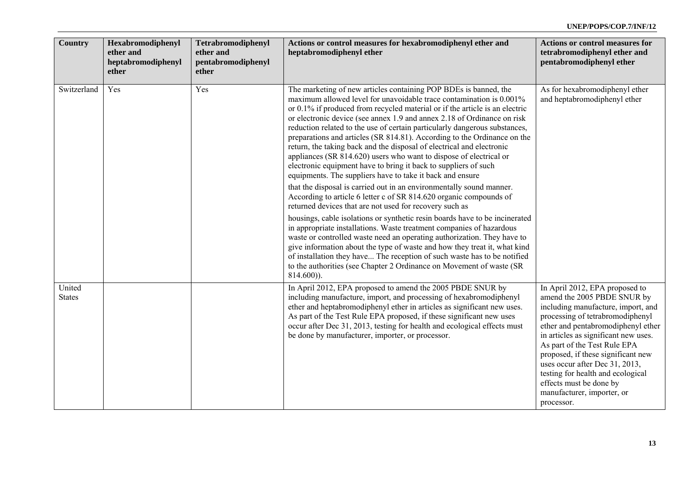| <b>Country</b>          | Hexabromodiphenyl<br>ether and<br>heptabromodiphenyl<br>ether | Tetrabromodiphenyl<br>ether and<br>pentabromodiphenyl<br>ether | Actions or control measures for hexabromodiphenyl ether and<br>heptabromodiphenyl ether                                                                                                                                                                                                                                                                                                                                                                                                                                                                                                                                                                                                                                                                                                                                                                                                                                                                                                                                                                                                                                                                                                                                                                                                                                                                                                                                                | <b>Actions or control measures for</b><br>tetrabromodiphenyl ether and<br>pentabromodiphenyl ether                                                                                                                                                                                                                                                                                                                                        |
|-------------------------|---------------------------------------------------------------|----------------------------------------------------------------|----------------------------------------------------------------------------------------------------------------------------------------------------------------------------------------------------------------------------------------------------------------------------------------------------------------------------------------------------------------------------------------------------------------------------------------------------------------------------------------------------------------------------------------------------------------------------------------------------------------------------------------------------------------------------------------------------------------------------------------------------------------------------------------------------------------------------------------------------------------------------------------------------------------------------------------------------------------------------------------------------------------------------------------------------------------------------------------------------------------------------------------------------------------------------------------------------------------------------------------------------------------------------------------------------------------------------------------------------------------------------------------------------------------------------------------|-------------------------------------------------------------------------------------------------------------------------------------------------------------------------------------------------------------------------------------------------------------------------------------------------------------------------------------------------------------------------------------------------------------------------------------------|
| Switzerland             | Yes                                                           | Yes                                                            | The marketing of new articles containing POP BDEs is banned, the<br>maximum allowed level for unavoidable trace contamination is 0.001%<br>or 0.1% if produced from recycled material or if the article is an electric<br>or electronic device (see annex 1.9 and annex 2.18 of Ordinance on risk<br>reduction related to the use of certain particularly dangerous substances,<br>preparations and articles (SR 814.81). According to the Ordinance on the<br>return, the taking back and the disposal of electrical and electronic<br>appliances (SR 814.620) users who want to dispose of electrical or<br>electronic equipment have to bring it back to suppliers of such<br>equipments. The suppliers have to take it back and ensure<br>that the disposal is carried out in an environmentally sound manner.<br>According to article 6 letter c of SR 814.620 organic compounds of<br>returned devices that are not used for recovery such as<br>housings, cable isolations or synthetic resin boards have to be incinerated<br>in appropriate installations. Waste treatment companies of hazardous<br>waste or controlled waste need an operating authorization. They have to<br>give information about the type of waste and how they treat it, what kind<br>of installation they have The reception of such waste has to be notified<br>to the authorities (see Chapter 2 Ordinance on Movement of waste (SR<br>$814.600$ ). | As for hexabromodiphenyl ether<br>and heptabromodiphenyl ether                                                                                                                                                                                                                                                                                                                                                                            |
| United<br><b>States</b> |                                                               |                                                                | In April 2012, EPA proposed to amend the 2005 PBDE SNUR by<br>including manufacture, import, and processing of hexabromodiphenyl<br>ether and heptabromodiphenyl ether in articles as significant new uses.<br>As part of the Test Rule EPA proposed, if these significant new uses<br>occur after Dec 31, 2013, testing for health and ecological effects must<br>be done by manufacturer, importer, or processor.                                                                                                                                                                                                                                                                                                                                                                                                                                                                                                                                                                                                                                                                                                                                                                                                                                                                                                                                                                                                                    | In April 2012, EPA proposed to<br>amend the 2005 PBDE SNUR by<br>including manufacture, import, and<br>processing of tetrabromodiphenyl<br>ether and pentabromodiphenyl ether<br>in articles as significant new uses.<br>As part of the Test Rule EPA<br>proposed, if these significant new<br>uses occur after Dec 31, 2013,<br>testing for health and ecological<br>effects must be done by<br>manufacturer, importer, or<br>processor. |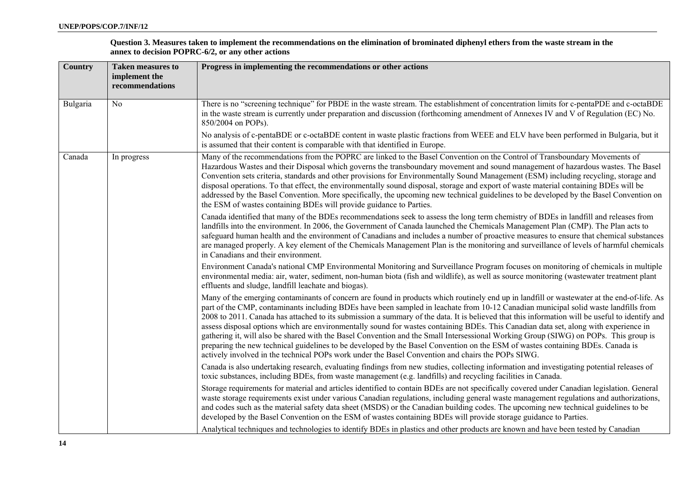| Question 3. Measures taken to implement the recommendations on the elimination of brominated diphenyl ethers from the waste stream in the |
|-------------------------------------------------------------------------------------------------------------------------------------------|
| annex to decision POPRC-6/2, or any other actions                                                                                         |

| Country  | <b>Taken measures to</b><br>implement the<br>recommendations | Progress in implementing the recommendations or other actions                                                                                                                                                                                                                                                                                                                                                                                                                                                                                                                                                                                                                                                                                                                                                                                                                                                                                              |
|----------|--------------------------------------------------------------|------------------------------------------------------------------------------------------------------------------------------------------------------------------------------------------------------------------------------------------------------------------------------------------------------------------------------------------------------------------------------------------------------------------------------------------------------------------------------------------------------------------------------------------------------------------------------------------------------------------------------------------------------------------------------------------------------------------------------------------------------------------------------------------------------------------------------------------------------------------------------------------------------------------------------------------------------------|
| Bulgaria | No                                                           | There is no "screening technique" for PBDE in the waste stream. The establishment of concentration limits for c-pentaPDE and c-octaBDE<br>in the waste stream is currently under preparation and discussion (forthcoming amendment of Annexes IV and V of Regulation (EC) No.<br>850/2004 on POPs).                                                                                                                                                                                                                                                                                                                                                                                                                                                                                                                                                                                                                                                        |
|          |                                                              | No analysis of c-pentaBDE or c-octaBDE content in waste plastic fractions from WEEE and ELV have been performed in Bulgaria, but it<br>is assumed that their content is comparable with that identified in Europe.                                                                                                                                                                                                                                                                                                                                                                                                                                                                                                                                                                                                                                                                                                                                         |
| Canada   | In progress                                                  | Many of the recommendations from the POPRC are linked to the Basel Convention on the Control of Transboundary Movements of<br>Hazardous Wastes and their Disposal which governs the transboundary movement and sound management of hazardous wastes. The Basel<br>Convention sets criteria, standards and other provisions for Environmentally Sound Management (ESM) including recycling, storage and<br>disposal operations. To that effect, the environmentally sound disposal, storage and export of waste material containing BDEs will be<br>addressed by the Basel Convention. More specifically, the upcoming new technical guidelines to be developed by the Basel Convention on<br>the ESM of wastes containing BDEs will provide guidance to Parties.                                                                                                                                                                                           |
|          |                                                              | Canada identified that many of the BDEs recommendations seek to assess the long term chemistry of BDEs in landfill and releases from<br>landfills into the environment. In 2006, the Government of Canada launched the Chemicals Management Plan (CMP). The Plan acts to<br>safeguard human health and the environment of Canadians and includes a number of proactive measures to ensure that chemical substances<br>are managed properly. A key element of the Chemicals Management Plan is the monitoring and surveillance of levels of harmful chemicals<br>in Canadians and their environment.                                                                                                                                                                                                                                                                                                                                                        |
|          |                                                              | Environment Canada's national CMP Environmental Monitoring and Surveillance Program focuses on monitoring of chemicals in multiple<br>environmental media: air, water, sediment, non-human biota (fish and wildlife), as well as source monitoring (wastewater treatment plant<br>effluents and sludge, landfill leachate and biogas).                                                                                                                                                                                                                                                                                                                                                                                                                                                                                                                                                                                                                     |
|          |                                                              | Many of the emerging contaminants of concern are found in products which routinely end up in landfill or wastewater at the end-of-life. As<br>part of the CMP, contaminants including BDEs have been sampled in leachate from 10-12 Canadian municipal solid waste landfills from<br>2008 to 2011. Canada has attached to its submission a summary of the data. It is believed that this information will be useful to identify and<br>assess disposal options which are environmentally sound for wastes containing BDEs. This Canadian data set, along with experience in<br>gathering it, will also be shared with the Basel Convention and the Small Intersessional Working Group (SIWG) on POPs. This group is<br>preparing the new technical guidelines to be developed by the Basel Convention on the ESM of wastes containing BDEs. Canada is<br>actively involved in the technical POPs work under the Basel Convention and chairs the POPs SIWG. |
|          |                                                              | Canada is also undertaking research, evaluating findings from new studies, collecting information and investigating potential releases of<br>toxic substances, including BDEs, from waste management (e.g. landfills) and recycling facilities in Canada.                                                                                                                                                                                                                                                                                                                                                                                                                                                                                                                                                                                                                                                                                                  |
|          |                                                              | Storage requirements for material and articles identified to contain BDEs are not specifically covered under Canadian legislation. General<br>waste storage requirements exist under various Canadian regulations, including general waste management regulations and authorizations,<br>and codes such as the material safety data sheet (MSDS) or the Canadian building codes. The upcoming new technical guidelines to be<br>developed by the Basel Convention on the ESM of wastes containing BDEs will provide storage guidance to Parties.                                                                                                                                                                                                                                                                                                                                                                                                           |
|          |                                                              | Analytical techniques and technologies to identify BDEs in plastics and other products are known and have been tested by Canadian                                                                                                                                                                                                                                                                                                                                                                                                                                                                                                                                                                                                                                                                                                                                                                                                                          |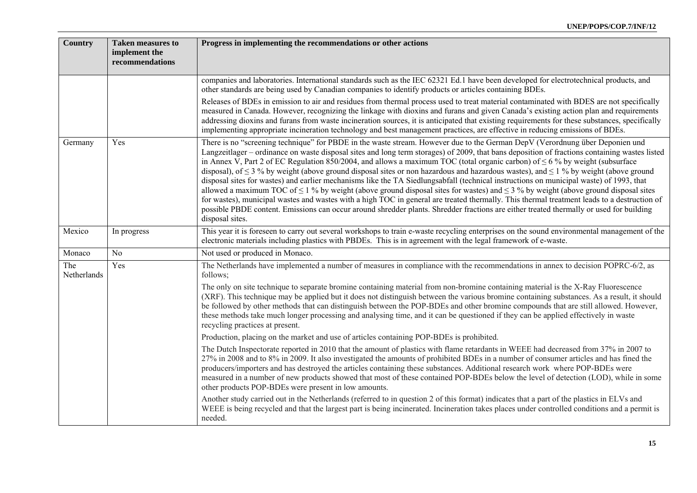| Country            | <b>Taken measures to</b><br>implement the<br>recommendations | Progress in implementing the recommendations or other actions                                                                                                                                                                                                                                                                                                                                                                                                                                                                                                                                                                                                                                                                                                                                                                                                                                                                                                                                                                                                                                                                                                                |
|--------------------|--------------------------------------------------------------|------------------------------------------------------------------------------------------------------------------------------------------------------------------------------------------------------------------------------------------------------------------------------------------------------------------------------------------------------------------------------------------------------------------------------------------------------------------------------------------------------------------------------------------------------------------------------------------------------------------------------------------------------------------------------------------------------------------------------------------------------------------------------------------------------------------------------------------------------------------------------------------------------------------------------------------------------------------------------------------------------------------------------------------------------------------------------------------------------------------------------------------------------------------------------|
|                    |                                                              | companies and laboratories. International standards such as the IEC 62321 Ed.1 have been developed for electrotechnical products, and<br>other standards are being used by Canadian companies to identify products or articles containing BDEs.                                                                                                                                                                                                                                                                                                                                                                                                                                                                                                                                                                                                                                                                                                                                                                                                                                                                                                                              |
|                    |                                                              | Releases of BDEs in emission to air and residues from thermal process used to treat material contaminated with BDES are not specifically<br>measured in Canada. However, recognizing the linkage with dioxins and furans and given Canada's existing action plan and requirements<br>addressing dioxins and furans from waste incineration sources, it is anticipated that existing requirements for these substances, specifically<br>implementing appropriate incineration technology and best management practices, are effective in reducing emissions of BDEs.                                                                                                                                                                                                                                                                                                                                                                                                                                                                                                                                                                                                          |
| Germany            | Yes                                                          | There is no "screening technique" for PBDE in the waste stream. However due to the German DepV (Verordnung über Deponien und<br>Langzeitlager – ordinance on waste disposal sites and long term storages) of 2009, that bans deposition of fractions containing wastes listed<br>in Annex V, Part 2 of EC Regulation 850/2004, and allows a maximum TOC (total organic carbon) of $\leq 6$ % by weight (subsurface<br>disposal), of $\leq$ 3 % by weight (above ground disposal sites or non hazardous and hazardous wastes), and $\leq$ 1 % by weight (above ground<br>disposal sites for wastes) and earlier mechanisms like the TA Siedlungsabfall (technical instructions on municipal waste) of 1993, that<br>allowed a maximum TOC of $\leq 1$ % by weight (above ground disposal sites for wastes) and $\leq 3$ % by weight (above ground disposal sites<br>for wastes), municipal wastes and wastes with a high TOC in general are treated thermally. This thermal treatment leads to a destruction of<br>possible PBDE content. Emissions can occur around shredder plants. Shredder fractions are either treated thermally or used for building<br>disposal sites. |
| Mexico             | In progress                                                  | This year it is foreseen to carry out several workshops to train e-waste recycling enterprises on the sound environmental management of the<br>electronic materials including plastics with PBDEs. This is in agreement with the legal framework of e-waste.                                                                                                                                                                                                                                                                                                                                                                                                                                                                                                                                                                                                                                                                                                                                                                                                                                                                                                                 |
| Monaco             | N <sub>o</sub>                                               | Not used or produced in Monaco.                                                                                                                                                                                                                                                                                                                                                                                                                                                                                                                                                                                                                                                                                                                                                                                                                                                                                                                                                                                                                                                                                                                                              |
| The<br>Netherlands | Yes                                                          | The Netherlands have implemented a number of measures in compliance with the recommendations in annex to decision POPRC-6/2, as<br>follows;                                                                                                                                                                                                                                                                                                                                                                                                                                                                                                                                                                                                                                                                                                                                                                                                                                                                                                                                                                                                                                  |
|                    |                                                              | The only on site technique to separate bromine containing material from non-bromine containing material is the X-Ray Fluorescence<br>(XRF). This technique may be applied but it does not distinguish between the various bromine containing substances. As a result, it should<br>be followed by other methods that can distinguish between the POP-BDEs and other bromine compounds that are still allowed. However,<br>these methods take much longer processing and analysing time, and it can be questioned if they can be applied effectively in waste<br>recycling practices at present.                                                                                                                                                                                                                                                                                                                                                                                                                                                                                                                                                                              |
|                    |                                                              | Production, placing on the market and use of articles containing POP-BDEs is prohibited.                                                                                                                                                                                                                                                                                                                                                                                                                                                                                                                                                                                                                                                                                                                                                                                                                                                                                                                                                                                                                                                                                     |
|                    |                                                              | The Dutch Inspectorate reported in 2010 that the amount of plastics with flame retardants in WEEE had decreased from 37% in 2007 to<br>27% in 2008 and to 8% in 2009. It also investigated the amounts of prohibited BDEs in a number of consumer articles and has fined the<br>producers/importers and has destroyed the articles containing these substances. Additional research work where POP-BDEs were<br>measured in a number of new products showed that most of these contained POP-BDEs below the level of detection (LOD), while in some<br>other products POP-BDEs were present in low amounts.                                                                                                                                                                                                                                                                                                                                                                                                                                                                                                                                                                  |
|                    |                                                              | Another study carried out in the Netherlands (referred to in question 2 of this format) indicates that a part of the plastics in ELVs and<br>WEEE is being recycled and that the largest part is being incinerated. Incineration takes places under controlled conditions and a permit is<br>needed.                                                                                                                                                                                                                                                                                                                                                                                                                                                                                                                                                                                                                                                                                                                                                                                                                                                                         |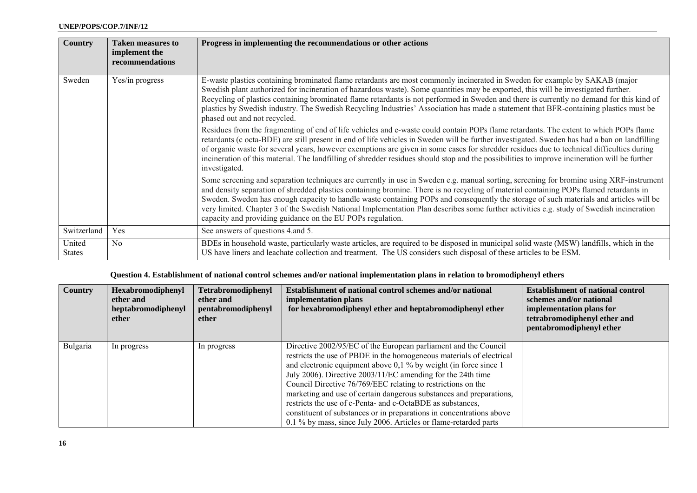| <b>Country</b>          | <b>Taken measures to</b><br>implement the<br>recommendations | Progress in implementing the recommendations or other actions                                                                                                                                                                                                                                                                                                                                                                                                                                                                                                                                                                         |
|-------------------------|--------------------------------------------------------------|---------------------------------------------------------------------------------------------------------------------------------------------------------------------------------------------------------------------------------------------------------------------------------------------------------------------------------------------------------------------------------------------------------------------------------------------------------------------------------------------------------------------------------------------------------------------------------------------------------------------------------------|
| Sweden                  | Yes/in progress                                              | E-waste plastics containing brominated flame retardants are most commonly incinerated in Sweden for example by SAKAB (major<br>Swedish plant authorized for incineration of hazardous waste). Some quantities may be exported, this will be investigated further.<br>Recycling of plastics containing brominated flame retardants is not performed in Sweden and there is currently no demand for this kind of<br>plastics by Swedish industry. The Swedish Recycling Industries' Association has made a statement that BFR-containing plastics must be<br>phased out and not recycled.                                               |
|                         |                                                              | Residues from the fragmenting of end of life vehicles and e-waste could contain POPs flame retardants. The extent to which POPs flame<br>retardants (c octa-BDE) are still present in end of life vehicles in Sweden will be further investigated. Sweden has had a ban on landfilling<br>of organic waste for several years, however exemptions are given in some cases for shredder residues due to technical difficulties during<br>incineration of this material. The landfilling of shredder residues should stop and the possibilities to improve incineration will be further<br>investigated.                                 |
|                         |                                                              | Some screening and separation techniques are currently in use in Sweden e.g. manual sorting, screening for bromine using XRF-instrument<br>and density separation of shredded plastics containing bromine. There is no recycling of material containing POPs flamed retardants in<br>Sweden. Sweden has enough capacity to handle waste containing POPs and consequently the storage of such materials and articles will be<br>very limited. Chapter 3 of the Swedish National Implementation Plan describes some further activities e.g. study of Swedish incineration<br>capacity and providing guidance on the EU POPs regulation. |
| Switzerland             | Yes                                                          | See answers of questions 4. and 5.                                                                                                                                                                                                                                                                                                                                                                                                                                                                                                                                                                                                    |
| United<br><b>States</b> | No                                                           | BDEs in household waste, particularly waste articles, are required to be disposed in municipal solid waste (MSW) landfills, which in the<br>US have liners and leachate collection and treatment. The US considers such disposal of these articles to be ESM.                                                                                                                                                                                                                                                                                                                                                                         |

### **Question 4. Establishment of national control schemes and/or national implementation plans in relation to bromodiphenyl ethers**

| <b>Country</b> | Hexabromodiphenyl<br>ether and<br>heptabromodiphenyl<br>ether | Tetrabromodiphenyl<br>ether and<br>pentabromodiphenyl<br>ether | Establishment of national control schemes and/or national<br>implementation plans<br>for hexabromodiphenyl ether and heptabromodiphenyl ether                                                                                                                                                                                                                                                                                                                                                                                                                                                                                 | <b>Establishment of national control</b><br>schemes and/or national<br>implementation plans for<br>tetrabromodiphenyl ether and<br>pentabromodiphenyl ether |
|----------------|---------------------------------------------------------------|----------------------------------------------------------------|-------------------------------------------------------------------------------------------------------------------------------------------------------------------------------------------------------------------------------------------------------------------------------------------------------------------------------------------------------------------------------------------------------------------------------------------------------------------------------------------------------------------------------------------------------------------------------------------------------------------------------|-------------------------------------------------------------------------------------------------------------------------------------------------------------|
| Bulgaria       | In progress                                                   | In progress                                                    | Directive 2002/95/EC of the European parliament and the Council<br>restricts the use of PBDE in the homogeneous materials of electrical<br>and electronic equipment above $0,1\%$ by weight (in force since 1<br>July 2006). Directive 2003/11/EC amending for the 24th time<br>Council Directive 76/769/EEC relating to restrictions on the<br>marketing and use of certain dangerous substances and preparations,<br>restricts the use of c-Penta- and c-OctaBDE as substances,<br>constituent of substances or in preparations in concentrations above<br>0.1 % by mass, since July 2006. Articles or flame-retarded parts |                                                                                                                                                             |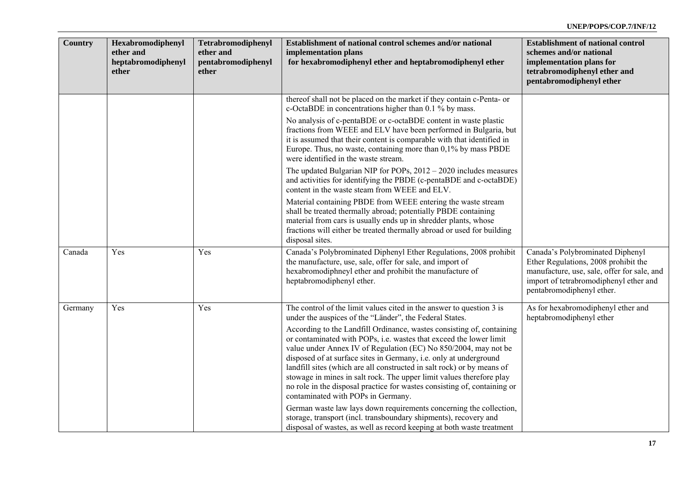| Country | Hexabromodiphenyl<br>ether and<br>heptabromodiphenyl<br>ether | Tetrabromodiphenyl<br>ether and<br>pentabromodiphenyl<br>ether | Establishment of national control schemes and/or national<br>implementation plans<br>for hexabromodiphenyl ether and heptabromodiphenyl ether                                                                                                                                                                                                                                                                                                                                                                                                           | <b>Establishment of national control</b><br>schemes and/or national<br>implementation plans for<br>tetrabromodiphenyl ether and<br>pentabromodiphenyl ether                                    |
|---------|---------------------------------------------------------------|----------------------------------------------------------------|---------------------------------------------------------------------------------------------------------------------------------------------------------------------------------------------------------------------------------------------------------------------------------------------------------------------------------------------------------------------------------------------------------------------------------------------------------------------------------------------------------------------------------------------------------|------------------------------------------------------------------------------------------------------------------------------------------------------------------------------------------------|
|         |                                                               |                                                                | thereof shall not be placed on the market if they contain c-Penta- or<br>c-OctaBDE in concentrations higher than 0.1 % by mass.                                                                                                                                                                                                                                                                                                                                                                                                                         |                                                                                                                                                                                                |
|         |                                                               |                                                                | No analysis of c-pentaBDE or c-octaBDE content in waste plastic<br>fractions from WEEE and ELV have been performed in Bulgaria, but<br>it is assumed that their content is comparable with that identified in<br>Europe. Thus, no waste, containing more than $0,1\%$ by mass PBDE<br>were identified in the waste stream.                                                                                                                                                                                                                              |                                                                                                                                                                                                |
|         |                                                               |                                                                | The updated Bulgarian NIP for POPs, $2012 - 2020$ includes measures<br>and activities for identifying the PBDE (c-pentaBDE and c-octaBDE)<br>content in the waste steam from WEEE and ELV.                                                                                                                                                                                                                                                                                                                                                              |                                                                                                                                                                                                |
|         |                                                               |                                                                | Material containing PBDE from WEEE entering the waste stream<br>shall be treated thermally abroad; potentially PBDE containing<br>material from cars is usually ends up in shredder plants, whose<br>fractions will either be treated thermally abroad or used for building<br>disposal sites.                                                                                                                                                                                                                                                          |                                                                                                                                                                                                |
| Canada  | Yes                                                           | Yes                                                            | Canada's Polybrominated Diphenyl Ether Regulations, 2008 prohibit<br>the manufacture, use, sale, offer for sale, and import of<br>hexabromodiphneyl ether and prohibit the manufacture of<br>heptabromodiphenyl ether.                                                                                                                                                                                                                                                                                                                                  | Canada's Polybrominated Diphenyl<br>Ether Regulations, 2008 prohibit the<br>manufacture, use, sale, offer for sale, and<br>import of tetrabromodiphenyl ether and<br>pentabromodiphenyl ether. |
| Germany | Yes                                                           | Yes                                                            | The control of the limit values cited in the answer to question 3 is<br>under the auspices of the "Länder", the Federal States.                                                                                                                                                                                                                                                                                                                                                                                                                         | As for hexabromodiphenyl ether and<br>heptabromodiphenyl ether                                                                                                                                 |
|         |                                                               |                                                                | According to the Landfill Ordinance, wastes consisting of, containing<br>or contaminated with POPs, i.e. wastes that exceed the lower limit<br>value under Annex IV of Regulation (EC) No 850/2004, may not be<br>disposed of at surface sites in Germany, i.e. only at underground<br>landfill sites (which are all constructed in salt rock) or by means of<br>stowage in mines in salt rock. The upper limit values therefore play<br>no role in the disposal practice for wastes consisting of, containing or<br>contaminated with POPs in Germany. |                                                                                                                                                                                                |
|         |                                                               |                                                                | German waste law lays down requirements concerning the collection,<br>storage, transport (incl. transboundary shipments), recovery and<br>disposal of wastes, as well as record keeping at both waste treatment                                                                                                                                                                                                                                                                                                                                         |                                                                                                                                                                                                |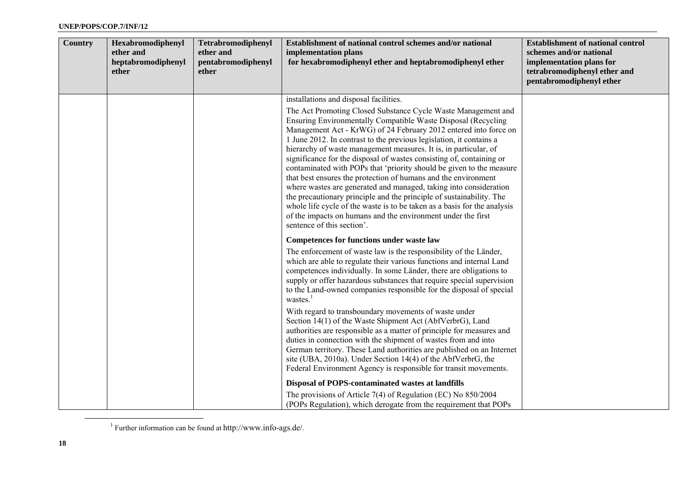| <b>Country</b> | Hexabromodiphenyl<br>ether and<br>heptabromodiphenyl<br>ether | Tetrabromodiphenyl<br>ether and<br>pentabromodiphenyl<br>ether | Establishment of national control schemes and/or national<br>implementation plans<br>for hexabromodiphenyl ether and heptabromodiphenyl ether                                                                                                                                                                                                                                                                                                                                                                                                                                                                                                                                                                                                                                                                                                                                                                                    | <b>Establishment of national control</b><br>schemes and/or national<br>implementation plans for<br>tetrabromodiphenyl ether and<br>pentabromodiphenyl ether |
|----------------|---------------------------------------------------------------|----------------------------------------------------------------|----------------------------------------------------------------------------------------------------------------------------------------------------------------------------------------------------------------------------------------------------------------------------------------------------------------------------------------------------------------------------------------------------------------------------------------------------------------------------------------------------------------------------------------------------------------------------------------------------------------------------------------------------------------------------------------------------------------------------------------------------------------------------------------------------------------------------------------------------------------------------------------------------------------------------------|-------------------------------------------------------------------------------------------------------------------------------------------------------------|
|                |                                                               |                                                                | installations and disposal facilities.<br>The Act Promoting Closed Substance Cycle Waste Management and<br>Ensuring Environmentally Compatible Waste Disposal (Recycling<br>Management Act - KrWG) of 24 February 2012 entered into force on<br>1 June 2012. In contrast to the previous legislation, it contains a<br>hierarchy of waste management measures. It is, in particular, of<br>significance for the disposal of wastes consisting of, containing or<br>contaminated with POPs that 'priority should be given to the measure<br>that best ensures the protection of humans and the environment<br>where wastes are generated and managed, taking into consideration<br>the precautionary principle and the principle of sustainability. The<br>whole life cycle of the waste is to be taken as a basis for the analysis<br>of the impacts on humans and the environment under the first<br>sentence of this section'. |                                                                                                                                                             |
|                |                                                               |                                                                | Competences for functions under waste law<br>The enforcement of waste law is the responsibility of the Länder,<br>which are able to regulate their various functions and internal Land<br>competences individually. In some Länder, there are obligations to<br>supply or offer hazardous substances that require special supervision<br>to the Land-owned companies responsible for the disposal of special<br>wastes.<br>With regard to transboundary movements of waste under<br>Section 14(1) of the Waste Shipment Act (AbfVerbrG), Land<br>authorities are responsible as a matter of principle for measures and<br>duties in connection with the shipment of wastes from and into<br>German territory. These Land authorities are published on an Internet<br>site (UBA, 2010a). Under Section 14(4) of the AbfVerbrG, the<br>Federal Environment Agency is responsible for transit movements.                            |                                                                                                                                                             |
|                |                                                               |                                                                | Disposal of POPS-contaminated wastes at landfills<br>The provisions of Article 7(4) of Regulation (EC) No $850/2004$<br>(POPs Regulation), which derogate from the requirement that POPs                                                                                                                                                                                                                                                                                                                                                                                                                                                                                                                                                                                                                                                                                                                                         |                                                                                                                                                             |

<sup>1</sup> Further information can be found at http://www.info-ags.de/.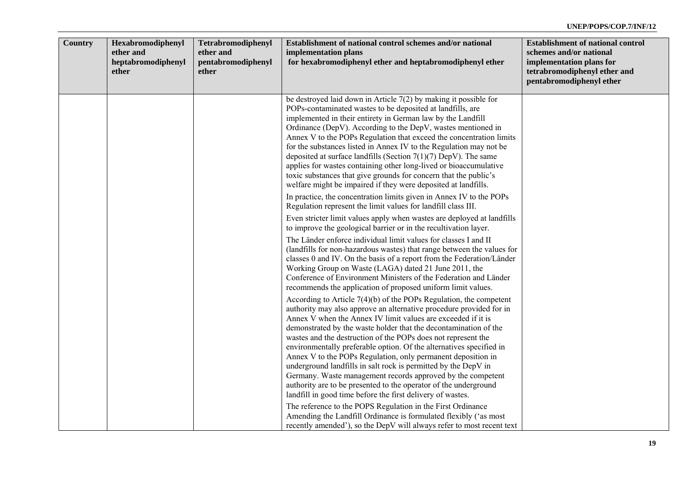| <b>Country</b> | Hexabromodiphenyl<br>ether and<br>heptabromodiphenyl<br>ether | Tetrabromodiphenyl<br>ether and<br>pentabromodiphenyl<br>ether | Establishment of national control schemes and/or national<br>implementation plans<br>for hexabromodiphenyl ether and heptabromodiphenyl ether                                                                                                                                                                                                                                                                                                                                                                                                                                                                                                                                                                                                              | <b>Establishment of national control</b><br>schemes and/or national<br>implementation plans for<br>tetrabromodiphenyl ether and<br>pentabromodiphenyl ether |
|----------------|---------------------------------------------------------------|----------------------------------------------------------------|------------------------------------------------------------------------------------------------------------------------------------------------------------------------------------------------------------------------------------------------------------------------------------------------------------------------------------------------------------------------------------------------------------------------------------------------------------------------------------------------------------------------------------------------------------------------------------------------------------------------------------------------------------------------------------------------------------------------------------------------------------|-------------------------------------------------------------------------------------------------------------------------------------------------------------|
|                |                                                               |                                                                | be destroyed laid down in Article $7(2)$ by making it possible for<br>POPs-contaminated wastes to be deposited at landfills, are<br>implemented in their entirety in German law by the Landfill<br>Ordinance (DepV). According to the DepV, wastes mentioned in<br>Annex V to the POPs Regulation that exceed the concentration limits<br>for the substances listed in Annex IV to the Regulation may not be<br>deposited at surface landfills (Section $7(1)(7)$ DepV). The same<br>applies for wastes containing other long-lived or bioaccumulative<br>toxic substances that give grounds for concern that the public's<br>welfare might be impaired if they were deposited at landfills.                                                               |                                                                                                                                                             |
|                |                                                               |                                                                | In practice, the concentration limits given in Annex IV to the POPs<br>Regulation represent the limit values for landfill class III.<br>Even stricter limit values apply when wastes are deployed at landfills                                                                                                                                                                                                                                                                                                                                                                                                                                                                                                                                             |                                                                                                                                                             |
|                |                                                               |                                                                | to improve the geological barrier or in the recultivation layer.<br>The Länder enforce individual limit values for classes I and II<br>(landfills for non-hazardous wastes) that range between the values for<br>classes 0 and IV. On the basis of a report from the Federation/Länder<br>Working Group on Waste (LAGA) dated 21 June 2011, the<br>Conference of Environment Ministers of the Federation and Länder<br>recommends the application of proposed uniform limit values.                                                                                                                                                                                                                                                                        |                                                                                                                                                             |
|                |                                                               |                                                                | According to Article $7(4)(b)$ of the POPs Regulation, the competent<br>authority may also approve an alternative procedure provided for in<br>Annex V when the Annex IV limit values are exceeded if it is<br>demonstrated by the waste holder that the decontamination of the<br>wastes and the destruction of the POPs does not represent the<br>environmentally preferable option. Of the alternatives specified in<br>Annex V to the POPs Regulation, only permanent deposition in<br>underground landfills in salt rock is permitted by the DepV in<br>Germany. Waste management records approved by the competent<br>authority are to be presented to the operator of the underground<br>landfill in good time before the first delivery of wastes. |                                                                                                                                                             |
|                |                                                               |                                                                | The reference to the POPS Regulation in the First Ordinance<br>Amending the Landfill Ordinance is formulated flexibly ('as most<br>recently amended'), so the DepV will always refer to most recent text                                                                                                                                                                                                                                                                                                                                                                                                                                                                                                                                                   |                                                                                                                                                             |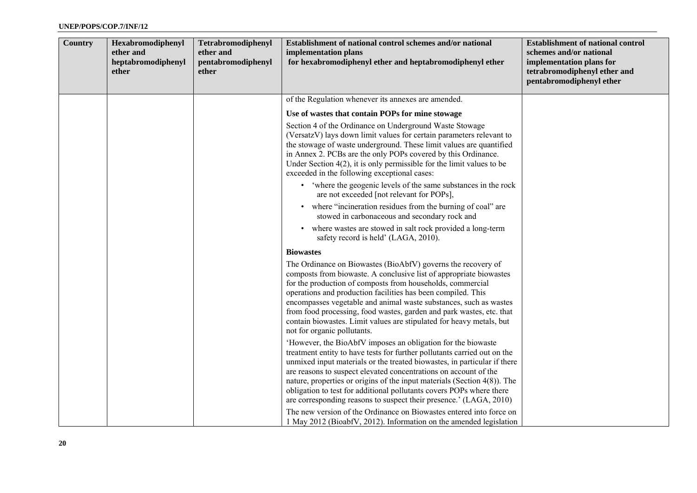| <b>Country</b> | Hexabromodiphenyl<br>ether and<br>heptabromodiphenyl<br>ether | Tetrabromodiphenyl<br>ether and<br>pentabromodiphenyl<br>ether | Establishment of national control schemes and/or national<br>implementation plans<br>for hexabromodiphenyl ether and heptabromodiphenyl ether                                                                                                                                                                                                                                                                                                                                                                        | <b>Establishment of national control</b><br>schemes and/or national<br>implementation plans for<br>tetrabromodiphenyl ether and<br>pentabromodiphenyl ether |
|----------------|---------------------------------------------------------------|----------------------------------------------------------------|----------------------------------------------------------------------------------------------------------------------------------------------------------------------------------------------------------------------------------------------------------------------------------------------------------------------------------------------------------------------------------------------------------------------------------------------------------------------------------------------------------------------|-------------------------------------------------------------------------------------------------------------------------------------------------------------|
|                |                                                               |                                                                | of the Regulation whenever its annexes are amended.                                                                                                                                                                                                                                                                                                                                                                                                                                                                  |                                                                                                                                                             |
|                |                                                               |                                                                | Use of wastes that contain POPs for mine stowage                                                                                                                                                                                                                                                                                                                                                                                                                                                                     |                                                                                                                                                             |
|                |                                                               |                                                                | Section 4 of the Ordinance on Underground Waste Stowage<br>(VersatzV) lays down limit values for certain parameters relevant to<br>the stowage of waste underground. These limit values are quantified<br>in Annex 2. PCBs are the only POPs covered by this Ordinance.<br>Under Section $4(2)$ , it is only permissible for the limit values to be<br>exceeded in the following exceptional cases:                                                                                                                  |                                                                                                                                                             |
|                |                                                               |                                                                | • 'where the geogenic levels of the same substances in the rock<br>are not exceeded [not relevant for POPs],                                                                                                                                                                                                                                                                                                                                                                                                         |                                                                                                                                                             |
|                |                                                               |                                                                | where "incineration residues from the burning of coal" are<br>$\bullet$<br>stowed in carbonaceous and secondary rock and                                                                                                                                                                                                                                                                                                                                                                                             |                                                                                                                                                             |
|                |                                                               |                                                                | • where wastes are stowed in salt rock provided a long-term<br>safety record is held' (LAGA, 2010).                                                                                                                                                                                                                                                                                                                                                                                                                  |                                                                                                                                                             |
|                |                                                               |                                                                | <b>Biowastes</b>                                                                                                                                                                                                                                                                                                                                                                                                                                                                                                     |                                                                                                                                                             |
|                |                                                               |                                                                | The Ordinance on Biowastes (BioAbfV) governs the recovery of<br>composts from biowaste. A conclusive list of appropriate biowastes<br>for the production of composts from households, commercial<br>operations and production facilities has been compiled. This<br>encompasses vegetable and animal waste substances, such as wastes<br>from food processing, food wastes, garden and park wastes, etc. that<br>contain biowastes. Limit values are stipulated for heavy metals, but<br>not for organic pollutants. |                                                                                                                                                             |
|                |                                                               |                                                                | 'However, the BioAbfV imposes an obligation for the biowaste<br>treatment entity to have tests for further pollutants carried out on the<br>unmixed input materials or the treated biowastes, in particular if there<br>are reasons to suspect elevated concentrations on account of the<br>nature, properties or origins of the input materials (Section 4(8)). The<br>obligation to test for additional pollutants covers POPs where there<br>are corresponding reasons to suspect their presence.' (LAGA, 2010)   |                                                                                                                                                             |
|                |                                                               |                                                                | The new version of the Ordinance on Biowastes entered into force on<br>1 May 2012 (BioabfV, 2012). Information on the amended legislation                                                                                                                                                                                                                                                                                                                                                                            |                                                                                                                                                             |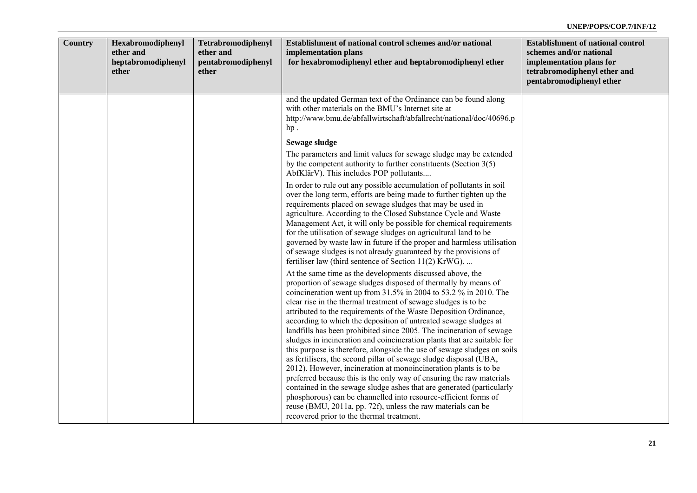| <b>Country</b> | Hexabromodiphenyl<br>ether and<br>heptabromodiphenyl<br>ether | Tetrabromodiphenyl<br>ether and<br>pentabromodiphenyl<br>ether | Establishment of national control schemes and/or national<br>implementation plans<br>for hexabromodiphenyl ether and heptabromodiphenyl ether                                                                                                                                                                                                                                                                                                                                                                                                                                                                                                                                                                                                                                                                                                                                                                                                                                                                                                                                                                      | <b>Establishment of national control</b><br>schemes and/or national<br>implementation plans for<br>tetrabromodiphenyl ether and<br>pentabromodiphenyl ether |
|----------------|---------------------------------------------------------------|----------------------------------------------------------------|--------------------------------------------------------------------------------------------------------------------------------------------------------------------------------------------------------------------------------------------------------------------------------------------------------------------------------------------------------------------------------------------------------------------------------------------------------------------------------------------------------------------------------------------------------------------------------------------------------------------------------------------------------------------------------------------------------------------------------------------------------------------------------------------------------------------------------------------------------------------------------------------------------------------------------------------------------------------------------------------------------------------------------------------------------------------------------------------------------------------|-------------------------------------------------------------------------------------------------------------------------------------------------------------|
|                |                                                               |                                                                | and the updated German text of the Ordinance can be found along<br>with other materials on the BMU's Internet site at<br>http://www.bmu.de/abfallwirtschaft/abfallrecht/national/doc/40696.p<br>hp.                                                                                                                                                                                                                                                                                                                                                                                                                                                                                                                                                                                                                                                                                                                                                                                                                                                                                                                |                                                                                                                                                             |
|                |                                                               |                                                                | Sewage sludge                                                                                                                                                                                                                                                                                                                                                                                                                                                                                                                                                                                                                                                                                                                                                                                                                                                                                                                                                                                                                                                                                                      |                                                                                                                                                             |
|                |                                                               |                                                                | The parameters and limit values for sewage sludge may be extended<br>by the competent authority to further constituents (Section $3(5)$ )<br>AbfKlärV). This includes POP pollutants                                                                                                                                                                                                                                                                                                                                                                                                                                                                                                                                                                                                                                                                                                                                                                                                                                                                                                                               |                                                                                                                                                             |
|                |                                                               |                                                                | In order to rule out any possible accumulation of pollutants in soil<br>over the long term, efforts are being made to further tighten up the<br>requirements placed on sewage sludges that may be used in<br>agriculture. According to the Closed Substance Cycle and Waste<br>Management Act, it will only be possible for chemical requirements<br>for the utilisation of sewage sludges on agricultural land to be<br>governed by waste law in future if the proper and harmless utilisation<br>of sewage sludges is not already guaranteed by the provisions of<br>fertiliser law (third sentence of Section 11(2) KrWG)                                                                                                                                                                                                                                                                                                                                                                                                                                                                                       |                                                                                                                                                             |
|                |                                                               |                                                                | At the same time as the developments discussed above, the<br>proportion of sewage sludges disposed of thermally by means of<br>coincineration went up from 31.5% in 2004 to 53.2 % in 2010. The<br>clear rise in the thermal treatment of sewage sludges is to be<br>attributed to the requirements of the Waste Deposition Ordinance,<br>according to which the deposition of untreated sewage sludges at<br>landfills has been prohibited since 2005. The incineration of sewage<br>sludges in incineration and coincineration plants that are suitable for<br>this purpose is therefore, alongside the use of sewage sludges on soils<br>as fertilisers, the second pillar of sewage sludge disposal (UBA,<br>2012). However, incineration at monoincineration plants is to be<br>preferred because this is the only way of ensuring the raw materials<br>contained in the sewage sludge ashes that are generated (particularly<br>phosphorous) can be channelled into resource-efficient forms of<br>reuse (BMU, 2011a, pp. 72f), unless the raw materials can be<br>recovered prior to the thermal treatment. |                                                                                                                                                             |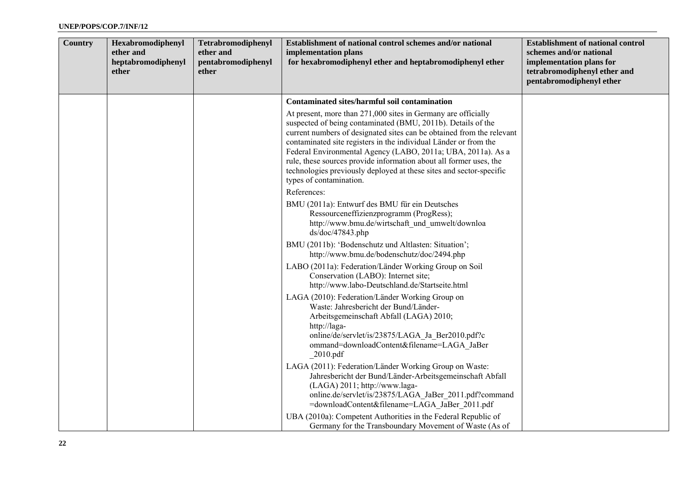| Country | Hexabromodiphenyl<br>ether and<br>heptabromodiphenyl<br>ether | Tetrabromodiphenyl<br>ether and<br>pentabromodiphenyl<br>ether | Establishment of national control schemes and/or national<br>implementation plans<br>for hexabromodiphenyl ether and heptabromodiphenyl ether                                                                                                                                                                                                                                                                                                                                                                      | <b>Establishment of national control</b><br>schemes and/or national<br>implementation plans for<br>tetrabromodiphenyl ether and<br>pentabromodiphenyl ether |
|---------|---------------------------------------------------------------|----------------------------------------------------------------|--------------------------------------------------------------------------------------------------------------------------------------------------------------------------------------------------------------------------------------------------------------------------------------------------------------------------------------------------------------------------------------------------------------------------------------------------------------------------------------------------------------------|-------------------------------------------------------------------------------------------------------------------------------------------------------------|
|         |                                                               |                                                                | <b>Contaminated sites/harmful soil contamination</b>                                                                                                                                                                                                                                                                                                                                                                                                                                                               |                                                                                                                                                             |
|         |                                                               |                                                                | At present, more than 271,000 sites in Germany are officially<br>suspected of being contaminated (BMU, 2011b). Details of the<br>current numbers of designated sites can be obtained from the relevant<br>contaminated site registers in the individual Länder or from the<br>Federal Environmental Agency (LABO, 2011a; UBA, 2011a). As a<br>rule, these sources provide information about all former uses, the<br>technologies previously deployed at these sites and sector-specific<br>types of contamination. |                                                                                                                                                             |
|         |                                                               |                                                                | References:                                                                                                                                                                                                                                                                                                                                                                                                                                                                                                        |                                                                                                                                                             |
|         |                                                               |                                                                | BMU (2011a): Entwurf des BMU für ein Deutsches<br>Ressourceneffizienzprogramm (ProgRess);<br>http://www.bmu.de/wirtschaft und umwelt/downloa<br>$ds/doc/47843$ .php                                                                                                                                                                                                                                                                                                                                                |                                                                                                                                                             |
|         |                                                               |                                                                | BMU (2011b): 'Bodenschutz und Altlasten: Situation';<br>http://www.bmu.de/bodenschutz/doc/2494.php                                                                                                                                                                                                                                                                                                                                                                                                                 |                                                                                                                                                             |
|         |                                                               |                                                                | LABO (2011a): Federation/Länder Working Group on Soil<br>Conservation (LABO): Internet site;<br>http://www.labo-Deutschland.de/Startseite.html                                                                                                                                                                                                                                                                                                                                                                     |                                                                                                                                                             |
|         |                                                               |                                                                | LAGA (2010): Federation/Länder Working Group on<br>Waste: Jahresbericht der Bund/Länder-<br>Arbeitsgemeinschaft Abfall (LAGA) 2010;<br>http://laga-<br>online/de/servlet/is/23875/LAGA Ja Ber2010.pdf?c<br>ommand=downloadContent&filename=LAGA_JaBer<br>$_{2010.pdf}$                                                                                                                                                                                                                                             |                                                                                                                                                             |
|         |                                                               |                                                                | LAGA (2011): Federation/Länder Working Group on Waste:<br>Jahresbericht der Bund/Länder-Arbeitsgemeinschaft Abfall<br>(LAGA) 2011; http://www.laga-<br>online.de/servlet/is/23875/LAGA_JaBer_2011.pdf?command<br>=downloadContent&filename=LAGA JaBer 2011.pdf                                                                                                                                                                                                                                                     |                                                                                                                                                             |
|         |                                                               |                                                                | UBA (2010a): Competent Authorities in the Federal Republic of<br>Germany for the Transboundary Movement of Waste (As of                                                                                                                                                                                                                                                                                                                                                                                            |                                                                                                                                                             |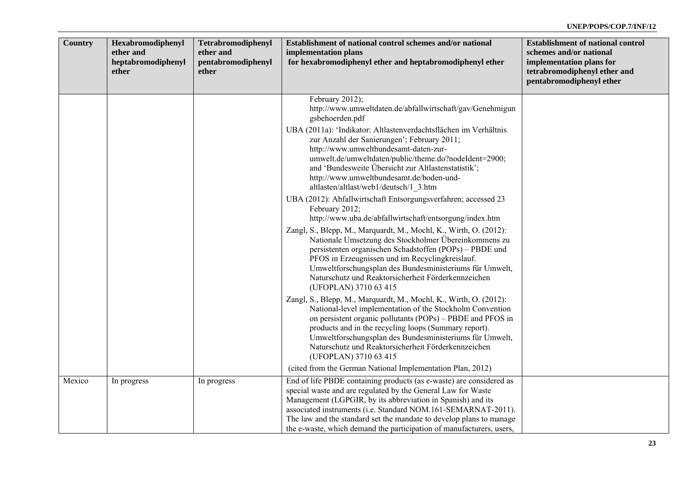| <b>Country</b> | Hexabromodiphenyl<br>ether and<br>heptabromodiphenyl<br>ether | Tetrabromodiphenyl<br>ether and<br>pentabromodiphenyl<br>ether | Establishment of national control schemes and/or national<br>implementation plans<br>for hexabromodiphenyl ether and heptabromodiphenyl ether                                                                                                                                                                                                                                                    | <b>Establishment of national control</b><br>schemes and/or national<br>implementation plans for<br>tetrabromodiphenyl ether and<br>pentabromodiphenyl ether |
|----------------|---------------------------------------------------------------|----------------------------------------------------------------|--------------------------------------------------------------------------------------------------------------------------------------------------------------------------------------------------------------------------------------------------------------------------------------------------------------------------------------------------------------------------------------------------|-------------------------------------------------------------------------------------------------------------------------------------------------------------|
|                |                                                               |                                                                | February 2012);<br>http://www.umweltdaten.de/abfallwirtschaft/gav/Genehmigun<br>gsbehoerden.pdf                                                                                                                                                                                                                                                                                                  |                                                                                                                                                             |
|                |                                                               |                                                                | UBA (2011a): 'Indikator: Altlastenverdachtsflächen im Verhältnis<br>zur Anzahl der Sanierungen'; February 2011;<br>http://www.umweltbundesamt-daten-zur-<br>umwelt.de/umweltdaten/public/theme.do?nodeIdent=2900;<br>and 'Bundesweite Übersicht zur Altlastenstatistik';<br>http://www.umweltbundesamt.de/boden-und-<br>altlasten/altlast/web1/deutsch/1_3.htm                                   |                                                                                                                                                             |
|                |                                                               |                                                                | UBA (2012): Abfallwirtschaft Entsorgungsverfahren; accessed 23<br>February 2012;<br>http://www.uba.de/abfallwirtschaft/entsorgung/index.htm                                                                                                                                                                                                                                                      |                                                                                                                                                             |
|                |                                                               |                                                                | Zangl, S., Blepp, M., Marquardt, M., Mochl, K., Wirth, O. (2012):<br>Nationale Umsetzung des Stockholmer Übereinkommens zu<br>persistenten organischen Schadstoffen (POPs) – PBDE und<br>PFOS in Erzeugnissen und im Recyclingkreislauf.<br>Umweltforschungsplan des Bundesministeriums für Umwelt,<br>Naturschutz und Reaktorsicherheit Förderkennzeichen<br>(UFOPLAN) 3710 63 415              |                                                                                                                                                             |
|                |                                                               |                                                                | Zangl, S., Blepp, M., Marquardt, M., Mochl, K., Wirth, O. (2012):<br>National-level implementation of the Stockholm Convention<br>on persistent organic pollutants (POPs) – PBDE and PFOS in<br>products and in the recycling loops (Summary report).<br>Umweltforschungsplan des Bundesministeriums für Umwelt,<br>Naturschutz und Reaktorsicherheit Förderkennzeichen<br>(UFOPLAN) 3710 63 415 |                                                                                                                                                             |
| Mexico         | In progress                                                   | In progress                                                    | (cited from the German National Implementation Plan, 2012)<br>End of life PBDE containing products (as e-waste) are considered as                                                                                                                                                                                                                                                                |                                                                                                                                                             |
|                |                                                               |                                                                | special waste and are regulated by the General Law for Waste<br>Management (LGPGIR, by its abbreviation in Spanish) and its<br>associated instruments (i.e. Standard NOM.161-SEMARNAT-2011).<br>The law and the standard set the mandate to develop plans to manage<br>the e-waste, which demand the participation of manufacturers, users,                                                      |                                                                                                                                                             |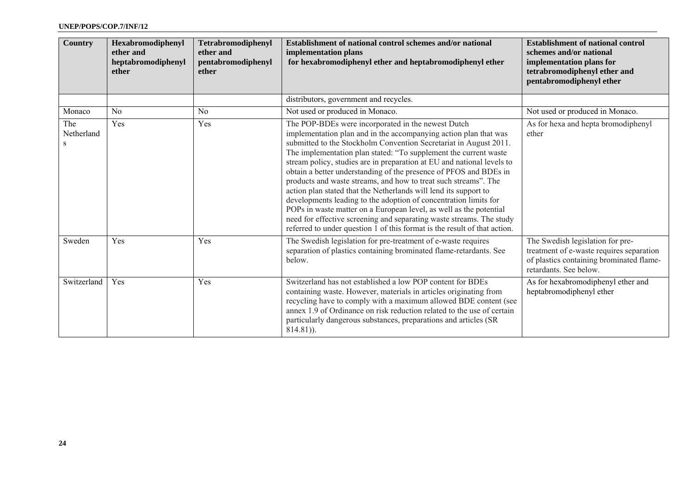| <b>Country</b>         | Hexabromodiphenyl<br>ether and<br>heptabromodiphenyl<br>ether | Tetrabromodiphenyl<br>ether and<br>pentabromodiphenyl<br>ether | Establishment of national control schemes and/or national<br>implementation plans<br>for hexabromodiphenyl ether and heptabromodiphenyl ether                                                                                                                                                                                                                                                                                                                                                                                                                                                                                                                                                                                                                                                                                                        | <b>Establishment of national control</b><br>schemes and/or national<br>implementation plans for<br>tetrabromodiphenyl ether and<br>pentabromodiphenyl ether |
|------------------------|---------------------------------------------------------------|----------------------------------------------------------------|------------------------------------------------------------------------------------------------------------------------------------------------------------------------------------------------------------------------------------------------------------------------------------------------------------------------------------------------------------------------------------------------------------------------------------------------------------------------------------------------------------------------------------------------------------------------------------------------------------------------------------------------------------------------------------------------------------------------------------------------------------------------------------------------------------------------------------------------------|-------------------------------------------------------------------------------------------------------------------------------------------------------------|
|                        |                                                               |                                                                | distributors, government and recycles.                                                                                                                                                                                                                                                                                                                                                                                                                                                                                                                                                                                                                                                                                                                                                                                                               |                                                                                                                                                             |
| Monaco                 | No                                                            | N <sub>0</sub>                                                 | Not used or produced in Monaco.                                                                                                                                                                                                                                                                                                                                                                                                                                                                                                                                                                                                                                                                                                                                                                                                                      | Not used or produced in Monaco.                                                                                                                             |
| The<br>Netherland<br>S | Yes                                                           | Yes                                                            | The POP-BDEs were incorporated in the newest Dutch<br>implementation plan and in the accompanying action plan that was<br>submitted to the Stockholm Convention Secretariat in August 2011.<br>The implementation plan stated: "To supplement the current waste<br>stream policy, studies are in preparation at EU and national levels to<br>obtain a better understanding of the presence of PFOS and BDEs in<br>products and waste streams, and how to treat such streams". The<br>action plan stated that the Netherlands will lend its support to<br>developments leading to the adoption of concentration limits for<br>POPs in waste matter on a European level, as well as the potential<br>need for effective screening and separating waste streams. The study<br>referred to under question 1 of this format is the result of that action. | As for hexa and hepta bromodiphenyl<br>ether                                                                                                                |
| Sweden                 | Yes                                                           | Yes                                                            | The Swedish legislation for pre-treatment of e-waste requires<br>separation of plastics containing brominated flame-retardants. See<br>below.                                                                                                                                                                                                                                                                                                                                                                                                                                                                                                                                                                                                                                                                                                        | The Swedish legislation for pre-<br>treatment of e-waste requires separation<br>of plastics containing brominated flame-<br>retardants. See below.          |
| Switzerland            | Yes                                                           | Yes                                                            | Switzerland has not established a low POP content for BDEs<br>containing waste. However, materials in articles originating from<br>recycling have to comply with a maximum allowed BDE content (see<br>annex 1.9 of Ordinance on risk reduction related to the use of certain<br>particularly dangerous substances, preparations and articles (SR<br>$814.81$ ).                                                                                                                                                                                                                                                                                                                                                                                                                                                                                     | As for hexabromodiphenyl ether and<br>heptabromodiphenyl ether                                                                                              |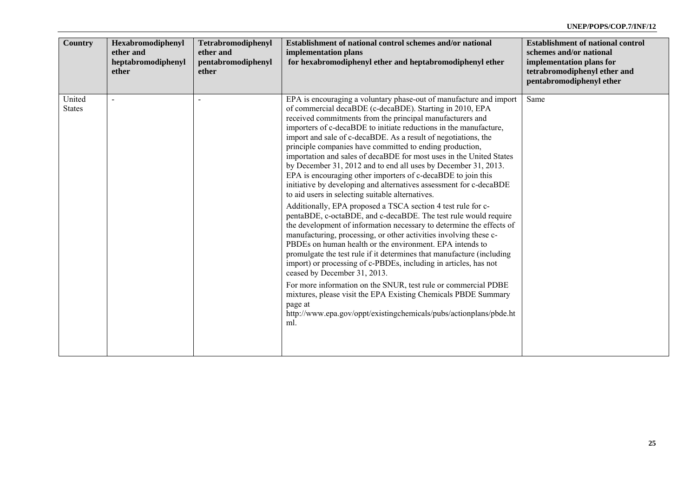| <b>Country</b>          | Hexabromodiphenyl<br>ether and<br>heptabromodiphenyl<br>ether | Tetrabromodiphenyl<br>ether and<br>pentabromodiphenyl<br>ether | Establishment of national control schemes and/or national<br>implementation plans<br>for hexabromodiphenyl ether and heptabromodiphenyl ether                                                                                                                                                                                                                                                                                                                                                                                                                                                                                                                                                                                                                                                                                                                                                                                                                                                                                                                                                                                                                                                                                                                                                                                                                                                                                                                                          | <b>Establishment of national control</b><br>schemes and/or national<br>implementation plans for<br>tetrabromodiphenyl ether and<br>pentabromodiphenyl ether |
|-------------------------|---------------------------------------------------------------|----------------------------------------------------------------|----------------------------------------------------------------------------------------------------------------------------------------------------------------------------------------------------------------------------------------------------------------------------------------------------------------------------------------------------------------------------------------------------------------------------------------------------------------------------------------------------------------------------------------------------------------------------------------------------------------------------------------------------------------------------------------------------------------------------------------------------------------------------------------------------------------------------------------------------------------------------------------------------------------------------------------------------------------------------------------------------------------------------------------------------------------------------------------------------------------------------------------------------------------------------------------------------------------------------------------------------------------------------------------------------------------------------------------------------------------------------------------------------------------------------------------------------------------------------------------|-------------------------------------------------------------------------------------------------------------------------------------------------------------|
| United<br><b>States</b> |                                                               |                                                                | EPA is encouraging a voluntary phase-out of manufacture and import<br>of commercial decaBDE (c-decaBDE). Starting in 2010, EPA<br>received commitments from the principal manufacturers and<br>importers of c-decaBDE to initiate reductions in the manufacture,<br>import and sale of c-decaBDE. As a result of negotiations, the<br>principle companies have committed to ending production,<br>importation and sales of decaBDE for most uses in the United States<br>by December 31, 2012 and to end all uses by December 31, 2013.<br>EPA is encouraging other importers of c-decaBDE to join this<br>initiative by developing and alternatives assessment for c-decaBDE<br>to aid users in selecting suitable alternatives.<br>Additionally, EPA proposed a TSCA section 4 test rule for c-<br>pentaBDE, c-octaBDE, and c-decaBDE. The test rule would require<br>the development of information necessary to determine the effects of<br>manufacturing, processing, or other activities involving these c-<br>PBDEs on human health or the environment. EPA intends to<br>promulgate the test rule if it determines that manufacture (including<br>import) or processing of c-PBDEs, including in articles, has not<br>ceased by December 31, 2013.<br>For more information on the SNUR, test rule or commercial PDBE<br>mixtures, please visit the EPA Existing Chemicals PBDE Summary<br>page at<br>http://www.epa.gov/oppt/existingchemicals/pubs/actionplans/pbde.ht<br>ml. | Same                                                                                                                                                        |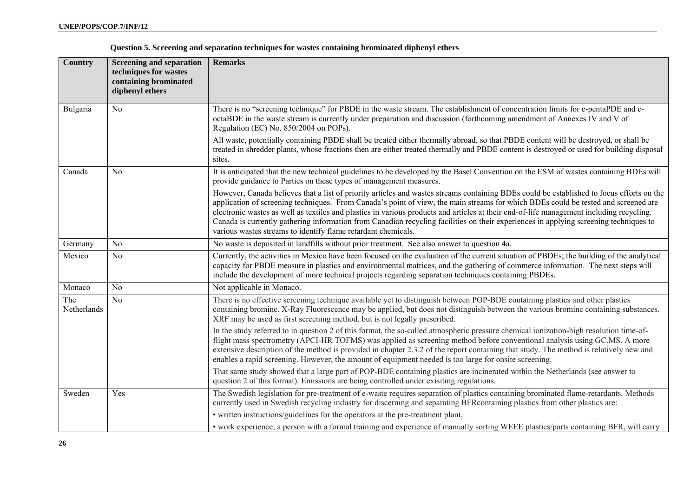|  |  |  |  | Question 5. Screening and separation techniques for wastes containing brominated diphenyl ethers |
|--|--|--|--|--------------------------------------------------------------------------------------------------|
|  |  |  |  |                                                                                                  |

| <b>Country</b>     | <b>Screening and separation</b><br>techniques for wastes<br>containing brominated<br>diphenyl ethers | <b>Remarks</b>                                                                                                                                                                                                                                                                                                                                                                                                                                                                                                                                                                                                                        |
|--------------------|------------------------------------------------------------------------------------------------------|---------------------------------------------------------------------------------------------------------------------------------------------------------------------------------------------------------------------------------------------------------------------------------------------------------------------------------------------------------------------------------------------------------------------------------------------------------------------------------------------------------------------------------------------------------------------------------------------------------------------------------------|
| Bulgaria           | No                                                                                                   | There is no "screening technique" for PBDE in the waste stream. The establishment of concentration limits for c-pentaPDE and c-<br>octaBDE in the waste stream is currently under preparation and discussion (forthcoming amendment of Annexes IV and V of<br>Regulation (EC) No. 850/2004 on POPs).                                                                                                                                                                                                                                                                                                                                  |
|                    |                                                                                                      | All waste, potentially containing PBDE shall be treated either thermally abroad, so that PBDE content will be destroyed, or shall be<br>treated in shredder plants, whose fractions then are either treated thermally and PBDE content is destroyed or used for building disposal<br>sites.                                                                                                                                                                                                                                                                                                                                           |
| Canada             | N <sub>0</sub>                                                                                       | It is anticipated that the new technical guidelines to be developed by the Basel Convention on the ESM of wastes containing BDEs will<br>provide guidance to Parties on these types of management measures.                                                                                                                                                                                                                                                                                                                                                                                                                           |
|                    |                                                                                                      | However, Canada believes that a list of priority articles and wastes streams containing BDEs could be established to focus efforts on the<br>application of screening techniques. From Canada's point of view, the main streams for which BDEs could be tested and screened are<br>electronic wastes as well as textiles and plastics in various products and articles at their end-of-life management including recycling.<br>Canada is currently gathering information from Canadian recycling facilities on their experiences in applying screening techniques to<br>various wastes streams to identify flame retardant chemicals. |
| Germany            | No                                                                                                   | No waste is deposited in landfills without prior treatment. See also answer to question 4a.                                                                                                                                                                                                                                                                                                                                                                                                                                                                                                                                           |
| Mexico             | No                                                                                                   | Currently, the activities in Mexico have been focused on the evaluation of the current situation of PBDEs; the building of the analytical<br>capacity for PBDE measure in plastics and environmental matrices, and the gathering of commerce information. The next steps will<br>include the development of more technical projects regarding separation techniques containing PBDEs.                                                                                                                                                                                                                                                 |
| Monaco             | N <sub>0</sub>                                                                                       | Not applicable in Monaco.                                                                                                                                                                                                                                                                                                                                                                                                                                                                                                                                                                                                             |
| The<br>Netherlands | No                                                                                                   | There is no effective screening technique available yet to distinguish between POP-BDE containing plastics and other plastics<br>containing bromine. X-Ray Fluorescence may be applied, but does not distinguish between the various bromine containing substances.<br>XRF may be used as first screening method, but is not legally prescribed.                                                                                                                                                                                                                                                                                      |
|                    |                                                                                                      | In the study referred to in question 2 of this format, the so-called atmospheric pressure chemical ionization-high resolution time-of-<br>flight mass spectrometry (APCI-HR TOFMS) was applied as screening method before conventional analysis using GC.MS. A more<br>extensive description of the method is provided in chapter 2.3.2 of the report containing that study. The method is relatively new and<br>enables a rapid screening. However, the amount of equipment needed is too large for onsite screening.                                                                                                                |
|                    |                                                                                                      | That same study showed that a large part of POP-BDE containing plastics are incinerated within the Netherlands (see answer to<br>question 2 of this format). Emissions are being controlled under exisiting regulations.                                                                                                                                                                                                                                                                                                                                                                                                              |
| Sweden             | Yes                                                                                                  | The Swedish legislation for pre-treatment of e-waste requires separation of plastics containing brominated flame-retardants. Methods<br>currently used in Swedish recycling industry for discerning and separating BFR containing plastics from other plastics are:                                                                                                                                                                                                                                                                                                                                                                   |
|                    |                                                                                                      | • written instructions/guidelines for the operators at the pre-treatment plant,                                                                                                                                                                                                                                                                                                                                                                                                                                                                                                                                                       |
|                    |                                                                                                      | • work experience; a person with a formal training and experience of manually sorting WEEE plastics/parts containing BFR, will carry                                                                                                                                                                                                                                                                                                                                                                                                                                                                                                  |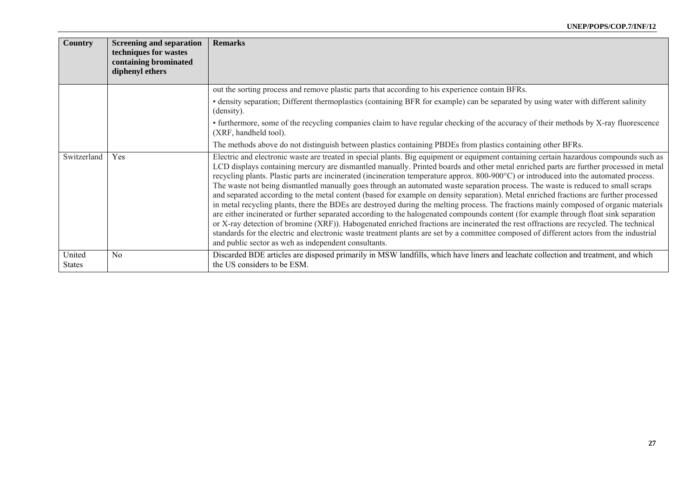| <b>Country</b>          | <b>Screening and separation</b><br>techniques for wastes<br>containing brominated<br>diphenyl ethers | <b>Remarks</b>                                                                                                                                                                                                                                                                                                                                                                                                                                                                                                                                                                                                                                                                                                                                                                                                                                                                                                                                                                                                                                                                                                                                                                                                                                                                                                                          |
|-------------------------|------------------------------------------------------------------------------------------------------|-----------------------------------------------------------------------------------------------------------------------------------------------------------------------------------------------------------------------------------------------------------------------------------------------------------------------------------------------------------------------------------------------------------------------------------------------------------------------------------------------------------------------------------------------------------------------------------------------------------------------------------------------------------------------------------------------------------------------------------------------------------------------------------------------------------------------------------------------------------------------------------------------------------------------------------------------------------------------------------------------------------------------------------------------------------------------------------------------------------------------------------------------------------------------------------------------------------------------------------------------------------------------------------------------------------------------------------------|
|                         |                                                                                                      | out the sorting process and remove plastic parts that according to his experience contain BFRs.                                                                                                                                                                                                                                                                                                                                                                                                                                                                                                                                                                                                                                                                                                                                                                                                                                                                                                                                                                                                                                                                                                                                                                                                                                         |
|                         |                                                                                                      | • density separation; Different thermoplastics (containing BFR for example) can be separated by using water with different salinity<br>(density).                                                                                                                                                                                                                                                                                                                                                                                                                                                                                                                                                                                                                                                                                                                                                                                                                                                                                                                                                                                                                                                                                                                                                                                       |
|                         |                                                                                                      | • furthermore, some of the recycling companies claim to have regular checking of the accuracy of their methods by X-ray fluorescence<br>(XRF, handheld tool).                                                                                                                                                                                                                                                                                                                                                                                                                                                                                                                                                                                                                                                                                                                                                                                                                                                                                                                                                                                                                                                                                                                                                                           |
|                         |                                                                                                      | The methods above do not distinguish between plastics containing PBDEs from plastics containing other BFRs.                                                                                                                                                                                                                                                                                                                                                                                                                                                                                                                                                                                                                                                                                                                                                                                                                                                                                                                                                                                                                                                                                                                                                                                                                             |
| Switzerland             | Yes                                                                                                  | Electric and electronic waste are treated in special plants. Big equipment or equipment containing certain hazardous compounds such as<br>LCD displays containing mercury are dismantled manually. Printed boards and other metal enriched parts are further processed in metal<br>recycling plants. Plastic parts are incinerated (incineration temperature approx. 800-900°C) or introduced into the automated process.<br>The waste not being dismantled manually goes through an automated waste separation process. The waste is reduced to small scraps<br>and separated according to the metal content (based for example on density separation). Metal enriched fractions are further processed<br>in metal recycling plants, there the BDEs are destroyed during the melting process. The fractions mainly composed of organic materials<br>are either incinerated or further separated according to the halogenated compounds content (for example through float sink separation<br>or X-ray detection of bromine (XRF)). Habogenated enriched fractions are incinerated the rest offractions are recycled. The technical<br>standards for the electric and electronic waste treatment plants are set by a committee composed of different actors from the industrial<br>and public sector as weh as independent consultants. |
| United<br><b>States</b> | N <sub>0</sub>                                                                                       | Discarded BDE articles are disposed primarily in MSW landfills, which have liners and leachate collection and treatment, and which<br>the US considers to be ESM.                                                                                                                                                                                                                                                                                                                                                                                                                                                                                                                                                                                                                                                                                                                                                                                                                                                                                                                                                                                                                                                                                                                                                                       |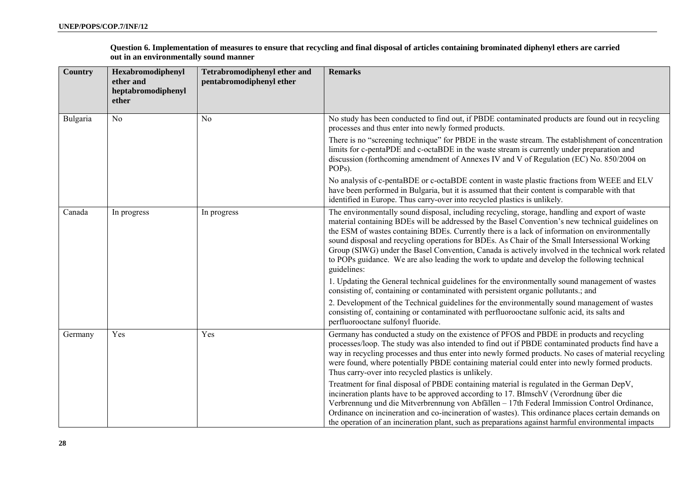**Question 6. Implementation of measures to ensure that recycling and final disposal of articles containing brominated diphenyl ethers are carried out in an environmentally sound manner** 

| <b>Country</b> | Hexabromodiphenyl<br>ether and<br>heptabromodiphenyl<br>ether | <b>Tetrabromodiphenyl ether and</b><br>pentabromodiphenyl ether | <b>Remarks</b>                                                                                                                                                                                                                                                                                                                                                                                                                                                                                                                                                                                                              |
|----------------|---------------------------------------------------------------|-----------------------------------------------------------------|-----------------------------------------------------------------------------------------------------------------------------------------------------------------------------------------------------------------------------------------------------------------------------------------------------------------------------------------------------------------------------------------------------------------------------------------------------------------------------------------------------------------------------------------------------------------------------------------------------------------------------|
| Bulgaria       | N <sub>0</sub>                                                | N <sub>0</sub>                                                  | No study has been conducted to find out, if PBDE contaminated products are found out in recycling<br>processes and thus enter into newly formed products.                                                                                                                                                                                                                                                                                                                                                                                                                                                                   |
|                |                                                               |                                                                 | There is no "screening technique" for PBDE in the waste stream. The establishment of concentration<br>limits for c-pentaPDE and c-octaBDE in the waste stream is currently under preparation and<br>discussion (forthcoming amendment of Annexes IV and V of Regulation (EC) No. 850/2004 on<br>POP <sub>s</sub> ).                                                                                                                                                                                                                                                                                                         |
|                |                                                               |                                                                 | No analysis of c-pentaBDE or c-octaBDE content in waste plastic fractions from WEEE and ELV<br>have been performed in Bulgaria, but it is assumed that their content is comparable with that<br>identified in Europe. Thus carry-over into recycled plastics is unlikely.                                                                                                                                                                                                                                                                                                                                                   |
| Canada         | In progress                                                   | In progress                                                     | The environmentally sound disposal, including recycling, storage, handling and export of waste<br>material containing BDEs will be addressed by the Basel Convention's new technical guidelines on<br>the ESM of wastes containing BDEs. Currently there is a lack of information on environmentally<br>sound disposal and recycling operations for BDEs. As Chair of the Small Intersessional Working<br>Group (SIWG) under the Basel Convention, Canada is actively involved in the technical work related<br>to POPs guidance. We are also leading the work to update and develop the following technical<br>guidelines: |
|                |                                                               |                                                                 | 1. Updating the General technical guidelines for the environmentally sound management of wastes<br>consisting of, containing or contaminated with persistent organic pollutants.; and                                                                                                                                                                                                                                                                                                                                                                                                                                       |
|                |                                                               |                                                                 | 2. Development of the Technical guidelines for the environmentally sound management of wastes<br>consisting of, containing or contaminated with perfluorooctane sulfonic acid, its salts and<br>perfluorooctane sulfonyl fluoride.                                                                                                                                                                                                                                                                                                                                                                                          |
| Germany        | Yes                                                           | Yes                                                             | Germany has conducted a study on the existence of PFOS and PBDE in products and recycling<br>processes/loop. The study was also intended to find out if PBDE contaminated products find have a<br>way in recycling processes and thus enter into newly formed products. No cases of material recycling<br>were found, where potentially PBDE containing material could enter into newly formed products.<br>Thus carry-over into recycled plastics is unlikely.                                                                                                                                                             |
|                |                                                               |                                                                 | Treatment for final disposal of PBDE containing material is regulated in the German DepV,<br>incineration plants have to be approved according to 17. BImschV (Verordnung über die<br>Verbrennung und die Mitverbrennung von Abfällen - 17th Federal Immission Control Ordinance,<br>Ordinance on incineration and co-incineration of wastes). This ordinance places certain demands on<br>the operation of an incineration plant, such as preparations against harmful environmental impacts                                                                                                                               |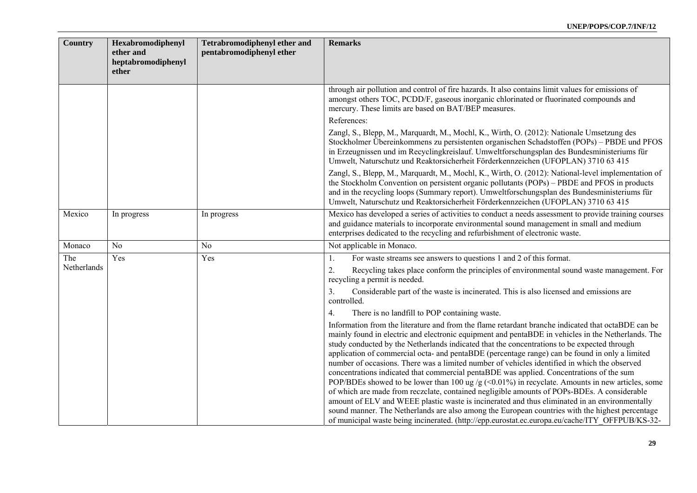| Country     | Hexabromodiphenyl<br>ether and<br>heptabromodiphenyl<br>ether | <b>Tetrabromodiphenyl ether and</b><br>pentabromodiphenyl ether | <b>Remarks</b>                                                                                                                                                                                                                                                                                                                                                                                                                                                                                                                                                                                                                                                                                                                                                                                                                                                                                                                                                                                                                                                                                                 |
|-------------|---------------------------------------------------------------|-----------------------------------------------------------------|----------------------------------------------------------------------------------------------------------------------------------------------------------------------------------------------------------------------------------------------------------------------------------------------------------------------------------------------------------------------------------------------------------------------------------------------------------------------------------------------------------------------------------------------------------------------------------------------------------------------------------------------------------------------------------------------------------------------------------------------------------------------------------------------------------------------------------------------------------------------------------------------------------------------------------------------------------------------------------------------------------------------------------------------------------------------------------------------------------------|
|             |                                                               |                                                                 | through air pollution and control of fire hazards. It also contains limit values for emissions of<br>amongst others TOC, PCDD/F, gaseous inorganic chlorinated or fluorinated compounds and<br>mercury. These limits are based on BAT/BEP measures.                                                                                                                                                                                                                                                                                                                                                                                                                                                                                                                                                                                                                                                                                                                                                                                                                                                            |
|             |                                                               |                                                                 | References:                                                                                                                                                                                                                                                                                                                                                                                                                                                                                                                                                                                                                                                                                                                                                                                                                                                                                                                                                                                                                                                                                                    |
|             |                                                               |                                                                 | Zangl, S., Blepp, M., Marquardt, M., Mochl, K., Wirth, O. (2012): Nationale Umsetzung des<br>Stockholmer Übereinkommens zu persistenten organischen Schadstoffen (POPs) – PBDE und PFOS<br>in Erzeugnissen und im Recyclingkreislauf. Umweltforschungsplan des Bundesministeriums für<br>Umwelt, Naturschutz und Reaktorsicherheit Förderkennzeichen (UFOPLAN) 3710 63 415                                                                                                                                                                                                                                                                                                                                                                                                                                                                                                                                                                                                                                                                                                                                     |
|             |                                                               |                                                                 | Zangl, S., Blepp, M., Marquardt, M., Mochl, K., Wirth, O. (2012): National-level implementation of<br>the Stockholm Convention on persistent organic pollutants (POPs) – PBDE and PFOS in products<br>and in the recycling loops (Summary report). Umweltforschungsplan des Bundesministeriums für<br>Umwelt, Naturschutz und Reaktorsicherheit Förderkennzeichen (UFOPLAN) 3710 63 415                                                                                                                                                                                                                                                                                                                                                                                                                                                                                                                                                                                                                                                                                                                        |
| Mexico      | In progress                                                   | In progress                                                     | Mexico has developed a series of activities to conduct a needs assessment to provide training courses<br>and guidance materials to incorporate environmental sound management in small and medium<br>enterprises dedicated to the recycling and refurbishment of electronic waste.                                                                                                                                                                                                                                                                                                                                                                                                                                                                                                                                                                                                                                                                                                                                                                                                                             |
| Monaco      | N <sub>0</sub>                                                | N <sub>0</sub>                                                  | Not applicable in Monaco.                                                                                                                                                                                                                                                                                                                                                                                                                                                                                                                                                                                                                                                                                                                                                                                                                                                                                                                                                                                                                                                                                      |
| The         | Yes                                                           | Yes                                                             | For waste streams see answers to questions 1 and 2 of this format.<br>1.                                                                                                                                                                                                                                                                                                                                                                                                                                                                                                                                                                                                                                                                                                                                                                                                                                                                                                                                                                                                                                       |
| Netherlands |                                                               |                                                                 | Recycling takes place conform the principles of environmental sound waste management. For<br>2.<br>recycling a permit is needed.                                                                                                                                                                                                                                                                                                                                                                                                                                                                                                                                                                                                                                                                                                                                                                                                                                                                                                                                                                               |
|             |                                                               |                                                                 | 3.<br>Considerable part of the waste is incinerated. This is also licensed and emissions are<br>controlled.                                                                                                                                                                                                                                                                                                                                                                                                                                                                                                                                                                                                                                                                                                                                                                                                                                                                                                                                                                                                    |
|             |                                                               |                                                                 | There is no landfill to POP containing waste.<br>4.                                                                                                                                                                                                                                                                                                                                                                                                                                                                                                                                                                                                                                                                                                                                                                                                                                                                                                                                                                                                                                                            |
|             |                                                               |                                                                 | Information from the literature and from the flame retardant branche indicated that octaBDE can be<br>mainly found in electric and electronic equipment and pentaBDE in vehicles in the Netherlands. The<br>study conducted by the Netherlands indicated that the concentrations to be expected through<br>application of commercial octa- and pentaBDE (percentage range) can be found in only a limited<br>number of occasions. There was a limited number of vehicles identified in which the observed<br>concentrations indicated that commercial pentaBDE was applied. Concentrations of the sum<br>POP/BDEs showed to be lower than 100 ug /g (<0.01%) in recyclate. Amounts in new articles, some<br>of which are made from reczclate, contained negligible amounts of POPs-BDEs. A considerable<br>amount of ELV and WEEE plastic waste is incinerated and thus eliminated in an environmentally<br>sound manner. The Netherlands are also among the European countries with the highest percentage<br>of municipal waste being incinerated. (http://epp.eurostat.ec.europa.eu/cache/ITY_OFFPUB/KS-32- |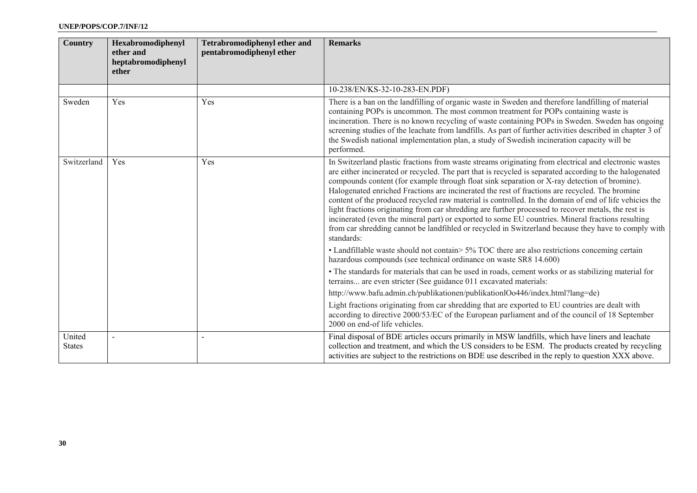| <b>Country</b>          | Hexabromodiphenyl<br>ether and<br>heptabromodiphenyl<br>ether | <b>Tetrabromodiphenyl ether and</b><br>pentabromodiphenyl ether | <b>Remarks</b>                                                                                                                                                                                                                                                                                                                                                                                                                                                                                                                                                                                                                                                                                                                                                                                                                                                                                                                                                  |
|-------------------------|---------------------------------------------------------------|-----------------------------------------------------------------|-----------------------------------------------------------------------------------------------------------------------------------------------------------------------------------------------------------------------------------------------------------------------------------------------------------------------------------------------------------------------------------------------------------------------------------------------------------------------------------------------------------------------------------------------------------------------------------------------------------------------------------------------------------------------------------------------------------------------------------------------------------------------------------------------------------------------------------------------------------------------------------------------------------------------------------------------------------------|
|                         |                                                               |                                                                 | 10-238/EN/KS-32-10-283-EN.PDF)                                                                                                                                                                                                                                                                                                                                                                                                                                                                                                                                                                                                                                                                                                                                                                                                                                                                                                                                  |
| Sweden                  | Yes                                                           | Yes                                                             | There is a ban on the landfilling of organic waste in Sweden and therefore landfilling of material<br>containing POPs is uncommon. The most common treatment for POPs containing waste is<br>incineration. There is no known recycling of waste containing POPs in Sweden. Sweden has ongoing<br>screening studies of the leachate from landfills. As part of further activities described in chapter 3 of<br>the Swedish national implementation plan, a study of Swedish incineration capacity will be<br>performed.                                                                                                                                                                                                                                                                                                                                                                                                                                          |
| Switzerland             | Yes                                                           | Yes                                                             | In Switzerland plastic fractions from waste streams originating from electrical and electronic wastes<br>are either incinerated or recycled. The part that is recycled is separated according to the halogenated<br>compounds content (for example through float sink separation or X-ray detection of bromine).<br>Halogenated enriched Fractions are incinerated the rest of fractions are recycled. The bromine<br>content of the produced recycled raw material is controlled. In the domain of end of life vehicies the<br>light fractions originating from car shredding are further processed to recover metals, the rest is<br>incinerated (even the mineral part) or exported to some EU countries. Mineral fractions resulting<br>from car shredding cannot be landfihled or recycled in Switzerland because they have to comply with<br>standards:<br>• Landfillable waste should not contain> 5% TOC there are also restrictions concerning certain |
|                         |                                                               |                                                                 | hazardous compounds (see technical ordinance on waste SR8 14.600)                                                                                                                                                                                                                                                                                                                                                                                                                                                                                                                                                                                                                                                                                                                                                                                                                                                                                               |
|                         |                                                               |                                                                 | • The standards for materials that can be used in roads, cement works or as stabilizing material for<br>terrains are even stricter (See guidance 011 excavated materials:                                                                                                                                                                                                                                                                                                                                                                                                                                                                                                                                                                                                                                                                                                                                                                                       |
|                         |                                                               |                                                                 | http://www.bafu.admin.ch/publikationen/publikationlOo446/index.html?lang=de)                                                                                                                                                                                                                                                                                                                                                                                                                                                                                                                                                                                                                                                                                                                                                                                                                                                                                    |
|                         |                                                               |                                                                 | Light fractions originating from car shredding that are exported to EU countries are dealt with<br>according to directive 2000/53/EC of the European parliament and of the council of 18 September<br>2000 on end-of life vehicles.                                                                                                                                                                                                                                                                                                                                                                                                                                                                                                                                                                                                                                                                                                                             |
| United<br><b>States</b> |                                                               |                                                                 | Final disposal of BDE articles occurs primarily in MSW landfills, which have liners and leachate<br>collection and treatment, and which the US considers to be ESM. The products created by recycling<br>activities are subject to the restrictions on BDE use described in the reply to question XXX above.                                                                                                                                                                                                                                                                                                                                                                                                                                                                                                                                                                                                                                                    |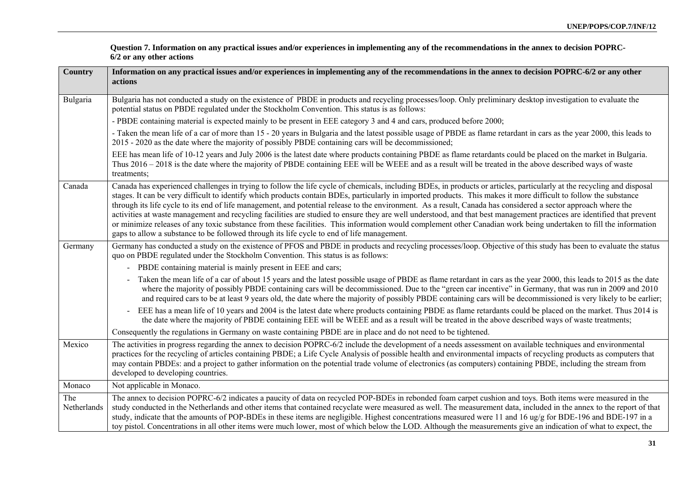| <b>Country</b>     | Information on any practical issues and/or experiences in implementing any of the recommendations in the annex to decision POPRC-6/2 or any other<br>actions                                                                                                                                                                                                                                                                                                                                                                                                                                                                                                                                                                                                                                                                                                                                                                                               |
|--------------------|------------------------------------------------------------------------------------------------------------------------------------------------------------------------------------------------------------------------------------------------------------------------------------------------------------------------------------------------------------------------------------------------------------------------------------------------------------------------------------------------------------------------------------------------------------------------------------------------------------------------------------------------------------------------------------------------------------------------------------------------------------------------------------------------------------------------------------------------------------------------------------------------------------------------------------------------------------|
| Bulgaria           | Bulgaria has not conducted a study on the existence of PBDE in products and recycling processes/loop. Only preliminary desktop investigation to evaluate the<br>potential status on PBDE regulated under the Stockholm Convention. This status is as follows:                                                                                                                                                                                                                                                                                                                                                                                                                                                                                                                                                                                                                                                                                              |
|                    | - PBDE containing material is expected mainly to be present in EEE category 3 and 4 and cars, produced before 2000;                                                                                                                                                                                                                                                                                                                                                                                                                                                                                                                                                                                                                                                                                                                                                                                                                                        |
|                    | - Taken the mean life of a car of more than 15 - 20 years in Bulgaria and the latest possible usage of PBDE as flame retardant in cars as the year 2000, this leads to<br>2015 - 2020 as the date where the majority of possibly PBDE containing cars will be decommissioned;                                                                                                                                                                                                                                                                                                                                                                                                                                                                                                                                                                                                                                                                              |
|                    | EEE has mean life of 10-12 years and July 2006 is the latest date where products containing PBDE as flame retardants could be placed on the market in Bulgaria.<br>Thus 2016 - 2018 is the date where the majority of PBDE containing EEE will be WEEE and as a result will be treated in the above described ways of waste<br>treatments:                                                                                                                                                                                                                                                                                                                                                                                                                                                                                                                                                                                                                 |
| Canada             | Canada has experienced challenges in trying to follow the life cycle of chemicals, including BDEs, in products or articles, particularly at the recycling and disposal<br>stages. It can be very difficult to identify which products contain BDEs, particularly in imported products. This makes it more difficult to follow the substance<br>through its life cycle to its end of life management, and potential release to the environment. As a result, Canada has considered a sector approach where the<br>activities at waste management and recycling facilities are studied to ensure they are well understood, and that best management practices are identified that prevent<br>or minimize releases of any toxic substance from these facilities. This information would complement other Canadian work being undertaken to fill the information<br>gaps to allow a substance to be followed through its life cycle to end of life management. |
| Germany            | Germany has conducted a study on the existence of PFOS and PBDE in products and recycling processes/loop. Objective of this study has been to evaluate the status<br>quo on PBDE regulated under the Stockholm Convention. This status is as follows:                                                                                                                                                                                                                                                                                                                                                                                                                                                                                                                                                                                                                                                                                                      |
|                    | - PBDE containing material is mainly present in EEE and cars;                                                                                                                                                                                                                                                                                                                                                                                                                                                                                                                                                                                                                                                                                                                                                                                                                                                                                              |
|                    | Taken the mean life of a car of about 15 years and the latest possible usage of PBDE as flame retardant in cars as the year 2000, this leads to 2015 as the date<br>where the majority of possibly PBDE containing cars will be decommissioned. Due to the "green car incentive" in Germany, that was run in 2009 and 2010<br>and required cars to be at least 9 years old, the date where the majority of possibly PBDE containing cars will be decommissioned is very likely to be earlier;                                                                                                                                                                                                                                                                                                                                                                                                                                                              |
|                    | EEE has a mean life of 10 years and 2004 is the latest date where products containing PBDE as flame retardants could be placed on the market. Thus 2014 is<br>$\blacksquare$<br>the date where the majority of PBDE containing EEE will be WEEE and as a result will be treated in the above described ways of waste treatments;                                                                                                                                                                                                                                                                                                                                                                                                                                                                                                                                                                                                                           |
|                    | Consequently the regulations in Germany on waste containing PBDE are in place and do not need to be tightened.                                                                                                                                                                                                                                                                                                                                                                                                                                                                                                                                                                                                                                                                                                                                                                                                                                             |
| Mexico             | The activities in progress regarding the annex to decision POPRC-6/2 include the development of a needs assessment on available techniques and environmental<br>practices for the recycling of articles containing PBDE; a Life Cycle Analysis of possible health and environmental impacts of recycling products as computers that<br>may contain PBDEs: and a project to gather information on the potential trade volume of electronics (as computers) containing PBDE, including the stream from<br>developed to developing countries.                                                                                                                                                                                                                                                                                                                                                                                                                 |
| Monaco             | Not applicable in Monaco.                                                                                                                                                                                                                                                                                                                                                                                                                                                                                                                                                                                                                                                                                                                                                                                                                                                                                                                                  |
| The<br>Netherlands | The annex to decision POPRC-6/2 indicates a paucity of data on recycled POP-BDEs in rebonded foam carpet cushion and toys. Both items were measured in the<br>study conducted in the Netherlands and other items that contained recyclate were measured as well. The measurement data, included in the annex to the report of that<br>study, indicate that the amounts of POP-BDEs in these items are negligible. Highest concentrations measured were 11 and 16 ug/g for BDE-196 and BDE-197 in a<br>toy pistol. Concentrations in all other items were much lower, most of which below the LOD. Although the measurements give an indication of what to expect, the                                                                                                                                                                                                                                                                                      |

**Question 7. Information on any practical issues and/or experiences in implementing any of the recommendations in the annex to decision POPRC-6/2 or any other actions**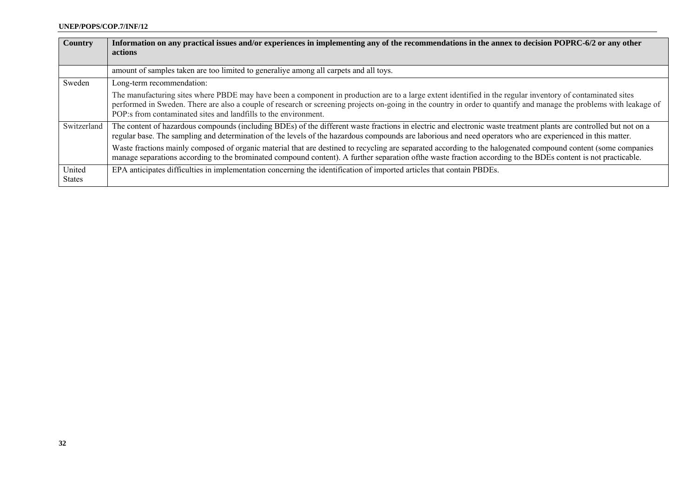| Country                 | Information on any practical issues and/or experiences in implementing any of the recommendations in the annex to decision POPRC-6/2 or any other<br>actions                                                                                                                                                                                                                                         |
|-------------------------|------------------------------------------------------------------------------------------------------------------------------------------------------------------------------------------------------------------------------------------------------------------------------------------------------------------------------------------------------------------------------------------------------|
|                         | amount of samples taken are too limited to generaliye among all carpets and all toys.                                                                                                                                                                                                                                                                                                                |
| Sweden                  | Long-term recommendation:                                                                                                                                                                                                                                                                                                                                                                            |
|                         | The manufacturing sites where PBDE may have been a component in production are to a large extent identified in the regular inventory of contaminated sites<br>performed in Sweden. There are also a couple of research or screening projects on-going in the country in order to quantify and manage the problems with leakage of<br>POP:s from contaminated sites and landfills to the environment. |
| Switzerland             | The content of hazardous compounds (including BDEs) of the different waste fractions in electric and electronic waste treatment plants are controlled but not on a<br>regular base. The sampling and determination of the levels of the hazardous compounds are laborious and need operators who are experienced in this matter.                                                                     |
|                         | Waste fractions mainly composed of organic material that are destined to recycling are separated according to the halogenated compound content (some companies<br>manage separations according to the brominated compound content). A further separation of the waste fraction according to the BDEs content is not practicable.                                                                     |
| United<br><b>States</b> | EPA anticipates difficulties in implementation concerning the identification of imported articles that contain PBDEs.                                                                                                                                                                                                                                                                                |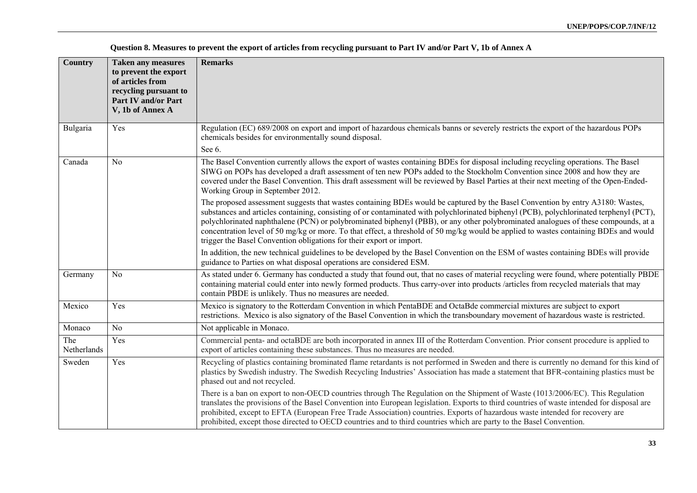| <b>Country</b>     | <b>Taken any measures</b><br>to prevent the export<br>of articles from<br>recycling pursuant to<br><b>Part IV and/or Part</b><br>V, 1b of Annex A | <b>Remarks</b>                                                                                                                                                                                                                                                                                                                                                                                                                                                                                                                                                                                                                   |
|--------------------|---------------------------------------------------------------------------------------------------------------------------------------------------|----------------------------------------------------------------------------------------------------------------------------------------------------------------------------------------------------------------------------------------------------------------------------------------------------------------------------------------------------------------------------------------------------------------------------------------------------------------------------------------------------------------------------------------------------------------------------------------------------------------------------------|
| Bulgaria           | Yes                                                                                                                                               | Regulation (EC) 689/2008 on export and import of hazardous chemicals banns or severely restricts the export of the hazardous POPs<br>chemicals besides for environmentally sound disposal.<br>See 6.                                                                                                                                                                                                                                                                                                                                                                                                                             |
| Canada             | N <sub>o</sub>                                                                                                                                    | The Basel Convention currently allows the export of wastes containing BDEs for disposal including recycling operations. The Basel<br>SIWG on POPs has developed a draft assessment of ten new POPs added to the Stockholm Convention since 2008 and how they are<br>covered under the Basel Convention. This draft assessment will be reviewed by Basel Parties at their next meeting of the Open-Ended-<br>Working Group in September 2012.                                                                                                                                                                                     |
|                    |                                                                                                                                                   | The proposed assessment suggests that wastes containing BDEs would be captured by the Basel Convention by entry A3180: Wastes,<br>substances and articles containing, consisting of or contaminated with polychlorinated biphenyl (PCB), polychlorinated terphenyl (PCT),<br>polychlorinated naphthalene (PCN) or polybrominated biphenyl (PBB), or any other polybrominated analogues of these compounds, at a<br>concentration level of 50 mg/kg or more. To that effect, a threshold of 50 mg/kg would be applied to wastes containing BDEs and would<br>trigger the Basel Convention obligations for their export or import. |
|                    |                                                                                                                                                   | In addition, the new technical guidelines to be developed by the Basel Convention on the ESM of wastes containing BDEs will provide<br>guidance to Parties on what disposal operations are considered ESM.                                                                                                                                                                                                                                                                                                                                                                                                                       |
| Germany            | N <sub>0</sub>                                                                                                                                    | As stated under 6. Germany has conducted a study that found out, that no cases of material recycling were found, where potentially PBDE<br>containing material could enter into newly formed products. Thus carry-over into products /articles from recycled materials that may<br>contain PBDE is unlikely. Thus no measures are needed.                                                                                                                                                                                                                                                                                        |
| Mexico             | Yes                                                                                                                                               | Mexico is signatory to the Rotterdam Convention in which PentaBDE and OctaBde commercial mixtures are subject to export<br>restrictions. Mexico is also signatory of the Basel Convention in which the transboundary movement of hazardous waste is restricted.                                                                                                                                                                                                                                                                                                                                                                  |
| Monaco             | No                                                                                                                                                | Not applicable in Monaco.                                                                                                                                                                                                                                                                                                                                                                                                                                                                                                                                                                                                        |
| The<br>Netherlands | Yes                                                                                                                                               | Commercial penta- and octaBDE are both incorporated in annex III of the Rotterdam Convention. Prior consent procedure is applied to<br>export of articles containing these substances. Thus no measures are needed.                                                                                                                                                                                                                                                                                                                                                                                                              |
| Sweden             | Yes                                                                                                                                               | Recycling of plastics containing brominated flame retardants is not performed in Sweden and there is currently no demand for this kind of<br>plastics by Swedish industry. The Swedish Recycling Industries' Association has made a statement that BFR-containing plastics must be<br>phased out and not recycled.                                                                                                                                                                                                                                                                                                               |
|                    |                                                                                                                                                   | There is a ban on export to non-OECD countries through The Regulation on the Shipment of Waste (1013/2006/EC). This Regulation<br>translates the provisions of the Basel Convention into European legislation. Exports to third countries of waste intended for disposal are<br>prohibited, except to EFTA (European Free Trade Association) countries. Exports of hazardous waste intended for recovery are<br>prohibited, except those directed to OECD countries and to third countries which are party to the Basel Convention.                                                                                              |

**Question 8. Measures to prevent the export of articles from recycling pursuant to Part IV and/or Part V, 1b of Annex A**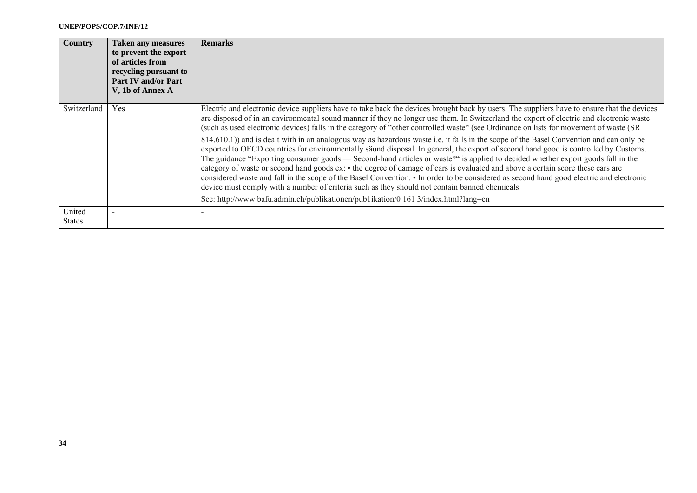| Country                 | <b>Taken any measures</b><br>to prevent the export<br>of articles from<br>recycling pursuant to<br><b>Part IV and/or Part</b><br>V, 1b of Annex A | <b>Remarks</b>                                                                                                                                                                                                                                                                                                                                                                                                                                                                                                                                                                                                                                                                                                                                                                                                                                                                                                                                                                                                                                                                                                                                                                                                                                                                                                            |
|-------------------------|---------------------------------------------------------------------------------------------------------------------------------------------------|---------------------------------------------------------------------------------------------------------------------------------------------------------------------------------------------------------------------------------------------------------------------------------------------------------------------------------------------------------------------------------------------------------------------------------------------------------------------------------------------------------------------------------------------------------------------------------------------------------------------------------------------------------------------------------------------------------------------------------------------------------------------------------------------------------------------------------------------------------------------------------------------------------------------------------------------------------------------------------------------------------------------------------------------------------------------------------------------------------------------------------------------------------------------------------------------------------------------------------------------------------------------------------------------------------------------------|
| Switzerland             | Yes                                                                                                                                               | Electric and electronic device suppliers have to take back the devices brought back by users. The suppliers have to ensure that the devices<br>are disposed of in an environmental sound manner if they no longer use them. In Switzerland the export of electric and electronic waste<br>(such as used electronic devices) falls in the category of "other controlled waste" (see Ordinance on lists for movement of waste (SR)<br>814.610.1) and is dealt with in an analogous way as hazardous waste i.e. it falls in the scope of the Basel Convention and can only be<br>exported to OECD countries for environmentally saund disposal. In general, the export of second hand good is controlled by Customs.<br>The guidance "Exporting consumer goods — Second-hand articles or waste?" is applied to decided whether export goods fall in the<br>category of waste or second hand goods ex: • the degree of damage of cars is evaluated and above a certain score these cars are<br>considered waste and fall in the scope of the Basel Convention. • In order to be considered as second hand good electric and electronic<br>device must comply with a number of criteria such as they should not contain banned chemicals<br>See: http://www.bafu.admin.ch/publikationen/publikation/0 161 3/index.html?lang=en |
| United<br><b>States</b> |                                                                                                                                                   |                                                                                                                                                                                                                                                                                                                                                                                                                                                                                                                                                                                                                                                                                                                                                                                                                                                                                                                                                                                                                                                                                                                                                                                                                                                                                                                           |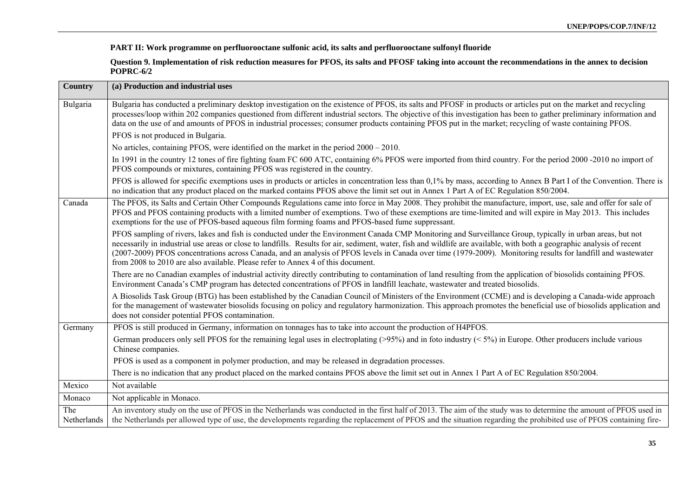**PART II: Work programme on perfluorooctane sulfonic acid, its salts and perfluorooctane sulfonyl fluoride** 

**Question 9. Implementation of risk reduction measures for PFOS, its salts and PFOSF taking into account the recommendations in the annex to decision POPRC-6/2** 

| <b>Country</b>     | (a) Production and industrial uses                                                                                                                                                                                                                                                                                                                                                                                                                                                                                                                                                        |
|--------------------|-------------------------------------------------------------------------------------------------------------------------------------------------------------------------------------------------------------------------------------------------------------------------------------------------------------------------------------------------------------------------------------------------------------------------------------------------------------------------------------------------------------------------------------------------------------------------------------------|
| Bulgaria           | Bulgaria has conducted a preliminary desktop investigation on the existence of PFOS, its salts and PFOSF in products or articles put on the market and recycling<br>processes/loop within 202 companies questioned from different industrial sectors. The objective of this investigation has been to gather preliminary information and<br>data on the use of and amounts of PFOS in industrial processes; consumer products containing PFOS put in the market; recycling of waste containing PFOS.                                                                                      |
|                    | PFOS is not produced in Bulgaria.                                                                                                                                                                                                                                                                                                                                                                                                                                                                                                                                                         |
|                    | No articles, containing PFOS, were identified on the market in the period 2000 – 2010.                                                                                                                                                                                                                                                                                                                                                                                                                                                                                                    |
|                    | In 1991 in the country 12 tones of fire fighting foam FC 600 ATC, containing 6% PFOS were imported from third country. For the period 2000 -2010 no import of<br>PFOS compounds or mixtures, containing PFOS was registered in the country.                                                                                                                                                                                                                                                                                                                                               |
|                    | PFOS is allowed for specific exemptions uses in products or articles in concentration less than 0,1% by mass, according to Annex B Part I of the Convention. There is<br>no indication that any product placed on the marked contains PFOS above the limit set out in Annex 1 Part A of EC Regulation 850/2004.                                                                                                                                                                                                                                                                           |
| Canada             | The PFOS, its Salts and Certain Other Compounds Regulations came into force in May 2008. They prohibit the manufacture, import, use, sale and offer for sale of<br>PFOS and PFOS containing products with a limited number of exemptions. Two of these exemptions are time-limited and will expire in May 2013. This includes<br>exemptions for the use of PFOS-based aqueous film forming foams and PFOS-based fume suppressant.                                                                                                                                                         |
|                    | PFOS sampling of rivers, lakes and fish is conducted under the Environment Canada CMP Monitoring and Surveillance Group, typically in urban areas, but not<br>necessarily in industrial use areas or close to landfills. Results for air, sediment, water, fish and wildlife are available, with both a geographic analysis of recent<br>(2007-2009) PFOS concentrations across Canada, and an analysis of PFOS levels in Canada over time (1979-2009). Monitoring results for landfill and wastewater<br>from 2008 to 2010 are also available. Please refer to Annex 4 of this document. |
|                    | There are no Canadian examples of industrial activity directly contributing to contamination of land resulting from the application of biosolids containing PFOS.<br>Environment Canada's CMP program has detected concentrations of PFOS in landfill leachate, wastewater and treated biosolids.                                                                                                                                                                                                                                                                                         |
|                    | A Biosolids Task Group (BTG) has been established by the Canadian Council of Ministers of the Environment (CCME) and is developing a Canada-wide approach<br>for the management of wastewater biosolids focusing on policy and regulatory harmonization. This approach promotes the beneficial use of biosolids application and<br>does not consider potential PFOS contamination.                                                                                                                                                                                                        |
| Germany            | PFOS is still produced in Germany, information on tonnages has to take into account the production of H4PFOS.                                                                                                                                                                                                                                                                                                                                                                                                                                                                             |
|                    | German producers only sell PFOS for the remaining legal uses in electroplating $(>95%)$ and in foto industry $(≤5%)$ in Europe. Other producers include various<br>Chinese companies.                                                                                                                                                                                                                                                                                                                                                                                                     |
|                    | PFOS is used as a component in polymer production, and may be released in degradation processes.                                                                                                                                                                                                                                                                                                                                                                                                                                                                                          |
|                    | There is no indication that any product placed on the marked contains PFOS above the limit set out in Annex 1 Part A of EC Regulation 850/2004.                                                                                                                                                                                                                                                                                                                                                                                                                                           |
| Mexico             | Not available                                                                                                                                                                                                                                                                                                                                                                                                                                                                                                                                                                             |
| Monaco             | Not applicable in Monaco.                                                                                                                                                                                                                                                                                                                                                                                                                                                                                                                                                                 |
| The<br>Netherlands | An inventory study on the use of PFOS in the Netherlands was conducted in the first half of 2013. The aim of the study was to determine the amount of PFOS used in<br>the Netherlands per allowed type of use, the developments regarding the replacement of PFOS and the situation regarding the prohibited use of PFOS containing fire-                                                                                                                                                                                                                                                 |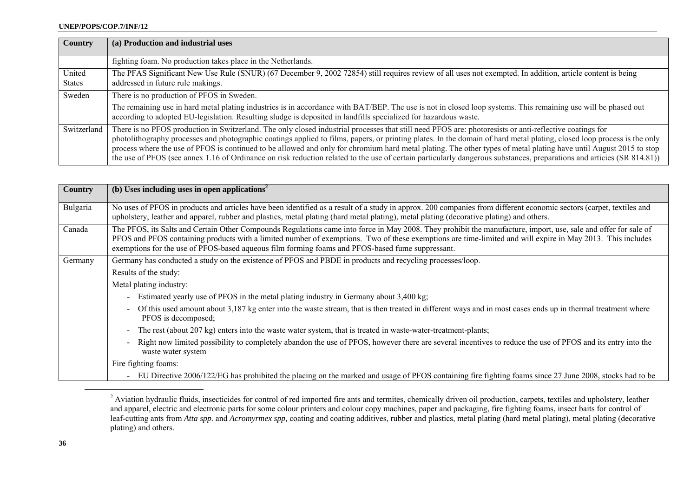| <b>Country</b>          | (a) Production and industrial uses                                                                                                                                                                                                                                                                                                                                                                                                                                                                                                                                                                                                                                                 |
|-------------------------|------------------------------------------------------------------------------------------------------------------------------------------------------------------------------------------------------------------------------------------------------------------------------------------------------------------------------------------------------------------------------------------------------------------------------------------------------------------------------------------------------------------------------------------------------------------------------------------------------------------------------------------------------------------------------------|
|                         | fighting foam. No production takes place in the Netherlands.                                                                                                                                                                                                                                                                                                                                                                                                                                                                                                                                                                                                                       |
| United<br><b>States</b> | The PFAS Significant New Use Rule (SNUR) (67 December 9, 2002 72854) still requires review of all uses not exempted. In addition, article content is being<br>addressed in future rule makings.                                                                                                                                                                                                                                                                                                                                                                                                                                                                                    |
| Sweden                  | There is no production of PFOS in Sweden.                                                                                                                                                                                                                                                                                                                                                                                                                                                                                                                                                                                                                                          |
|                         | The remaining use in hard metal plating industries is in accordance with BAT/BEP. The use is not in closed loop systems. This remaining use will be phased out<br>according to adopted EU-legislation. Resulting sludge is deposited in landfills specialized for hazardous waste.                                                                                                                                                                                                                                                                                                                                                                                                 |
| Switzerland             | There is no PFOS production in Switzerland. The only closed industrial processes that still need PFOS are: photoresists or anti-reflective coatings for<br>photolithography processes and photographic coatings applied to films, papers, or printing plates. In the domain of hard metal plating, closed loop process is the only<br>process where the use of PFOS is continued to be allowed and only for chromium hard metal plating. The other types of metal plating have until August 2015 to stop<br>the use of PFOS (see annex 1.16 of Ordinance on risk reduction related to the use of certain particularly dangerous substances, preparations and articies (SR 814.81)) |

| <b>Country</b> | (b) Uses including uses in open applications <sup>2</sup>                                                                                                                                                                                                                                                                                                                                                                         |
|----------------|-----------------------------------------------------------------------------------------------------------------------------------------------------------------------------------------------------------------------------------------------------------------------------------------------------------------------------------------------------------------------------------------------------------------------------------|
| Bulgaria       | No uses of PFOS in products and articles have been identified as a result of a study in approx. 200 companies from different economic sectors (carpet, textiles and<br>upholstery, leather and apparel, rubber and plastics, metal plating (hard metal plating), metal plating (decorative plating) and others.                                                                                                                   |
| Canada         | The PFOS, its Salts and Certain Other Compounds Regulations came into force in May 2008. They prohibit the manufacture, import, use, sale and offer for sale of<br>PFOS and PFOS containing products with a limited number of exemptions. Two of these exemptions are time-limited and will expire in May 2013. This includes<br>exemptions for the use of PFOS-based aqueous film forming foams and PFOS-based fume suppressant. |
| Germany        | Germany has conducted a study on the existence of PFOS and PBDE in products and recycling processes/loop.                                                                                                                                                                                                                                                                                                                         |
|                | Results of the study:                                                                                                                                                                                                                                                                                                                                                                                                             |
|                | Metal plating industry:                                                                                                                                                                                                                                                                                                                                                                                                           |
|                | Estimated yearly use of PFOS in the metal plating industry in Germany about 3,400 kg;<br>$\sim$                                                                                                                                                                                                                                                                                                                                   |
|                | Of this used amount about 3,187 kg enter into the waste stream, that is then treated in different ways and in most cases ends up in thermal treatment where<br>$\overline{\phantom{a}}$<br>PFOS is decomposed;                                                                                                                                                                                                                    |
|                | The rest (about 207 kg) enters into the waste water system, that is treated in waste-water-treatment-plants;<br>$\sim$                                                                                                                                                                                                                                                                                                            |
|                | Right now limited possibility to completely abandon the use of PFOS, however there are several incentives to reduce the use of PFOS and its entry into the<br>$\overline{\phantom{a}}$<br>waste water system                                                                                                                                                                                                                      |
|                | Fire fighting foams:                                                                                                                                                                                                                                                                                                                                                                                                              |
|                | EU Directive 2006/122/EG has prohibited the placing on the marked and usage of PFOS containing fire fighting foams since 27 June 2008, stocks had to be                                                                                                                                                                                                                                                                           |

 $2\pi$  Aviation hydraulic fluids, insecticides for control of red imported fire ants and termites, chemically driven oil production, carpets, textiles and upholstery, leather and apparel, electric and electronic parts for some colour printers and colour copy machines, paper and packaging, fire fighting foams, insect baits for control of leaf-cutting ants from *Atta spp.* and *Acromyrmex spp,* coating and coating additives, rubber and plastics, metal plating (hard metal plating), metal plating (decorative plating) and others.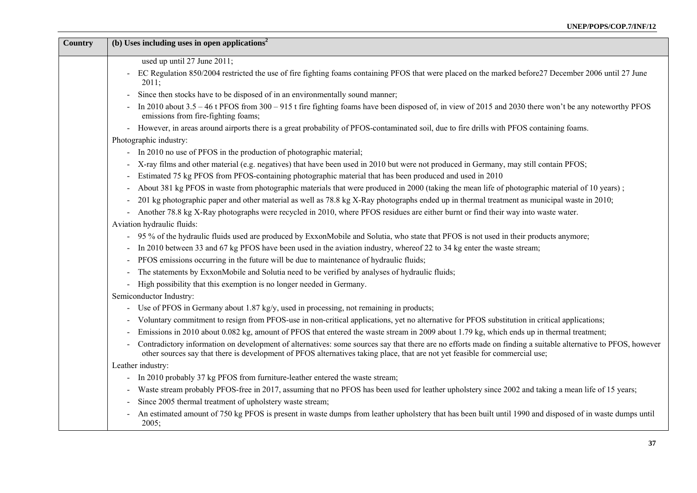| Country | (b) Uses including uses in open applications <sup>2</sup>                                                                                                                                                                                                                                                      |
|---------|----------------------------------------------------------------------------------------------------------------------------------------------------------------------------------------------------------------------------------------------------------------------------------------------------------------|
|         | used up until 27 June 2011;                                                                                                                                                                                                                                                                                    |
|         | EC Regulation 850/2004 restricted the use of fire fighting foams containing PFOS that were placed on the marked before 27 December 2006 until 27 June<br>2011;                                                                                                                                                 |
|         | Since then stocks have to be disposed of in an environmentally sound manner;                                                                                                                                                                                                                                   |
|         | In 2010 about 3.5 – 46 t PFOS from 300 – 915 t fire fighting foams have been disposed of, in view of 2015 and 2030 there won't be any noteworthy PFOS<br>emissions from fire-fighting foams;                                                                                                                   |
|         | However, in areas around airports there is a great probability of PFOS-contaminated soil, due to fire drills with PFOS containing foams.<br>$\blacksquare$                                                                                                                                                     |
|         | Photographic industry:                                                                                                                                                                                                                                                                                         |
|         | - In 2010 no use of PFOS in the production of photographic material;                                                                                                                                                                                                                                           |
|         | X-ray films and other material (e.g. negatives) that have been used in 2010 but were not produced in Germany, may still contain PFOS;                                                                                                                                                                          |
|         | Estimated 75 kg PFOS from PFOS-containing photographic material that has been produced and used in 2010                                                                                                                                                                                                        |
|         | About 381 kg PFOS in waste from photographic materials that were produced in 2000 (taking the mean life of photographic material of 10 years);                                                                                                                                                                 |
|         | 201 kg photographic paper and other material as well as 78.8 kg X-Ray photographs ended up in thermal treatment as municipal waste in 2010;                                                                                                                                                                    |
|         | Another 78.8 kg X-Ray photographs were recycled in 2010, where PFOS residues are either burnt or find their way into waste water.                                                                                                                                                                              |
|         | Aviation hydraulic fluids:                                                                                                                                                                                                                                                                                     |
|         | - 95 % of the hydraulic fluids used are produced by ExxonMobile and Solutia, who state that PFOS is not used in their products anymore;                                                                                                                                                                        |
|         | In 2010 between 33 and 67 kg PFOS have been used in the aviation industry, whereof 22 to 34 kg enter the waste stream;                                                                                                                                                                                         |
|         | PFOS emissions occurring in the future will be due to maintenance of hydraulic fluids;                                                                                                                                                                                                                         |
|         | The statements by ExxonMobile and Solutia need to be verified by analyses of hydraulic fluids;                                                                                                                                                                                                                 |
|         | High possibility that this exemption is no longer needed in Germany.<br>$\blacksquare$                                                                                                                                                                                                                         |
|         | Semiconductor Industry:                                                                                                                                                                                                                                                                                        |
|         | - Use of PFOS in Germany about 1.87 kg/y, used in processing, not remaining in products;                                                                                                                                                                                                                       |
|         | Voluntary commitment to resign from PFOS-use in non-critical applications, yet no alternative for PFOS substitution in critical applications;                                                                                                                                                                  |
|         | Emissions in 2010 about 0.082 kg, amount of PFOS that entered the waste stream in 2009 about 1.79 kg, which ends up in thermal treatment;                                                                                                                                                                      |
|         | Contradictory information on development of alternatives: some sources say that there are no efforts made on finding a suitable alternative to PFOS, however<br>$\blacksquare$<br>other sources say that there is development of PFOS alternatives taking place, that are not yet feasible for commercial use; |
|         | Leather industry:                                                                                                                                                                                                                                                                                              |
|         | In 2010 probably 37 kg PFOS from furniture-leather entered the waste stream;                                                                                                                                                                                                                                   |
|         | Waste stream probably PFOS-free in 2017, assuming that no PFOS has been used for leather upholstery since 2002 and taking a mean life of 15 years;                                                                                                                                                             |
|         | Since 2005 thermal treatment of upholstery waste stream;                                                                                                                                                                                                                                                       |
|         | An estimated amount of 750 kg PFOS is present in waste dumps from leather upholstery that has been built until 1990 and disposed of in waste dumps until<br>2005;                                                                                                                                              |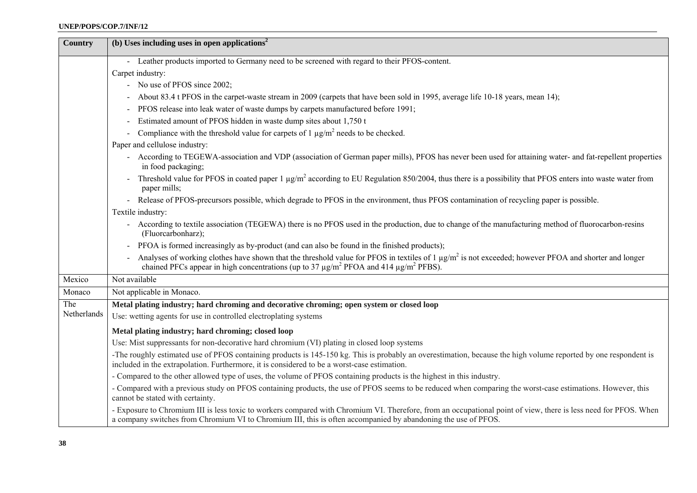| <b>Country</b> | (b) Uses including uses in open applications <sup>2</sup>                                                                                                                                                                                                                                       |
|----------------|-------------------------------------------------------------------------------------------------------------------------------------------------------------------------------------------------------------------------------------------------------------------------------------------------|
|                | - Leather products imported to Germany need to be screened with regard to their PFOS-content.                                                                                                                                                                                                   |
|                | Carpet industry:                                                                                                                                                                                                                                                                                |
|                | - No use of PFOS since 2002;                                                                                                                                                                                                                                                                    |
|                | About 83.4 t PFOS in the carpet-waste stream in 2009 (carpets that have been sold in 1995, average life 10-18 years, mean 14);                                                                                                                                                                  |
|                | PFOS release into leak water of waste dumps by carpets manufactured before 1991;                                                                                                                                                                                                                |
|                | Estimated amount of PFOS hidden in waste dump sites about 1,750 t                                                                                                                                                                                                                               |
|                | Compliance with the threshold value for carpets of 1 $\mu$ g/m <sup>2</sup> needs to be checked.                                                                                                                                                                                                |
|                | Paper and cellulose industry:                                                                                                                                                                                                                                                                   |
|                | - According to TEGEWA-association and VDP (association of German paper mills), PFOS has never been used for attaining water- and fat-repellent properties<br>in food packaging;                                                                                                                 |
|                | Threshold value for PFOS in coated paper 1 $\mu$ g/m <sup>2</sup> according to EU Regulation 850/2004, thus there is a possibility that PFOS enters into waste water from<br>paper mills;                                                                                                       |
|                | - Release of PFOS-precursors possible, which degrade to PFOS in the environment, thus PFOS contamination of recycling paper is possible.                                                                                                                                                        |
|                | Textile industry:                                                                                                                                                                                                                                                                               |
|                | According to textile association (TEGEWA) there is no PFOS used in the production, due to change of the manufacturing method of fluorocarbon-resins<br>(Fluorcarbonharz);                                                                                                                       |
|                | - PFOA is formed increasingly as by-product (and can also be found in the finished products);                                                                                                                                                                                                   |
|                | Analyses of working clothes have shown that the threshold value for PFOS in textiles of 1 $\mu$ g/m <sup>2</sup> is not exceeded; however PFOA and shorter and longer<br>chained PFCs appear in high concentrations (up to 37 $\mu$ g/m <sup>2</sup> PFOA and 414 $\mu$ g/m <sup>2</sup> PFBS). |
| Mexico         | Not available                                                                                                                                                                                                                                                                                   |
| Monaco         | Not applicable in Monaco.                                                                                                                                                                                                                                                                       |
| The            | Metal plating industry; hard chroming and decorative chroming; open system or closed loop                                                                                                                                                                                                       |
| Netherlands    | Use: wetting agents for use in controlled electroplating systems                                                                                                                                                                                                                                |
|                | Metal plating industry; hard chroming; closed loop                                                                                                                                                                                                                                              |
|                | Use: Mist suppressants for non-decorative hard chromium (VI) plating in closed loop systems                                                                                                                                                                                                     |
|                | -The roughly estimated use of PFOS containing products is 145-150 kg. This is probably an overestimation, because the high volume reported by one respondent is<br>included in the extrapolation. Furthermore, it is considered to be a worst-case estimation.                                  |
|                | - Compared to the other allowed type of uses, the volume of PFOS containing products is the highest in this industry.                                                                                                                                                                           |
|                | - Compared with a previous study on PFOS containing products, the use of PFOS seems to be reduced when comparing the worst-case estimations. However, this<br>cannot be stated with certainty.                                                                                                  |
|                | - Exposure to Chromium III is less toxic to workers compared with Chromium VI. Therefore, from an occupational point of view, there is less need for PFOS. When<br>a company switches from Chromium VI to Chromium III, this is often accompanied by abandoning the use of PFOS.                |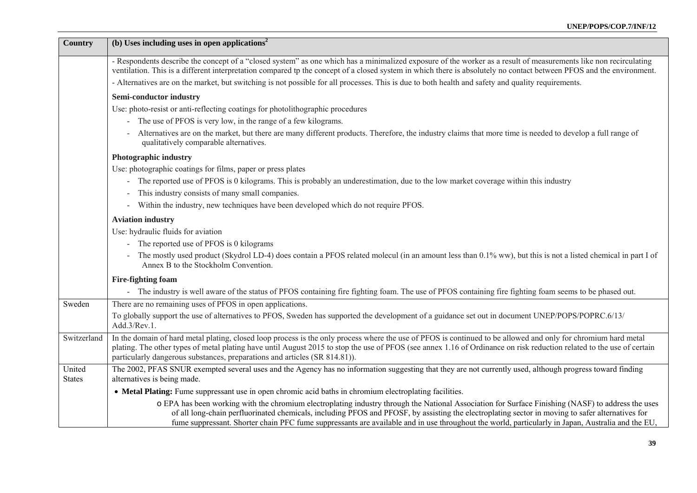| <b>Country</b>          | (b) Uses including uses in open applications <sup>2</sup>                                                                                                                                                                                                                                                                                                                                                                                                   |
|-------------------------|-------------------------------------------------------------------------------------------------------------------------------------------------------------------------------------------------------------------------------------------------------------------------------------------------------------------------------------------------------------------------------------------------------------------------------------------------------------|
|                         | - Respondents describe the concept of a "closed system" as one which has a minimalized exposure of the worker as a result of measurements like non recirculating<br>ventilation. This is a different interpretation compared tp the concept of a closed system in which there is absolutely no contact between PFOS and the environment.                                                                                                                    |
|                         | - Alternatives are on the market, but switching is not possible for all processes. This is due to both health and safety and quality requirements.                                                                                                                                                                                                                                                                                                          |
|                         | Semi-conductor industry                                                                                                                                                                                                                                                                                                                                                                                                                                     |
|                         | Use: photo-resist or anti-reflecting coatings for photolithographic procedures                                                                                                                                                                                                                                                                                                                                                                              |
|                         | - The use of PFOS is very low, in the range of a few kilograms.                                                                                                                                                                                                                                                                                                                                                                                             |
|                         | Alternatives are on the market, but there are many different products. Therefore, the industry claims that more time is needed to develop a full range of<br>qualitatively comparable alternatives.                                                                                                                                                                                                                                                         |
|                         | Photographic industry                                                                                                                                                                                                                                                                                                                                                                                                                                       |
|                         | Use: photographic coatings for films, paper or press plates                                                                                                                                                                                                                                                                                                                                                                                                 |
|                         | - The reported use of PFOS is 0 kilograms. This is probably an underestimation, due to the low market coverage within this industry                                                                                                                                                                                                                                                                                                                         |
|                         | This industry consists of many small companies.                                                                                                                                                                                                                                                                                                                                                                                                             |
|                         | - Within the industry, new techniques have been developed which do not require PFOS.                                                                                                                                                                                                                                                                                                                                                                        |
|                         | <b>Aviation industry</b>                                                                                                                                                                                                                                                                                                                                                                                                                                    |
|                         | Use: hydraulic fluids for aviation                                                                                                                                                                                                                                                                                                                                                                                                                          |
|                         | - The reported use of PFOS is 0 kilograms                                                                                                                                                                                                                                                                                                                                                                                                                   |
|                         | The mostly used product (Skydrol LD-4) does contain a PFOS related molecul (in an amount less than 0.1% ww), but this is not a listed chemical in part I of<br>Annex B to the Stockholm Convention.                                                                                                                                                                                                                                                         |
|                         | <b>Fire-fighting foam</b>                                                                                                                                                                                                                                                                                                                                                                                                                                   |
|                         | - The industry is well aware of the status of PFOS containing fire fighting foam. The use of PFOS containing fire fighting foam seems to be phased out.                                                                                                                                                                                                                                                                                                     |
| Sweden                  | There are no remaining uses of PFOS in open applications.                                                                                                                                                                                                                                                                                                                                                                                                   |
|                         | To globally support the use of alternatives to PFOS, Sweden has supported the development of a guidance set out in document UNEP/POPS/POPRC.6/13/<br>Add.3/Rev.1.                                                                                                                                                                                                                                                                                           |
| Switzerland             | In the domain of hard metal plating, closed loop process is the only process where the use of PFOS is continued to be allowed and only for chromium hard metal<br>plating. The other types of metal plating have until August 2015 to stop the use of PFOS (see annex 1.16 of Ordinance on risk reduction related to the use of certain<br>particularly dangerous substances, preparations and articles (SR 814.81)).                                       |
| United<br><b>States</b> | The 2002, PFAS SNUR exempted several uses and the Agency has no information suggesting that they are not currently used, although progress toward finding<br>alternatives is being made.                                                                                                                                                                                                                                                                    |
|                         | • Metal Plating: Fume suppressant use in open chromic acid baths in chromium electroplating facilities.                                                                                                                                                                                                                                                                                                                                                     |
|                         | o EPA has been working with the chromium electroplating industry through the National Association for Surface Finishing (NASF) to address the uses<br>of all long-chain perfluorinated chemicals, including PFOS and PFOSF, by assisting the electroplating sector in moving to safer alternatives for<br>fume suppressant. Shorter chain PFC fume suppressants are available and in use throughout the world, particularly in Japan, Australia and the EU, |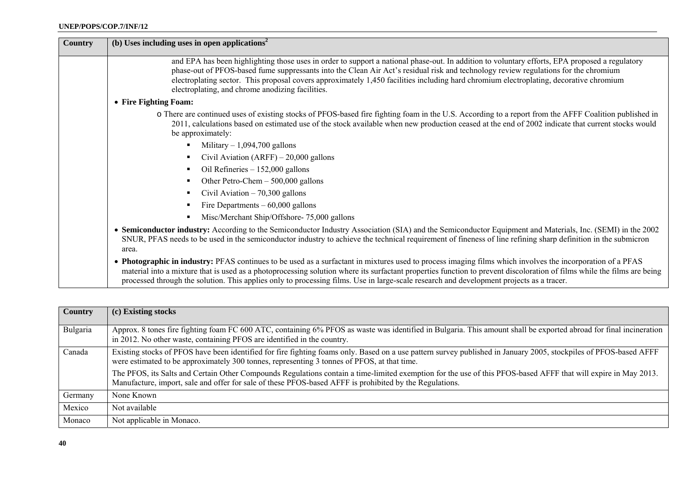| <b>Country</b> | (b) Uses including uses in open applications <sup>2</sup>                                                                                                                                                                                                                                                                                                                                                                                                                           |
|----------------|-------------------------------------------------------------------------------------------------------------------------------------------------------------------------------------------------------------------------------------------------------------------------------------------------------------------------------------------------------------------------------------------------------------------------------------------------------------------------------------|
|                | and EPA has been highlighting those uses in order to support a national phase-out. In addition to voluntary efforts, EPA proposed a regulatory<br>phase-out of PFOS-based fume suppressants into the Clean Air Act's residual risk and technology review regulations for the chromium<br>electroplating sector. This proposal covers approximately 1,450 facilities including hard chromium electroplating, decorative chromium<br>electroplating, and chrome anodizing facilities. |
|                | • Fire Fighting Foam:                                                                                                                                                                                                                                                                                                                                                                                                                                                               |
|                | o There are continued uses of existing stocks of PFOS-based fire fighting foam in the U.S. According to a report from the AFFF Coalition published in<br>2011, calculations based on estimated use of the stock available when new production ceased at the end of 2002 indicate that current stocks would<br>be approximately:                                                                                                                                                     |
|                | Military $-1,094,700$ gallons                                                                                                                                                                                                                                                                                                                                                                                                                                                       |
|                | Civil Aviation $(ARFF) - 20,000$ gallons                                                                                                                                                                                                                                                                                                                                                                                                                                            |
|                | Oil Refineries - 152,000 gallons                                                                                                                                                                                                                                                                                                                                                                                                                                                    |
|                | Other Petro-Chem - 500,000 gallons                                                                                                                                                                                                                                                                                                                                                                                                                                                  |
|                | Civil Aviation $-70,300$ gallons                                                                                                                                                                                                                                                                                                                                                                                                                                                    |
|                | Fire Departments $-60,000$ gallons                                                                                                                                                                                                                                                                                                                                                                                                                                                  |
|                | Misc/Merchant Ship/Offshore-75,000 gallons                                                                                                                                                                                                                                                                                                                                                                                                                                          |
|                | • Semiconductor industry: According to the Semiconductor Industry Association (SIA) and the Semiconductor Equipment and Materials, Inc. (SEMI) in the 2002<br>SNUR, PFAS needs to be used in the semiconductor industry to achieve the technical requirement of fineness of line refining sharp definition in the submicron<br>area.                                                                                                                                                |
|                | • Photographic in industry: PFAS continues to be used as a surfactant in mixtures used to process imaging films which involves the incorporation of a PFAS<br>material into a mixture that is used as a photoprocessing solution where its surfactant properties function to prevent discoloration of films while the films are being<br>processed through the solution. This applies only to processing films. Use in large-scale research and development projects as a tracer.   |

| <b>Country</b> | (c) Existing stocks                                                                                                                                                                                                                                                       |
|----------------|---------------------------------------------------------------------------------------------------------------------------------------------------------------------------------------------------------------------------------------------------------------------------|
| Bulgaria       | Approx. 8 tones fire fighting foam FC 600 ATC, containing 6% PFOS as waste was identified in Bulgaria. This amount shall be exported abroad for final incineration<br>in 2012. No other waste, containing PFOS are identified in the country.                             |
| Canada         | Existing stocks of PFOS have been identified for fire fighting foams only. Based on a use pattern survey published in January 2005, stockpiles of PFOS-based AFFF<br>were estimated to be approximately 300 tonnes, representing 3 tonnes of PFOS, at that time.          |
|                | The PFOS, its Salts and Certain Other Compounds Regulations contain a time-limited exemption for the use of this PFOS-based AFFF that will expire in May 2013.<br>Manufacture, import, sale and offer for sale of these PFOS-based AFFF is prohibited by the Regulations. |
| Germany        | None Known                                                                                                                                                                                                                                                                |
| Mexico         | Not available                                                                                                                                                                                                                                                             |
| Monaco         | Not applicable in Monaco.                                                                                                                                                                                                                                                 |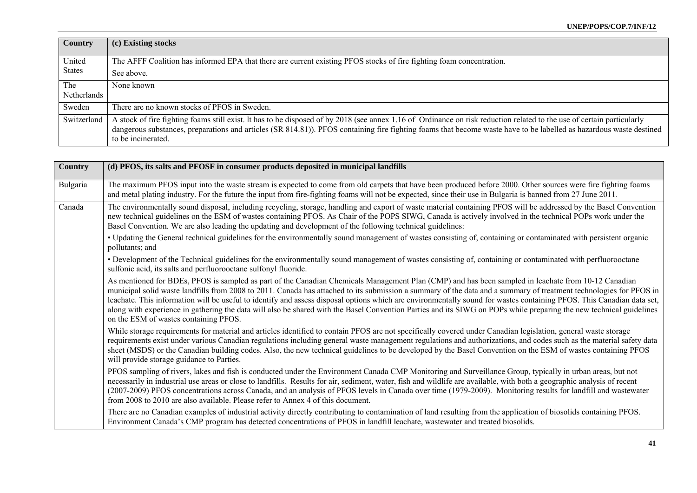| <b>Country</b> | (c) Existing stocks                                                                                                                                                    |
|----------------|------------------------------------------------------------------------------------------------------------------------------------------------------------------------|
|                |                                                                                                                                                                        |
| United         | The AFFF Coalition has informed EPA that there are current existing PFOS stocks of fire fighting foam concentration.                                                   |
| <b>States</b>  | See above.                                                                                                                                                             |
| The            | None known                                                                                                                                                             |
| Netherlands    |                                                                                                                                                                        |
| Sweden         | There are no known stocks of PFOS in Sweden.                                                                                                                           |
| Switzerland    | A stock of fire fighting foams still exist. It has to be disposed of by 2018 (see annex 1.16 of Ordinance on risk reduction related to the use of certain particularly |
|                | dangerous substances, preparations and articles (SR 814.81)). PFOS containing fire fighting foams that become waste have to be labelled as hazardous waste destined    |
|                | to be incinerated.                                                                                                                                                     |

| Country  | (d) PFOS, its salts and PFOSF in consumer products deposited in municipal landfills                                                                                                                                                                                                                                                                                                                                                                                                                                                                                                                                                                                                                                |
|----------|--------------------------------------------------------------------------------------------------------------------------------------------------------------------------------------------------------------------------------------------------------------------------------------------------------------------------------------------------------------------------------------------------------------------------------------------------------------------------------------------------------------------------------------------------------------------------------------------------------------------------------------------------------------------------------------------------------------------|
| Bulgaria | The maximum PFOS input into the waste stream is expected to come from old carpets that have been produced before 2000. Other sources were fire fighting foams<br>and metal plating industry. For the future the input from fire-fighting foams will not be expected, since their use in Bulgaria is banned from 27 June 2011.                                                                                                                                                                                                                                                                                                                                                                                      |
| Canada   | The environmentally sound disposal, including recycling, storage, handling and export of waste material containing PFOS will be addressed by the Basel Convention<br>new technical guidelines on the ESM of wastes containing PFOS. As Chair of the POPS SIWG, Canada is actively involved in the technical POPs work under the<br>Basel Convention. We are also leading the updating and development of the following technical guidelines:                                                                                                                                                                                                                                                                       |
|          | • Updating the General technical guidelines for the environmentally sound management of wastes consisting of, containing or contaminated with persistent organic<br>pollutants; and                                                                                                                                                                                                                                                                                                                                                                                                                                                                                                                                |
|          | • Development of the Technical guidelines for the environmentally sound management of wastes consisting of, containing or contaminated with perfluorooctane<br>sulfonic acid, its salts and perfluorooctane sulfonyl fluoride.                                                                                                                                                                                                                                                                                                                                                                                                                                                                                     |
|          | As mentioned for BDEs, PFOS is sampled as part of the Canadian Chemicals Management Plan (CMP) and has been sampled in leachate from 10-12 Canadian<br>municipal solid waste landfills from 2008 to 2011. Canada has attached to its submission a summary of the data and a summary of treatment technologies for PFOS in<br>leachate. This information will be useful to identify and assess disposal options which are environmentally sound for wastes containing PFOS. This Canadian data set,<br>along with experience in gathering the data will also be shared with the Basel Convention Parties and its SIWG on POPs while preparing the new technical guidelines<br>on the ESM of wastes containing PFOS. |
|          | While storage requirements for material and articles identified to contain PFOS are not specifically covered under Canadian legislation, general waste storage<br>requirements exist under various Canadian regulations including general waste management regulations and authorizations, and codes such as the material safety data<br>sheet (MSDS) or the Canadian building codes. Also, the new technical guidelines to be developed by the Basel Convention on the ESM of wastes containing PFOS<br>will provide storage guidance to Parties.                                                                                                                                                                 |
|          | PFOS sampling of rivers, lakes and fish is conducted under the Environment Canada CMP Monitoring and Surveillance Group, typically in urban areas, but not<br>necessarily in industrial use areas or close to landfills. Results for air, sediment, water, fish and wildlife are available, with both a geographic analysis of recent<br>(2007-2009) PFOS concentrations across Canada, and an analysis of PFOS levels in Canada over time (1979-2009). Monitoring results for landfill and wastewater<br>from 2008 to 2010 are also available. Please refer to Annex 4 of this document.                                                                                                                          |
|          | There are no Canadian examples of industrial activity directly contributing to contamination of land resulting from the application of biosolids containing PFOS.<br>Environment Canada's CMP program has detected concentrations of PFOS in landfill leachate, wastewater and treated biosolids.                                                                                                                                                                                                                                                                                                                                                                                                                  |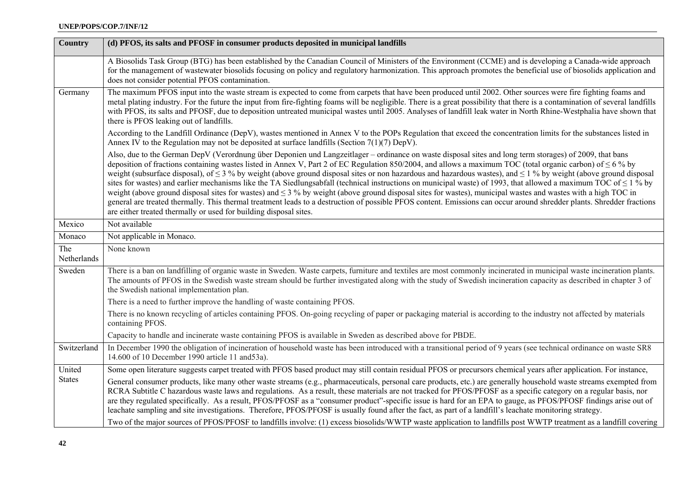| <b>Country</b>     | (d) PFOS, its salts and PFOSF in consumer products deposited in municipal landfills                                                                                                                                                                                                                                                                                                                                                                                                                                                                                                                                                                                                                                                                                                                                                                                                                                                                                                                                                                                                                  |
|--------------------|------------------------------------------------------------------------------------------------------------------------------------------------------------------------------------------------------------------------------------------------------------------------------------------------------------------------------------------------------------------------------------------------------------------------------------------------------------------------------------------------------------------------------------------------------------------------------------------------------------------------------------------------------------------------------------------------------------------------------------------------------------------------------------------------------------------------------------------------------------------------------------------------------------------------------------------------------------------------------------------------------------------------------------------------------------------------------------------------------|
|                    | A Biosolids Task Group (BTG) has been established by the Canadian Council of Ministers of the Environment (CCME) and is developing a Canada-wide approach<br>for the management of wastewater biosolids focusing on policy and regulatory harmonization. This approach promotes the beneficial use of biosolids application and<br>does not consider potential PFOS contamination.                                                                                                                                                                                                                                                                                                                                                                                                                                                                                                                                                                                                                                                                                                                   |
| Germany            | The maximum PFOS input into the waste stream is expected to come from carpets that have been produced until 2002. Other sources were fire fighting foams and<br>metal plating industry. For the future the input from fire-fighting foams will be negligible. There is a great possibility that there is a contamination of several landfills<br>with PFOS, its salts and PFOSF, due to deposition untreated municipal wastes until 2005. Analyses of landfill leak water in North Rhine-Westphalia have shown that<br>there is PFOS leaking out of landfills.                                                                                                                                                                                                                                                                                                                                                                                                                                                                                                                                       |
|                    | According to the Landfill Ordinance (DepV), wastes mentioned in Annex V to the POPs Regulation that exceed the concentration limits for the substances listed in<br>Annex IV to the Regulation may not be deposited at surface landfills (Section 7(1)(7) DepV).                                                                                                                                                                                                                                                                                                                                                                                                                                                                                                                                                                                                                                                                                                                                                                                                                                     |
|                    | Also, due to the German DepV (Verordnung über Deponien und Langzeitlager – ordinance on waste disposal sites and long term storages) of 2009, that bans<br>deposition of fractions containing wastes listed in Annex V, Part 2 of EC Regulation 850/2004, and allows a maximum TOC (total organic carbon) of $\leq 6$ % by<br>weight (subsurface disposal), of $\leq$ 3 % by weight (above ground disposal sites or non hazardous and hazardous wastes), and $\leq$ 1 % by weight (above ground disposal<br>sites for wastes) and earlier mechanisms like the TA Siedlungsabfall (technical instructions on municipal waste) of 1993, that allowed a maximum TOC of $\leq$ 1 % by<br>weight (above ground disposal sites for wastes) and $\leq$ 3 % by weight (above ground disposal sites for wastes), municipal wastes and wastes with a high TOC in<br>general are treated thermally. This thermal treatment leads to a destruction of possible PFOS content. Emissions can occur around shredder plants. Shredder fractions<br>are either treated thermally or used for building disposal sites. |
| Mexico             | Not available                                                                                                                                                                                                                                                                                                                                                                                                                                                                                                                                                                                                                                                                                                                                                                                                                                                                                                                                                                                                                                                                                        |
| Monaco             | Not applicable in Monaco.                                                                                                                                                                                                                                                                                                                                                                                                                                                                                                                                                                                                                                                                                                                                                                                                                                                                                                                                                                                                                                                                            |
| The<br>Netherlands | None known                                                                                                                                                                                                                                                                                                                                                                                                                                                                                                                                                                                                                                                                                                                                                                                                                                                                                                                                                                                                                                                                                           |
| Sweden             | There is a ban on landfilling of organic waste in Sweden. Waste carpets, furniture and textiles are most commonly incinerated in municipal waste incineration plants.<br>The amounts of PFOS in the Swedish waste stream should be further investigated along with the study of Swedish incineration capacity as described in chapter 3 of<br>the Swedish national implementation plan.                                                                                                                                                                                                                                                                                                                                                                                                                                                                                                                                                                                                                                                                                                              |
|                    | There is a need to further improve the handling of waste containing PFOS.                                                                                                                                                                                                                                                                                                                                                                                                                                                                                                                                                                                                                                                                                                                                                                                                                                                                                                                                                                                                                            |
|                    | There is no known recycling of articles containing PFOS. On-going recycling of paper or packaging material is according to the industry not affected by materials<br>containing PFOS.                                                                                                                                                                                                                                                                                                                                                                                                                                                                                                                                                                                                                                                                                                                                                                                                                                                                                                                |
|                    | Capacity to handle and incinerate waste containing PFOS is available in Sweden as described above for PBDE.                                                                                                                                                                                                                                                                                                                                                                                                                                                                                                                                                                                                                                                                                                                                                                                                                                                                                                                                                                                          |
| Switzerland        | In December 1990 the obligation of incineration of household waste has been introduced with a transitional period of 9 years (see technical ordinance on waste SR8<br>14.600 of 10 December 1990 article 11 and 53a).                                                                                                                                                                                                                                                                                                                                                                                                                                                                                                                                                                                                                                                                                                                                                                                                                                                                                |
| United             | Some open literature suggests carpet treated with PFOS based product may still contain residual PFOS or precursors chemical years after application. For instance,                                                                                                                                                                                                                                                                                                                                                                                                                                                                                                                                                                                                                                                                                                                                                                                                                                                                                                                                   |
| <b>States</b>      | General consumer products, like many other waste streams (e.g., pharmaceuticals, personal care products, etc.) are generally household waste streams exempted from<br>RCRA Subtitle C hazardous waste laws and regulations. As a result, these materials are not tracked for PFOS/PFOSF as a specific category on a regular basis, nor<br>are they regulated specifically. As a result, PFOS/PFOSF as a "consumer product"-specific issue is hard for an EPA to gauge, as PFOS/PFOSF findings arise out of<br>leachate sampling and site investigations. Therefore, PFOS/PFOSF is usually found after the fact, as part of a landfill's leachate monitoring strategy.                                                                                                                                                                                                                                                                                                                                                                                                                                |
|                    | Two of the major sources of PFOS/PFOSF to landfills involve: (1) excess biosolids/WWTP waste application to landfills post WWTP treatment as a landfill covering                                                                                                                                                                                                                                                                                                                                                                                                                                                                                                                                                                                                                                                                                                                                                                                                                                                                                                                                     |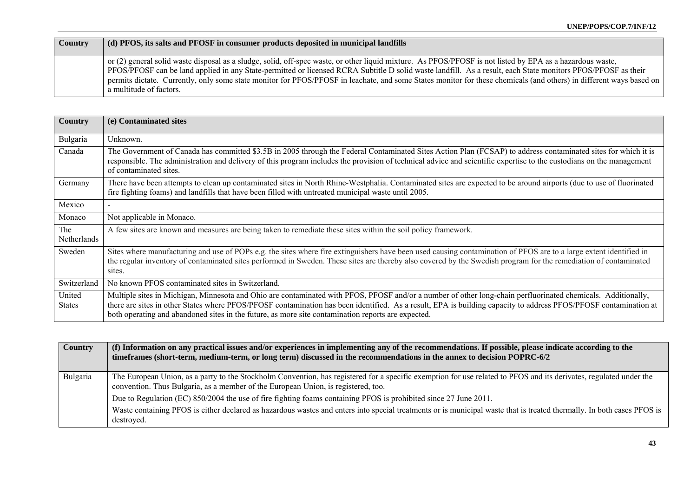| Country | (d) PFOS, its salts and PFOSF in consumer products deposited in municipal landfills                                                                                                                                                                                                                                                                                                                                                                                                                                         |
|---------|-----------------------------------------------------------------------------------------------------------------------------------------------------------------------------------------------------------------------------------------------------------------------------------------------------------------------------------------------------------------------------------------------------------------------------------------------------------------------------------------------------------------------------|
|         | or (2) general solid waste disposal as a sludge, solid, off-spec waste, or other liquid mixture. As PFOS/PFOSF is not listed by EPA as a hazardous waste,<br>PFOS/PFOSF can be land applied in any State-permitted or licensed RCRA Subtitle D solid waste landfill. As a result, each State monitors PFOS/PFOSF as their<br>permits dictate. Currently, only some state monitor for PFOS/PFOSF in leachate, and some States monitor for these chemicals (and others) in different ways based on<br>a multitude of factors. |

| Country                 | (e) Contaminated sites                                                                                                                                                                                                                                                                                                                                                                                                                 |
|-------------------------|----------------------------------------------------------------------------------------------------------------------------------------------------------------------------------------------------------------------------------------------------------------------------------------------------------------------------------------------------------------------------------------------------------------------------------------|
| Bulgaria                | Unknown.                                                                                                                                                                                                                                                                                                                                                                                                                               |
| Canada                  | The Government of Canada has committed \$3.5B in 2005 through the Federal Contaminated Sites Action Plan (FCSAP) to address contaminated sites for which it is<br>responsible. The administration and delivery of this program includes the provision of technical advice and scientific expertise to the custodians on the management<br>of contaminated sites.                                                                       |
| Germany                 | There have been attempts to clean up contaminated sites in North Rhine-Westphalia. Contaminated sites are expected to be around airports (due to use of fluorinated<br>fire fighting foams) and landfills that have been filled with untreated municipal waste until 2005.                                                                                                                                                             |
| Mexico                  |                                                                                                                                                                                                                                                                                                                                                                                                                                        |
| Monaco                  | Not applicable in Monaco.                                                                                                                                                                                                                                                                                                                                                                                                              |
| The<br>Netherlands      | A few sites are known and measures are being taken to remediate these sites within the soil policy framework.                                                                                                                                                                                                                                                                                                                          |
| Sweden                  | Sites where manufacturing and use of POPs e.g. the sites where fire extinguishers have been used causing contamination of PFOS are to a large extent identified in<br>the regular inventory of contaminated sites performed in Sweden. These sites are thereby also covered by the Swedish program for the remediation of contaminated<br>sites.                                                                                       |
| Switzerland             | No known PFOS contaminated sites in Switzerland.                                                                                                                                                                                                                                                                                                                                                                                       |
| United<br><b>States</b> | Multiple sites in Michigan, Minnesota and Ohio are contaminated with PFOS, PFOSF and/or a number of other long-chain perfluorinated chemicals. Additionally,<br>there are sites in other States where PFOS/PFOSF contamination has been identified. As a result, EPA is building capacity to address PFOS/PFOSF contamination at<br>both operating and abandoned sites in the future, as more site contamination reports are expected. |

| <b>Country</b> | (f) Information on any practical issues and/or experiences in implementing any of the recommendations. If possible, please indicate according to the<br>timeframes (short-term, medium-term, or long term) discussed in the recommendations in the annex to decision POPRC-6/2 |
|----------------|--------------------------------------------------------------------------------------------------------------------------------------------------------------------------------------------------------------------------------------------------------------------------------|
| Bulgaria       | The European Union, as a party to the Stockholm Convention, has registered for a specific exemption for use related to PFOS and its derivates, regulated under the<br>convention. Thus Bulgaria, as a member of the European Union, is registered, too.                        |
|                | Due to Regulation (EC) 850/2004 the use of fire fighting foams containing PFOS is prohibited since 27 June 2011.                                                                                                                                                               |
|                | Waste containing PFOS is either declared as hazardous wastes and enters into special treatments or is municipal waste that is treated thermally. In both cases PFOS is<br>destroved.                                                                                           |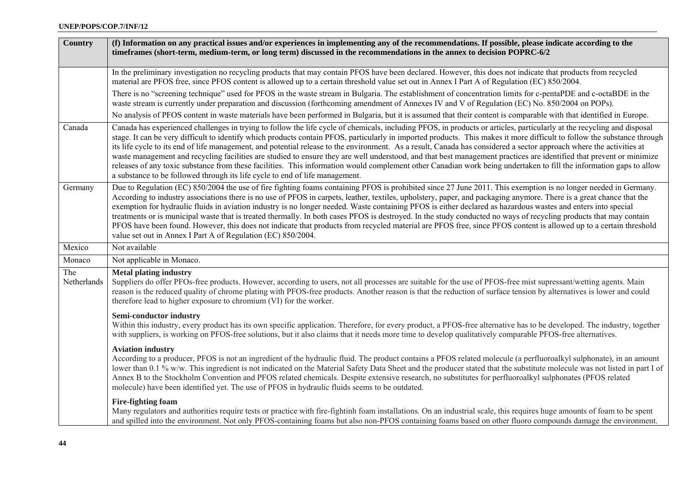| <b>Country</b>     | (f) Information on any practical issues and/or experiences in implementing any of the recommendations. If possible, please indicate according to the<br>timeframes (short-term, medium-term, or long term) discussed in the recommendations in the annex to decision POPRC-6/2                                                                                                                                                                                                                                                                                                                                                                                                                                                                                                                                                                                                                                                                            |
|--------------------|-----------------------------------------------------------------------------------------------------------------------------------------------------------------------------------------------------------------------------------------------------------------------------------------------------------------------------------------------------------------------------------------------------------------------------------------------------------------------------------------------------------------------------------------------------------------------------------------------------------------------------------------------------------------------------------------------------------------------------------------------------------------------------------------------------------------------------------------------------------------------------------------------------------------------------------------------------------|
|                    | In the preliminary investigation no recycling products that may contain PFOS have been declared. However, this does not indicate that products from recycled<br>material are PFOS free, since PFOS content is allowed up to a certain threshold value set out in Annex I Part A of Regulation (EC) 850/2004.                                                                                                                                                                                                                                                                                                                                                                                                                                                                                                                                                                                                                                              |
|                    | There is no "screening technique" used for PFOS in the waste stream in Bulgaria. The establishment of concentration limits for c-pentaPDE and c-octaBDE in the<br>waste stream is currently under preparation and discussion (forthcoming amendment of Annexes IV and V of Regulation (EC) No. 850/2004 on POPs).                                                                                                                                                                                                                                                                                                                                                                                                                                                                                                                                                                                                                                         |
|                    | No analysis of PFOS content in waste materials have been performed in Bulgaria, but it is assumed that their content is comparable with that identified in Europe.                                                                                                                                                                                                                                                                                                                                                                                                                                                                                                                                                                                                                                                                                                                                                                                        |
| Canada             | Canada has experienced challenges in trying to follow the life cycle of chemicals, including PFOS, in products or articles, particularly at the recycling and disposal<br>stage. It can be very difficult to identify which products contain PFOS, particularly in imported products. This makes it more difficult to follow the substance through<br>its life cycle to its end of life management, and potential release to the environment. As a result, Canada has considered a sector approach where the activities at<br>waste management and recycling facilities are studied to ensure they are well understood, and that best management practices are identified that prevent or minimize<br>releases of any toxic substance from these facilities. This information would complement other Canadian work being undertaken to fill the information gaps to allow<br>a substance to be followed through its life cycle to end of life management. |
| Germany            | Due to Regulation (EC) 850/2004 the use of fire fighting foams containing PFOS is prohibited since 27 June 2011. This exemption is no longer needed in Germany.<br>According to industry associations there is no use of PFOS in carpets, leather, textiles, upholstery, paper, and packaging anymore. There is a great chance that the<br>exemption for hydraulic fluids in aviation industry is no longer needed. Waste containing PFOS is either declared as hazardous wastes and enters into special<br>treatments or is municipal waste that is treated thermally. In both cases PFOS is destroyed. In the study conducted no ways of recycling products that may contain<br>PFOS have been found. However, this does not indicate that products from recycled material are PFOS free, since PFOS content is allowed up to a certain threshold<br>value set out in Annex I Part A of Regulation (EC) 850/2004.                                       |
| Mexico             | Not available                                                                                                                                                                                                                                                                                                                                                                                                                                                                                                                                                                                                                                                                                                                                                                                                                                                                                                                                             |
| Monaco             | Not applicable in Monaco.                                                                                                                                                                                                                                                                                                                                                                                                                                                                                                                                                                                                                                                                                                                                                                                                                                                                                                                                 |
| The<br>Netherlands | <b>Metal plating industry</b><br>Suppliers do offer PFOs-free products. However, according to users, not all processes are suitable for the use of PFOS-free mist supressant/wetting agents. Main<br>reason is the reduced quality of chrome plating with PFOS-free products. Another reason is that the reduction of surface tension by alternatives is lower and could<br>therefore lead to higher exposure to chromium (VI) for the worker.                                                                                                                                                                                                                                                                                                                                                                                                                                                                                                            |
|                    | <b>Semi-conductor industry</b><br>Within this industry, every product has its own specific application. Therefore, for every product, a PFOS-free alternative has to be developed. The industry, together<br>with suppliers, is working on PFOS-free solutions, but it also claims that it needs more time to develop qualitatively comparable PFOS-free alternatives.                                                                                                                                                                                                                                                                                                                                                                                                                                                                                                                                                                                    |
|                    | <b>Aviation industry</b><br>According to a producer, PFOS is not an ingredient of the hydraulic fluid. The product contains a PFOS related molecule (a perfluoroalkyl sulphonate), in an amount<br>lower than 0.1 % w/w. This ingredient is not indicated on the Material Safety Data Sheet and the producer stated that the substitute molecule was not listed in part I of<br>Annex B to the Stockholm Convention and PFOS related chemicals. Despite extensive research, no substitutes for perfluoroalkyl sulphonates (PFOS related<br>molecule) have been identified yet. The use of PFOS in hydraulic fluids seems to be outdated.                                                                                                                                                                                                                                                                                                                  |
|                    | <b>Fire-fighting foam</b><br>Many regulators and authorities require tests or practice with fire-fightinh foam installations. On an industrial scale, this requires huge amounts of foam to be spent<br>and spilled into the environment. Not only PFOS-containing foams but also non-PFOS containing foams based on other fluoro compounds damage the environment.                                                                                                                                                                                                                                                                                                                                                                                                                                                                                                                                                                                       |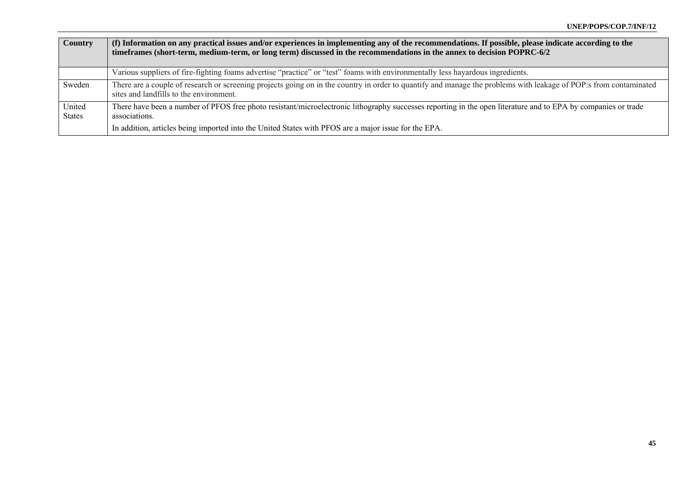| Country                 | (f) Information on any practical issues and/or experiences in implementing any of the recommendations. If possible, please indicate according to the<br>timeframes (short-term, medium-term, or long term) discussed in the recommendations in the annex to decision POPRC-6/2 |
|-------------------------|--------------------------------------------------------------------------------------------------------------------------------------------------------------------------------------------------------------------------------------------------------------------------------|
|                         | Various suppliers of fire-fighting foams advertise "practice" or "test" foams with environmentally less hayardous ingredients.                                                                                                                                                 |
|                         |                                                                                                                                                                                                                                                                                |
| Sweden                  | There are a couple of research or screening projects going on in the country in order to quantify and manage the problems with leakage of POP:s from contaminated<br>sites and landfills to the environment.                                                                   |
| United<br><b>States</b> | There have been a number of PFOS free photo resistant/microelectronic lithography successes reporting in the open literature and to EPA by companies or trade<br>associations.                                                                                                 |
|                         | In addition, articles being imported into the United States with PFOS are a major issue for the EPA.                                                                                                                                                                           |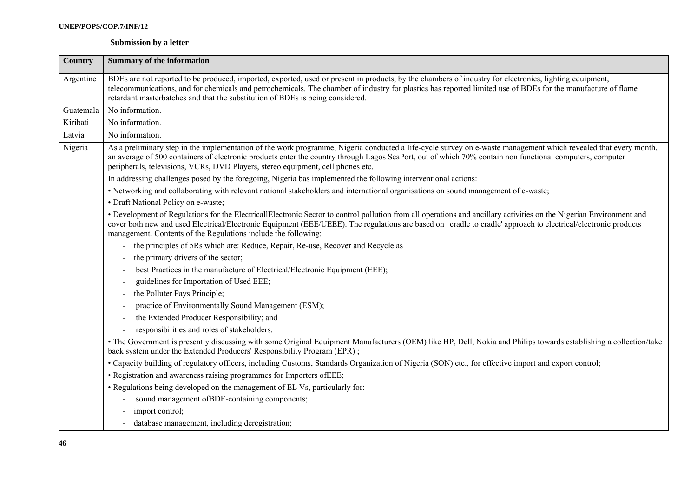### **Submission by a letter**

| <b>Country</b> | <b>Summary of the information</b>                                                                                                                                                                                                                                                                                                                                                                              |
|----------------|----------------------------------------------------------------------------------------------------------------------------------------------------------------------------------------------------------------------------------------------------------------------------------------------------------------------------------------------------------------------------------------------------------------|
| Argentine      | BDEs are not reported to be produced, imported, exported, used or present in products, by the chambers of industry for electronics, lighting equipment,<br>telecommunications, and for chemicals and petrochemicals. The chamber of industry for plastics has reported limited use of BDEs for the manufacture of flame<br>retardant masterbatches and that the substitution of BDEs is being considered.      |
| Guatemala      | No information.                                                                                                                                                                                                                                                                                                                                                                                                |
| Kiribati       | No information.                                                                                                                                                                                                                                                                                                                                                                                                |
| Latvia         | No information.                                                                                                                                                                                                                                                                                                                                                                                                |
| Nigeria        | As a preliminary step in the implementation of the work programme, Nigeria conducted a life-cycle survey on e-waste management which revealed that every month,<br>an average of 500 containers of electronic products enter the country through Lagos SeaPort, out of which 70% contain non functional computers, computer<br>peripherals, televisions, VCRs, DVD Players, stereo equipment, cell phones etc. |
|                | In addressing challenges posed by the foregoing, Nigeria bas implemented the following interventional actions:                                                                                                                                                                                                                                                                                                 |
|                | • Networking and collaborating with relevant national stakeholders and international organisations on sound management of e-waste;                                                                                                                                                                                                                                                                             |
|                | · Draft National Policy on e-waste;                                                                                                                                                                                                                                                                                                                                                                            |
|                | • Development of Regulations for the ElectricallElectronic Sector to control pollution from all operations and ancillary activities on the Nigerian Environment and<br>cover both new and used Electrical/Electronic Equipment (EEE/UEEE). The regulations are based on ' cradle to cradle' approach to electrical/electronic products<br>management. Contents of the Regulations include the following:       |
|                | - the principles of 5Rs which are: Reduce, Repair, Re-use, Recover and Recycle as                                                                                                                                                                                                                                                                                                                              |
|                | the primary drivers of the sector;                                                                                                                                                                                                                                                                                                                                                                             |
|                | best Practices in the manufacture of Electrical/Electronic Equipment (EEE);                                                                                                                                                                                                                                                                                                                                    |
|                | guidelines for Importation of Used EEE;                                                                                                                                                                                                                                                                                                                                                                        |
|                | the Polluter Pays Principle;                                                                                                                                                                                                                                                                                                                                                                                   |
|                | practice of Environmentally Sound Management (ESM);                                                                                                                                                                                                                                                                                                                                                            |
|                | the Extended Producer Responsibility; and                                                                                                                                                                                                                                                                                                                                                                      |
|                | responsibilities and roles of stakeholders.                                                                                                                                                                                                                                                                                                                                                                    |
|                | · The Government is presently discussing with some Original Equipment Manufacturers (OEM) like HP, Dell, Nokia and Philips towards establishing a collection/take<br>back system under the Extended Producers' Responsibility Program (EPR);                                                                                                                                                                   |
|                | • Capacity building of regulatory officers, including Customs, Standards Organization of Nigeria (SON) etc., for effective import and export control;                                                                                                                                                                                                                                                          |
|                | · Registration and awareness raising programmes for Importers of EEE;                                                                                                                                                                                                                                                                                                                                          |
|                | • Regulations being developed on the management of EL Vs, particularly for:                                                                                                                                                                                                                                                                                                                                    |
|                | sound management of BDE-containing components;                                                                                                                                                                                                                                                                                                                                                                 |
|                | import control;                                                                                                                                                                                                                                                                                                                                                                                                |
|                | database management, including deregistration;                                                                                                                                                                                                                                                                                                                                                                 |